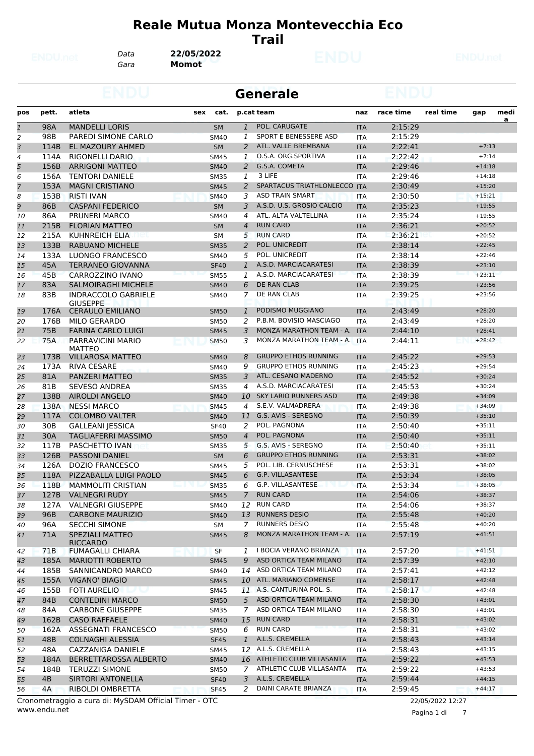#### **Reale Mutua Monza Montevecchia Eco Trail**

*Gara* **Momot** *Data* **22/05/2022**

|                |                 |                                        |     |             |                | <b>Generale</b>              |            |           |           |          |           |
|----------------|-----------------|----------------------------------------|-----|-------------|----------------|------------------------------|------------|-----------|-----------|----------|-----------|
| pos            | pett.           | atleta                                 | sex | cat.        |                | p.cat team                   | naz        | race time | real time | gap      | medi<br>a |
| $\mathbf{1}$   | 98A             | <b>MANDELLI LORIS</b>                  |     | <b>SM</b>   | $\mathbf{1}$   | POL. CARUGATE                | <b>ITA</b> | 2:15:29   |           |          |           |
| $\overline{a}$ | 98B             | PAREDI SIMONE CARLO                    |     | <b>SM40</b> | 1              | SPORT E BENESSERE ASD        | <b>ITA</b> | 2:15:29   |           |          |           |
| 3              | 114B            | EL MAZOURY AHMED                       |     | <b>SM</b>   | 2              | ATL. VALLE BREMBANA          | <b>ITA</b> | 2:22:41   |           | $+7:13$  |           |
| 4              | 114A            | <b>RIGONELLI DARIO</b>                 |     | SM45        | 1              | O.S.A. ORG.SPORTIVA          | <b>ITA</b> | 2:22:42   |           | $+7:14$  |           |
| 5              | 156B            | <b>ARRIGONI MATTEO</b>                 |     | <b>SM40</b> | 2              | G.S.A. COMETA                | <b>ITA</b> | 2:29:46   |           | $+14:18$ |           |
| 6              | 156A            | <b>TENTORI DANIELE</b>                 |     | <b>SM35</b> | 1              | 3 LIFE                       | <b>ITA</b> | 2:29:46   |           | $+14:18$ |           |
| $\overline{7}$ | 153A            | <b>MAGNI CRISTIANO</b>                 |     | <b>SM45</b> | 2              | SPARTACUS TRIATHLONLECCO ITA |            | 2:30:49   |           | $+15:20$ |           |
| 8              | 153B            | <b>RISTI IVAN</b>                      |     | <b>SM40</b> | 3              | <b>ASD TRAIN SMART</b>       | <b>ITA</b> | 2:30:50   |           | $+15:21$ |           |
| 9              | 86B             | <b>CASPANI FEDERICO</b>                |     | <b>SM</b>   | 3              | A.S.D. U.S. GROSIO CALCIO    | <b>ITA</b> | 2:35:23   |           | $+19:55$ |           |
| 10             | 86A             | PRUNERI MARCO                          |     | <b>SM40</b> | 4              | ATL. ALTA VALTELLINA         | <b>ITA</b> | 2:35:24   |           | $+19:55$ |           |
| 11             | 215B            | <b>FLORIAN MATTEO</b>                  |     | <b>SM</b>   | $\overline{4}$ | <b>RUN CARD</b>              | <b>ITA</b> | 2:36:21   |           | $+20:52$ |           |
| 12             | 215A            | <b>KUHNREICH ELIA</b>                  |     | SM          | 5              | <b>RUN CARD</b>              | ITA        | 2:36:21   |           | $+20:52$ |           |
| 13             | 133B            | <b>RABUANO MICHELE</b>                 |     | <b>SM35</b> | 2              | POL. UNICREDIT               | <b>ITA</b> | 2:38:14   |           | $+22:45$ |           |
| 14             | 133A            | LUONGO FRANCESCO                       |     | <b>SM40</b> | 5              | POL. UNICREDIT               | <b>ITA</b> | 2:38:14   |           | $+22:46$ |           |
| 15             | 45A             | <b>TERRANEO GIOVANNA</b>               |     | <b>SF40</b> | 1              | A.S.D. MARCIACARATESI        | <b>ITA</b> | 2:38:39   |           | $+23:10$ |           |
| 16             | 45B             | CARROZZINO IVANO                       |     | <b>SM55</b> | 1              | A.S.D. MARCIACARATESI        | <b>ITA</b> | 2:38:39   |           | $+23:11$ |           |
| 17             | 83A             | <b>SALMOIRAGHI MICHELE</b>             |     | <b>SM40</b> | 6              | <b>DE RAN CLAB</b>           | <b>ITA</b> | 2:39:25   |           | $+23:56$ |           |
| 18             | 83B             | <b>INDRACCOLO GABRIELE</b><br>GIUSEPPE |     | SM40        | 7              | DE RAN CLAB                  | ITA        | 2:39:25   |           | $+23:56$ |           |
| 19             | 176A            | <b>CERAULO EMILIANO</b>                |     | <b>SM50</b> | 1              | PODISMO MUGGIANO             | <b>ITA</b> | 2:43:49   |           | $+28:20$ |           |
| 20             | 176B            | <b>MILO GERARDO</b>                    |     | <b>SM50</b> | 2              | P.B.M. BOVISIO MASCIAGO      | <b>ITA</b> | 2:43:49   |           | $+28:20$ |           |
| 21             | 75B             | <b>FARINA CARLO LUIGI</b>              |     | <b>SM45</b> | 3              | MONZA MARATHON TEAM - A.     | <b>ITA</b> | 2:44:10   |           | $+28:41$ |           |
| 22             | 75A             | PARRAVICINI MARIO<br><b>MATTEO</b>     |     | <b>SM50</b> | 3              | MONZA MARATHON TEAM - A. ITA |            | 2:44:11   |           | $+28:42$ |           |
| 23             | 173B            | <b>VILLAROSA MATTEO</b>                |     | <b>SM40</b> | 8              | <b>GRUPPO ETHOS RUNNING</b>  | <b>ITA</b> | 2:45:22   |           | $+29:53$ |           |
| 24             | 173A            | <b>RIVA CESARE</b>                     |     | <b>SM40</b> | 9              | <b>GRUPPO ETHOS RUNNING</b>  | <b>ITA</b> | 2:45:23   |           | $+29:54$ |           |
| 25             | 81A             | PANZERI MATTEO                         |     | <b>SM35</b> | 3              | ATL. CESANO MADERNO          | <b>ITA</b> | 2:45:52   |           | $+30:24$ |           |
| 26             | 81B             | SEVESO ANDREA                          |     | <b>SM35</b> | 4              | A.S.D. MARCIACARATESI        | ITA        | 2:45:53   |           | $+30:24$ |           |
| 27             | 138B            | <b>AIROLDI ANGELO</b>                  |     | <b>SM40</b> | 10             | <b>SKY LARIO RUNNERS ASD</b> | <b>ITA</b> | 2:49:38   |           | $+34:09$ |           |
| 28             | 138A            | <b>NESSI MARCO</b>                     |     | <b>SM45</b> | 4              | S.E.V. VALMADRERA            | <b>ITA</b> | 2:49:38   |           | $+34:09$ |           |
| 29             | 117A            | <b>COLOMBO VALTER</b>                  |     | <b>SM40</b> | 11             | G.S. AVIS - SEREGNO          | <b>ITA</b> | 2:50:39   |           | $+35:10$ |           |
| 30             | 30 <sub>B</sub> | <b>GALLEANI JESSICA</b>                |     | <b>SF40</b> | 2              | POL. PAGNONA                 | <b>ITA</b> | 2:50:40   |           | $+35:11$ |           |
| 31             | 30A             | TAGLIAFERRI MASSIMO                    |     | <b>SM50</b> | $\overline{4}$ | POL. PAGNONA                 | <b>ITA</b> | 2:50:40   |           | $+35:11$ |           |
| 32             | 117B            | PASCHETTO IVAN                         |     | SM35        | 5              | G.S. AVIS - SEREGNO          | <b>ITA</b> | 2:50:40   |           | $+35:11$ |           |
| 33             | 126B            | <b>PASSONI DANIEL</b>                  |     | <b>SM</b>   | 6              | <b>GRUPPO ETHOS RUNNING</b>  | <b>ITA</b> | 2:53:31   |           | $+38:02$ |           |
| 34             | 126A            | <b>DOZIO FRANCESCO</b>                 |     | <b>SM45</b> | 5              | POL. LIB. CERNUSCHESE        | <b>ITA</b> | 2:53:31   |           | $+38:02$ |           |
| 35             | 118A            | PIZZABALLA LUIGI PAOLO                 |     | <b>SM45</b> | 6              | <b>G.P. VILLASANTESE</b>     | <b>ITA</b> | 2:53:34   |           | $+38:05$ |           |
| 36             | 118B            | <b>MAMMOLITI CRISTIAN</b>              |     | <b>SM35</b> | 6              | G.P. VILLASANTESE            | <b>ITA</b> | 2:53:34   |           | $+38:05$ |           |
| 37             | 127B            | <b>VALNEGRI RUDY</b>                   |     | <b>SM45</b> | $\overline{7}$ | <b>RUN CARD</b>              | <b>ITA</b> | 2:54:06   |           | $+38:37$ |           |
| 38             | 127A            | <b>VALNEGRI GIUSEPPE</b>               |     | SM40        | 12             | <b>RUN CARD</b>              | ITA        | 2:54:06   |           | $+38:37$ |           |
| 39             | 96B             | <b>CARBONE MAURIZIO</b>                |     | <b>SM40</b> | 13             | <b>RUNNERS DESIO</b>         | <b>ITA</b> | 2:55:48   |           | $+40:20$ |           |
| 40             | 96A             | <b>SECCHI SIMONE</b>                   |     | SM          | 7              | <b>RUNNERS DESIO</b>         | ITA        | 2:55:48   |           | $+40:20$ |           |
| 41             | 71A             | <b>SPEZIALI MATTEO</b><br>RICCARDO     |     | <b>SM45</b> | 8              | MONZA MARATHON TEAM - A. ITA |            | 2:57:19   |           | $+41:51$ |           |
| 42             | 71B             | FUMAGALLI CHIARA                       |     | <b>SF</b>   | 1              | I BOCIA VERANO BRIANZA       | ITA        | 2:57:20   |           | $+41:51$ |           |
| 43             | 185A            | <b>MARIOTTI ROBERTO</b>                |     | <b>SM45</b> | 9              | ASD ORTICA TEAM MILANO       | <b>ITA</b> | 2:57:39   |           | $+42:10$ |           |
| 44             | 185B            | SANNICANDRO MARCO                      |     | <b>SM40</b> |                | 14 ASD ORTICA TEAM MILANO    | ITA        | 2:57:41   |           | $+42:12$ |           |
| 45             | 155A            | <b>VIGANO' BIAGIO</b>                  |     | <b>SM45</b> |                | 10 ATL. MARIANO COMENSE      | <b>ITA</b> | 2:58:17   |           | $+42:48$ |           |
| 46             | 155B            | <b>FOTI AURELIO</b>                    |     | <b>SM45</b> |                | 11 A.S. CANTURINA POL. S.    | ITA        | 2:58:17   |           | $+42:48$ |           |
| 47             | 84B             | <b>CONTEDINI MARCO</b>                 |     | <b>SM50</b> | 5              | ASD ORTICA TEAM MILANO       | <b>ITA</b> | 2:58:30   |           | $+43:01$ |           |
| 48             | 84A             | <b>CARBONE GIUSEPPE</b>                |     | <b>SM35</b> | 7              | ASD ORTICA TEAM MILANO       | ITA        | 2:58:30   |           | $+43:01$ |           |
| 49             | 162B            | <b>CASO RAFFAELE</b>                   |     | <b>SM40</b> | 15             | <b>RUN CARD</b>              | <b>ITA</b> | 2:58:31   |           | $+43:02$ |           |
| 50             | 162A            | ASSEGNATI FRANCESCO                    |     | <b>SM50</b> | 6              | <b>RUN CARD</b>              | <b>ITA</b> | 2:58:31   |           | $+43:02$ |           |
| 51             | 48B             | COLNAGHI ALESSIA                       |     | <b>SF45</b> | 1              | A.L.S. CREMELLA              | <b>ITA</b> | 2:58:43   |           | $+43:14$ |           |
| 52             | 48A             | CAZZANIGA DANIELE                      |     | <b>SM45</b> |                | 12 A.L.S. CREMELLA           | <b>ITA</b> | 2:58:43   |           | $+43:15$ |           |
| 53             | 184A            | BERRETTAROSSA ALBERTO                  |     | <b>SM40</b> |                | 16 ATHLETIC CLUB VILLASANTA  | <b>ITA</b> | 2:59:22   |           | $+43:53$ |           |
| 54             | 184B            | <b>TERUZZI SIMONE</b>                  |     | SM50        | 7              | ATHLETIC CLUB VILLASANTA     | ITA        | 2:59:22   |           | $+43:53$ |           |
| 55             | 4B              | <b>SIRTORI ANTONELLA</b>               |     | <b>SF40</b> | 3              | A.L.S. CREMELLA              | <b>ITA</b> | 2:59:44   |           | $+44:15$ |           |
| 56             | 4А              | RIBOLDI OMBRETTA                       |     | <b>SF45</b> | 2              | DAINI CARATE BRIANZA         | <b>ITA</b> | 2:59:45   |           | $+44:17$ |           |
|                |                 |                                        |     |             |                |                              |            |           |           |          |           |

www.endu.net Cronometraggio a cura di: MySDAM Official Timer - OTC 22/05/2022 12:27

Pagina 1 di 7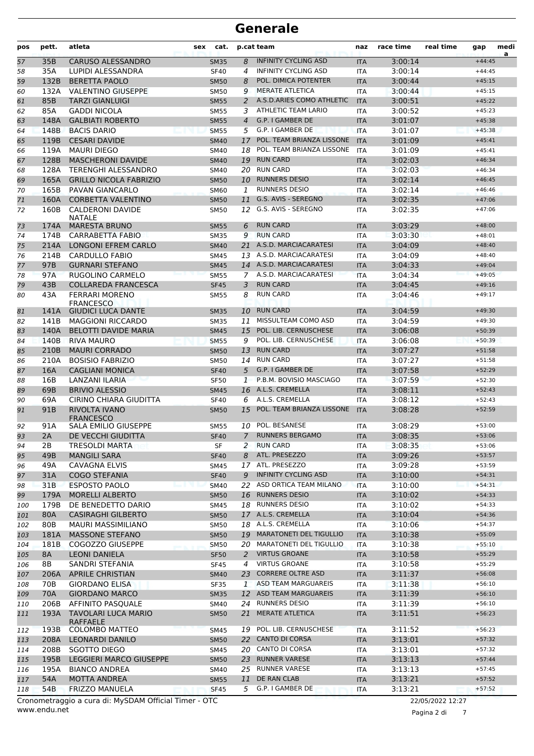| 35B<br><b>CARUSO ALESSANDRO</b><br>8<br><b>INFINITY CYCLING ASD</b><br>3:00:14<br>57<br>$+44:45$<br><b>SM35</b><br><b>ITA</b><br>35A<br><b>LUPIDI ALESSANDRA</b><br><b>INFINITY CYCLING ASD</b><br>4<br>3:00:14<br>58<br><b>SF40</b><br><b>ITA</b><br>$+44:45$<br>POL. DIMICA POTENTER<br>132B<br><b>BERETTA PAOLO</b><br>3:00:44<br>59<br><b>SM50</b><br>8<br><b>ITA</b><br>$+45:15$<br><b>MERATE ATLETICA</b><br>132A<br><b>VALENTINO GIUSEPPE</b><br>3:00:44<br>60<br><b>SM50</b><br>9<br>$+45:15$<br><b>ITA</b><br>A.S.D.ARIES COMO ATHLETIC<br>85B<br><b>TARZI GIANLUIGI</b><br><b>ITA</b><br>3:00:51<br>61<br><b>SM55</b><br>2<br>$+45:22$<br>85A<br>ATHLETIC TEAM LARIO<br><b>GADDI NICOLA</b><br>3:00:52<br>62<br>SM55<br>3<br><b>ITA</b><br>$+45:23$<br>G.P. I GAMBER DE<br><b>GALBIATI ROBERTO</b><br>3:01:07<br>148A<br><b>SM55</b><br>$\overline{4}$<br><b>ITA</b><br>$+45:38$<br>63<br>G.P. I GAMBER DE<br>148B<br><b>BACIS DARIO</b><br>5<br><b>ITA</b><br>3:01:07<br>64<br><b>SM55</b><br>$+45:38$<br>POL. TEAM BRIANZA LISSONE<br>119B<br><b>CESARI DAVIDE</b><br>3:01:09<br>65<br><b>SM40</b><br>17<br><b>ITA</b><br>$+45:41$<br>POL. TEAM BRIANZA LISSONE<br>119A<br><b>MAURI DIEGO</b><br>3:01:09<br>18<br><b>ITA</b><br>$+45:41$<br>66<br><b>SM40</b><br><b>RUN CARD</b><br>128B<br><b>MASCHERONI DAVIDE</b><br>3:02:03<br>19<br>$+46:34$<br>67<br><b>SM40</b><br><b>ITA</b><br><b>RUN CARD</b><br>128A<br><b>TERENGHI ALESSANDRO</b><br>3:02:03<br>68<br><b>SM40</b><br>20<br><b>ITA</b><br>$+46:34$<br><b>GRILLO NICOLA FABRIZIO</b><br><b>RUNNERS DESIO</b><br>3:02:14<br>165A<br>10<br>$+46:45$<br>69<br><b>SM50</b><br><b>ITA</b><br><b>RUNNERS DESIO</b><br>3:02:14<br>70<br>165B<br>PAVAN GIANCARLO<br>1<br><b>SM60</b><br><b>ITA</b><br>$+46:46$<br>G.S. AVIS - SEREGNO<br>160A<br>CORBETTA VALENTINO<br>3:02:35<br>71<br>11<br>$+47:06$<br><b>SM50</b><br><b>ITA</b><br><b>CALDERONI DAVIDE</b><br>G.S. AVIS - SEREGNO<br>72<br>160B<br>3:02:35<br>$+47:06$<br><b>SM50</b><br>12<br><b>ITA</b><br><b>NATALE</b><br><b>MARESTA BRUNO</b><br><b>RUN CARD</b><br>174A<br>3:03:29<br>$+48:00$<br>73<br><b>SM55</b><br>6<br><b>ITA</b><br><b>RUN CARD</b><br>3:03:30<br>74<br>174B<br>CARRABETTA FABIO<br><b>SM35</b><br>9<br><b>ITA</b><br>$+48:01$<br>214A<br>LONGONI EFREM CARLO<br>A.S.D. MARCIACARATESI<br>3:04:09<br>75<br>21<br><b>ITA</b><br>$+48:40$<br><b>SM40</b><br><b>CARDULLO FABIO</b><br>13 A.S.D. MARCIACARATESI<br>76<br>214B<br>3:04:09<br>$+48:40$<br><b>SM45</b><br><b>ITA</b><br>97B<br><b>GURNARI STEFANO</b><br>14 A.S.D. MARCIACARATESI<br>3:04:33<br><b>SM45</b><br><b>ITA</b><br>$+49:04$<br>77<br>A.S.D. MARCIACARATESI<br>97A<br>RUGOLINO CARMELO<br>3:04:34<br>78<br>7<br>$+49:05$<br><b>SM55</b><br><b>ITA</b><br><b>RUN CARD</b><br>43B<br><b>COLLAREDA FRANCESCA</b><br><b>SF45</b><br>3<br>3:04:45<br>$+49:16$<br>79<br><b>ITA</b><br><b>RUN CARD</b><br>43A<br><b>FERRARI MORENO</b><br>80<br><b>SM55</b><br>8<br>3:04:46<br>$+49:17$<br>ITA<br><b>FRANCESCO</b><br><b>GIUDICI LUCA DANTE</b><br><b>RUN CARD</b><br>81<br>141A<br><b>SM35</b><br>10<br><b>ITA</b><br>3:04:59<br>$+49:30$<br>MISSULTEAM COMO ASD<br><b>MAGGIONI RICCARDO</b><br>3:04:59<br>141B<br><b>SM35</b><br>11<br><b>ITA</b><br>$+49:30$<br>82<br>POL. LIB. CERNUSCHESE<br>140A<br><b>BELOTTI DAVIDE MARIA</b><br>15<br><b>ITA</b><br>3:06:08<br>$+50:39$<br>83<br><b>SM45</b><br>POL. LIB. CERNUSCHESE<br>140B<br><b>RIVA MAURO</b><br>3:06:08<br>84<br><b>SM55</b><br>9<br><b>ITA</b><br>$+50:39$<br><b>RUN CARD</b><br>210B<br><b>MAURI CORRADO</b><br>13<br>3:07:27<br>$+51:58$<br>85<br><b>SM50</b><br><b>ITA</b><br><b>RUN CARD</b><br><b>BOSISIO FABRIZIO</b><br>86<br>210A<br>3:07:27<br><b>SM50</b><br>14<br><b>ITA</b><br>$+51:58$<br>G.P. I GAMBER DE<br>16A<br><b>CAGLIANI MONICA</b><br>5<br>3:07:58<br>87<br><b>SF40</b><br><b>ITA</b><br>$+52:29$<br>P.B.M. BOVISIO MASCIAGO<br>16B<br>LANZANI ILARIA<br>3:07:59<br><b>SF50</b><br>1<br><b>ITA</b><br>$+52:30$<br>88<br><b>BRIVIO ALESSIO</b><br>A.L.S. CREMELLA<br>69B<br>3:08:11<br><b>SM45</b><br>16<br><b>ITA</b><br>$+52:43$<br>89<br>A.L.S. CREMELLA<br>3:08:12<br>69A<br>CIRINO CHIARA GIUDITTA<br>90<br><b>SF40</b><br>6<br><b>ITA</b><br>$+52:43$<br>POL. TEAM BRIANZA LISSONE<br><b>RIVOLTA IVANO</b><br>91 <sub>B</sub><br>15<br>3:08:28<br>$+52:59$<br>91<br><b>SM50</b><br><b>ITA</b><br><b>FRANCESCO</b><br>POL. BESANESE<br>91A<br><b>SALA EMILIO GIUSEPPE</b><br>3:08:29<br>$+53:00$<br>92<br><b>SM55</b><br>10<br><b>ITA</b><br><b>RUNNERS BERGAMO</b><br>93<br>2A<br>DE VECCHI GIUDITTA<br>$\overline{7}$<br>3:08:35<br><b>SF40</b><br><b>ITA</b><br>$+53:06$<br>2B<br><b>TRESOLDI MARTA</b><br>2<br><b>RUN CARD</b><br>3:08:35<br>$+53:06$<br>SF<br>ITA<br>94<br>ATL. PRESEZZO<br>$+53:57$<br>49B<br><b>MANGILI SARA</b><br><b>SF40</b><br>8<br>3:09:26<br>95<br><b>ITA</b><br>17 ATL. PRESEZZO<br>49A<br>CAVAGNA ELVIS<br>3:09:28<br>$+53:59$<br>96<br>SM45<br>ITA<br><b>INFINITY CYCLING ASD</b><br>31A<br><b>COGO STEFANIA</b><br><b>SF40</b><br>3:10:00<br>9<br><b>ITA</b><br>$+54:31$<br>97<br>ASD ORTICA TEAM MILANO<br>31B<br><b>ESPOSTO PAOLO</b><br>22<br>3:10:00<br>$+54:31$<br>98<br><b>SM40</b><br><b>ITA</b><br><b>RUNNERS DESIO</b><br>179A<br><b>MORELLI ALBERTO</b><br>3:10:02<br>$+54:33$<br>99<br><b>SM50</b><br>16<br><b>ITA</b><br>18 RUNNERS DESIO<br>179B<br>DE BENEDETTO DARIO<br>3:10:02<br>$+54:33$<br>SM45<br><b>ITA</b><br>100<br>17 A.L.S. CREMELLA<br>80A<br><b>CASIRAGHI GILBERTO</b><br>3:10:04<br>$+54:36$<br>101<br><b>SM50</b><br><b>ITA</b><br>80B<br>18 A.L.S. CREMELLA<br><b>MAURI MASSIMILIANO</b><br><b>SM50</b><br>3:10:06<br>$+54:37$<br>ITA<br>102<br>19 MARATONETI DEL TIGULLIO<br>181A<br><b>MASSONE STEFANO</b><br>3:10:38<br><b>SM50</b><br><b>ITA</b><br>$+55:09$<br>103<br><b>MARATONETI DEL TIGULLIO</b><br>$+55:10$<br>181B<br>COGOZZO GIUSEPPE<br><b>SM50</b><br>3:10:38<br>104<br>20<br><b>ITA</b><br><b>VIRTUS GROANE</b><br>105<br>8A<br><b>LEONI DANIELA</b><br>3:10:58<br>$+55:29$<br><b>SF50</b><br>2<br><b>ITA</b><br><b>VIRTUS GROANE</b><br>8B<br>SANDRI STEFANIA<br>3:10:58<br>$+55:29$<br>106<br><b>SF45</b><br>4<br><b>ITA</b><br><b>CORRERE OLTRE ASD</b><br><b>APRILE CHRISTIAN</b><br>23<br>3:11:37<br>$+56:08$<br>107<br>206A<br><b>SM40</b><br><b>ITA</b><br>70B<br>ASD TEAM MARGUAREIS<br><b>GIORDANO ELISA</b><br>3:11:38<br>$+56:10$<br>108<br><b>SF35</b><br>$\mathbf{1}$<br><b>ITA</b><br>12 ASD TEAM MARGUAREIS<br>70A<br><b>GIORDANO MARCO</b><br>3:11:39<br>$+56:10$<br>109<br><b>SM35</b><br><b>ITA</b><br><b>RUNNERS DESIO</b><br>$+56:10$<br>206B<br>AFFINITO PASQUALE<br>3:11:39<br>110<br>SM40<br>24<br><b>ITA</b><br><b>MERATE ATLETICA</b><br>193A<br><b>TAVOLARI LUCA MARIO</b><br>3:11:51<br>$+56:23$<br>111<br><b>SM50</b><br>21<br><b>ITA</b><br>RAFFAELE<br>POL. LIB. CERNUSCHESE<br>193B<br><b>COLOMBO MATTEO</b><br>3:11:52<br>$+56:23$<br><b>SM45</b><br>19<br><b>ITA</b><br>112<br>208A<br>LEONARDI DANILO<br>22 CANTO DI CORSA<br>3:13:01<br>$+57:32$<br>113<br><b>SM50</b><br><b>ITA</b><br><b>CANTO DI CORSA</b><br>208B<br>SGOTTO DIEGO<br>20<br>3:13:01<br>$+57:32$<br>114<br>SM45<br><b>ITA</b><br>23 RUNNER VARESE<br>195B<br><b>LEGGIERI MARCO GIUSEPPE</b><br>3:13:13<br>$+57:44$<br>115<br><b>SM50</b><br><b>ITA</b><br>25 RUNNER VARESE<br>195A<br>3:13:13<br>$+57:45$<br><b>BIANCO ANDREA</b><br>SM40<br>ITA<br>116<br>DE RAN CLAB<br>54A<br><b>MOTTA ANDREA</b><br>11<br>3:13:21<br>$+57:52$<br><b>SM55</b><br><b>ITA</b><br>117 | pos | pett. | atleta                | cat.<br>sex |   | p.cat team       | naz        | race time | real time | gap      | medi<br>a |
|-------------------------------------------------------------------------------------------------------------------------------------------------------------------------------------------------------------------------------------------------------------------------------------------------------------------------------------------------------------------------------------------------------------------------------------------------------------------------------------------------------------------------------------------------------------------------------------------------------------------------------------------------------------------------------------------------------------------------------------------------------------------------------------------------------------------------------------------------------------------------------------------------------------------------------------------------------------------------------------------------------------------------------------------------------------------------------------------------------------------------------------------------------------------------------------------------------------------------------------------------------------------------------------------------------------------------------------------------------------------------------------------------------------------------------------------------------------------------------------------------------------------------------------------------------------------------------------------------------------------------------------------------------------------------------------------------------------------------------------------------------------------------------------------------------------------------------------------------------------------------------------------------------------------------------------------------------------------------------------------------------------------------------------------------------------------------------------------------------------------------------------------------------------------------------------------------------------------------------------------------------------------------------------------------------------------------------------------------------------------------------------------------------------------------------------------------------------------------------------------------------------------------------------------------------------------------------------------------------------------------------------------------------------------------------------------------------------------------------------------------------------------------------------------------------------------------------------------------------------------------------------------------------------------------------------------------------------------------------------------------------------------------------------------------------------------------------------------------------------------------------------------------------------------------------------------------------------------------------------------------------------------------------------------------------------------------------------------------------------------------------------------------------------------------------------------------------------------------------------------------------------------------------------------------------------------------------------------------------------------------------------------------------------------------------------------------------------------------------------------------------------------------------------------------------------------------------------------------------------------------------------------------------------------------------------------------------------------------------------------------------------------------------------------------------------------------------------------------------------------------------------------------------------------------------------------------------------------------------------------------------------------------------------------------------------------------------------------------------------------------------------------------------------------------------------------------------------------------------------------------------------------------------------------------------------------------------------------------------------------------------------------------------------------------------------------------------------------------------------------------------------------------------------------------------------------------------------------------------------------------------------------------------------------------------------------------------------------------------------------------------------------------------------------------------------------------------------------------------------------------------------------------------------------------------------------------------------------------------------------------------------------------------------------------------------------------------------------------------------------------------------------------------------------------------------------------------------------------------------------------------------------------------------------------------------------------------------------------------------------------------------------------------------------------------------------------------------------------------------------------------------------------------------------------------------------------------------------------------------------------------------------------------------------------------------------------------------------------------------------------------------------------------------------------------------------------------------------------------------------------------------------------------------------------------------------------------------------------------------------------------------------------------------------------------------------------------------------------------------------------------------------------------------------------------------------------------------------------------------------------------------------------------------------------------------------------------------------------------------------------------------------------------------------------------------------------------------------------------------------------------------------------------------------------------------------------------------------------------------------------------------------------------------------------------------------------------------------------------------------------------------------------------------------------------------------------------------------------------------------------------------------------------------------------------------------------------------------------------------------------------------------------------------------------------------------------------------------------------------------------------------------------------------------------------------------------------------------------------------------------------------------------------------------------------------|-----|-------|-----------------------|-------------|---|------------------|------------|-----------|-----------|----------|-----------|
|                                                                                                                                                                                                                                                                                                                                                                                                                                                                                                                                                                                                                                                                                                                                                                                                                                                                                                                                                                                                                                                                                                                                                                                                                                                                                                                                                                                                                                                                                                                                                                                                                                                                                                                                                                                                                                                                                                                                                                                                                                                                                                                                                                                                                                                                                                                                                                                                                                                                                                                                                                                                                                                                                                                                                                                                                                                                                                                                                                                                                                                                                                                                                                                                                                                                                                                                                                                                                                                                                                                                                                                                                                                                                                                                                                                                                                                                                                                                                                                                                                                                                                                                                                                                                                                                                                                                                                                                                                                                                                                                                                                                                                                                                                                                                                                                                                                                                                                                                                                                                                                                                                                                                                                                                                                                                                                                                                                                                                                                                                                                                                                                                                                                                                                                                                                                                                                                                                                                                                                                                                                                                                                                                                                                                                                                                                                                                                                                                                                                                                                                                                                                                                                                                                                                                                                                                                                                                                                                                                                                                                                                                                                                                                                                                                                                                                                                                                                                                                                                                                                                                             |     |       |                       |             |   |                  |            |           |           |          |           |
|                                                                                                                                                                                                                                                                                                                                                                                                                                                                                                                                                                                                                                                                                                                                                                                                                                                                                                                                                                                                                                                                                                                                                                                                                                                                                                                                                                                                                                                                                                                                                                                                                                                                                                                                                                                                                                                                                                                                                                                                                                                                                                                                                                                                                                                                                                                                                                                                                                                                                                                                                                                                                                                                                                                                                                                                                                                                                                                                                                                                                                                                                                                                                                                                                                                                                                                                                                                                                                                                                                                                                                                                                                                                                                                                                                                                                                                                                                                                                                                                                                                                                                                                                                                                                                                                                                                                                                                                                                                                                                                                                                                                                                                                                                                                                                                                                                                                                                                                                                                                                                                                                                                                                                                                                                                                                                                                                                                                                                                                                                                                                                                                                                                                                                                                                                                                                                                                                                                                                                                                                                                                                                                                                                                                                                                                                                                                                                                                                                                                                                                                                                                                                                                                                                                                                                                                                                                                                                                                                                                                                                                                                                                                                                                                                                                                                                                                                                                                                                                                                                                                                             |     |       |                       |             |   |                  |            |           |           |          |           |
|                                                                                                                                                                                                                                                                                                                                                                                                                                                                                                                                                                                                                                                                                                                                                                                                                                                                                                                                                                                                                                                                                                                                                                                                                                                                                                                                                                                                                                                                                                                                                                                                                                                                                                                                                                                                                                                                                                                                                                                                                                                                                                                                                                                                                                                                                                                                                                                                                                                                                                                                                                                                                                                                                                                                                                                                                                                                                                                                                                                                                                                                                                                                                                                                                                                                                                                                                                                                                                                                                                                                                                                                                                                                                                                                                                                                                                                                                                                                                                                                                                                                                                                                                                                                                                                                                                                                                                                                                                                                                                                                                                                                                                                                                                                                                                                                                                                                                                                                                                                                                                                                                                                                                                                                                                                                                                                                                                                                                                                                                                                                                                                                                                                                                                                                                                                                                                                                                                                                                                                                                                                                                                                                                                                                                                                                                                                                                                                                                                                                                                                                                                                                                                                                                                                                                                                                                                                                                                                                                                                                                                                                                                                                                                                                                                                                                                                                                                                                                                                                                                                                                             |     |       |                       |             |   |                  |            |           |           |          |           |
|                                                                                                                                                                                                                                                                                                                                                                                                                                                                                                                                                                                                                                                                                                                                                                                                                                                                                                                                                                                                                                                                                                                                                                                                                                                                                                                                                                                                                                                                                                                                                                                                                                                                                                                                                                                                                                                                                                                                                                                                                                                                                                                                                                                                                                                                                                                                                                                                                                                                                                                                                                                                                                                                                                                                                                                                                                                                                                                                                                                                                                                                                                                                                                                                                                                                                                                                                                                                                                                                                                                                                                                                                                                                                                                                                                                                                                                                                                                                                                                                                                                                                                                                                                                                                                                                                                                                                                                                                                                                                                                                                                                                                                                                                                                                                                                                                                                                                                                                                                                                                                                                                                                                                                                                                                                                                                                                                                                                                                                                                                                                                                                                                                                                                                                                                                                                                                                                                                                                                                                                                                                                                                                                                                                                                                                                                                                                                                                                                                                                                                                                                                                                                                                                                                                                                                                                                                                                                                                                                                                                                                                                                                                                                                                                                                                                                                                                                                                                                                                                                                                                                             |     |       |                       |             |   |                  |            |           |           |          |           |
|                                                                                                                                                                                                                                                                                                                                                                                                                                                                                                                                                                                                                                                                                                                                                                                                                                                                                                                                                                                                                                                                                                                                                                                                                                                                                                                                                                                                                                                                                                                                                                                                                                                                                                                                                                                                                                                                                                                                                                                                                                                                                                                                                                                                                                                                                                                                                                                                                                                                                                                                                                                                                                                                                                                                                                                                                                                                                                                                                                                                                                                                                                                                                                                                                                                                                                                                                                                                                                                                                                                                                                                                                                                                                                                                                                                                                                                                                                                                                                                                                                                                                                                                                                                                                                                                                                                                                                                                                                                                                                                                                                                                                                                                                                                                                                                                                                                                                                                                                                                                                                                                                                                                                                                                                                                                                                                                                                                                                                                                                                                                                                                                                                                                                                                                                                                                                                                                                                                                                                                                                                                                                                                                                                                                                                                                                                                                                                                                                                                                                                                                                                                                                                                                                                                                                                                                                                                                                                                                                                                                                                                                                                                                                                                                                                                                                                                                                                                                                                                                                                                                                             |     |       |                       |             |   |                  |            |           |           |          |           |
|                                                                                                                                                                                                                                                                                                                                                                                                                                                                                                                                                                                                                                                                                                                                                                                                                                                                                                                                                                                                                                                                                                                                                                                                                                                                                                                                                                                                                                                                                                                                                                                                                                                                                                                                                                                                                                                                                                                                                                                                                                                                                                                                                                                                                                                                                                                                                                                                                                                                                                                                                                                                                                                                                                                                                                                                                                                                                                                                                                                                                                                                                                                                                                                                                                                                                                                                                                                                                                                                                                                                                                                                                                                                                                                                                                                                                                                                                                                                                                                                                                                                                                                                                                                                                                                                                                                                                                                                                                                                                                                                                                                                                                                                                                                                                                                                                                                                                                                                                                                                                                                                                                                                                                                                                                                                                                                                                                                                                                                                                                                                                                                                                                                                                                                                                                                                                                                                                                                                                                                                                                                                                                                                                                                                                                                                                                                                                                                                                                                                                                                                                                                                                                                                                                                                                                                                                                                                                                                                                                                                                                                                                                                                                                                                                                                                                                                                                                                                                                                                                                                                                             |     |       |                       |             |   |                  |            |           |           |          |           |
|                                                                                                                                                                                                                                                                                                                                                                                                                                                                                                                                                                                                                                                                                                                                                                                                                                                                                                                                                                                                                                                                                                                                                                                                                                                                                                                                                                                                                                                                                                                                                                                                                                                                                                                                                                                                                                                                                                                                                                                                                                                                                                                                                                                                                                                                                                                                                                                                                                                                                                                                                                                                                                                                                                                                                                                                                                                                                                                                                                                                                                                                                                                                                                                                                                                                                                                                                                                                                                                                                                                                                                                                                                                                                                                                                                                                                                                                                                                                                                                                                                                                                                                                                                                                                                                                                                                                                                                                                                                                                                                                                                                                                                                                                                                                                                                                                                                                                                                                                                                                                                                                                                                                                                                                                                                                                                                                                                                                                                                                                                                                                                                                                                                                                                                                                                                                                                                                                                                                                                                                                                                                                                                                                                                                                                                                                                                                                                                                                                                                                                                                                                                                                                                                                                                                                                                                                                                                                                                                                                                                                                                                                                                                                                                                                                                                                                                                                                                                                                                                                                                                                             |     |       |                       |             |   |                  |            |           |           |          |           |
|                                                                                                                                                                                                                                                                                                                                                                                                                                                                                                                                                                                                                                                                                                                                                                                                                                                                                                                                                                                                                                                                                                                                                                                                                                                                                                                                                                                                                                                                                                                                                                                                                                                                                                                                                                                                                                                                                                                                                                                                                                                                                                                                                                                                                                                                                                                                                                                                                                                                                                                                                                                                                                                                                                                                                                                                                                                                                                                                                                                                                                                                                                                                                                                                                                                                                                                                                                                                                                                                                                                                                                                                                                                                                                                                                                                                                                                                                                                                                                                                                                                                                                                                                                                                                                                                                                                                                                                                                                                                                                                                                                                                                                                                                                                                                                                                                                                                                                                                                                                                                                                                                                                                                                                                                                                                                                                                                                                                                                                                                                                                                                                                                                                                                                                                                                                                                                                                                                                                                                                                                                                                                                                                                                                                                                                                                                                                                                                                                                                                                                                                                                                                                                                                                                                                                                                                                                                                                                                                                                                                                                                                                                                                                                                                                                                                                                                                                                                                                                                                                                                                                             |     |       |                       |             |   |                  |            |           |           |          |           |
|                                                                                                                                                                                                                                                                                                                                                                                                                                                                                                                                                                                                                                                                                                                                                                                                                                                                                                                                                                                                                                                                                                                                                                                                                                                                                                                                                                                                                                                                                                                                                                                                                                                                                                                                                                                                                                                                                                                                                                                                                                                                                                                                                                                                                                                                                                                                                                                                                                                                                                                                                                                                                                                                                                                                                                                                                                                                                                                                                                                                                                                                                                                                                                                                                                                                                                                                                                                                                                                                                                                                                                                                                                                                                                                                                                                                                                                                                                                                                                                                                                                                                                                                                                                                                                                                                                                                                                                                                                                                                                                                                                                                                                                                                                                                                                                                                                                                                                                                                                                                                                                                                                                                                                                                                                                                                                                                                                                                                                                                                                                                                                                                                                                                                                                                                                                                                                                                                                                                                                                                                                                                                                                                                                                                                                                                                                                                                                                                                                                                                                                                                                                                                                                                                                                                                                                                                                                                                                                                                                                                                                                                                                                                                                                                                                                                                                                                                                                                                                                                                                                                                             |     |       |                       |             |   |                  |            |           |           |          |           |
|                                                                                                                                                                                                                                                                                                                                                                                                                                                                                                                                                                                                                                                                                                                                                                                                                                                                                                                                                                                                                                                                                                                                                                                                                                                                                                                                                                                                                                                                                                                                                                                                                                                                                                                                                                                                                                                                                                                                                                                                                                                                                                                                                                                                                                                                                                                                                                                                                                                                                                                                                                                                                                                                                                                                                                                                                                                                                                                                                                                                                                                                                                                                                                                                                                                                                                                                                                                                                                                                                                                                                                                                                                                                                                                                                                                                                                                                                                                                                                                                                                                                                                                                                                                                                                                                                                                                                                                                                                                                                                                                                                                                                                                                                                                                                                                                                                                                                                                                                                                                                                                                                                                                                                                                                                                                                                                                                                                                                                                                                                                                                                                                                                                                                                                                                                                                                                                                                                                                                                                                                                                                                                                                                                                                                                                                                                                                                                                                                                                                                                                                                                                                                                                                                                                                                                                                                                                                                                                                                                                                                                                                                                                                                                                                                                                                                                                                                                                                                                                                                                                                                             |     |       |                       |             |   |                  |            |           |           |          |           |
|                                                                                                                                                                                                                                                                                                                                                                                                                                                                                                                                                                                                                                                                                                                                                                                                                                                                                                                                                                                                                                                                                                                                                                                                                                                                                                                                                                                                                                                                                                                                                                                                                                                                                                                                                                                                                                                                                                                                                                                                                                                                                                                                                                                                                                                                                                                                                                                                                                                                                                                                                                                                                                                                                                                                                                                                                                                                                                                                                                                                                                                                                                                                                                                                                                                                                                                                                                                                                                                                                                                                                                                                                                                                                                                                                                                                                                                                                                                                                                                                                                                                                                                                                                                                                                                                                                                                                                                                                                                                                                                                                                                                                                                                                                                                                                                                                                                                                                                                                                                                                                                                                                                                                                                                                                                                                                                                                                                                                                                                                                                                                                                                                                                                                                                                                                                                                                                                                                                                                                                                                                                                                                                                                                                                                                                                                                                                                                                                                                                                                                                                                                                                                                                                                                                                                                                                                                                                                                                                                                                                                                                                                                                                                                                                                                                                                                                                                                                                                                                                                                                                                             |     |       |                       |             |   |                  |            |           |           |          |           |
|                                                                                                                                                                                                                                                                                                                                                                                                                                                                                                                                                                                                                                                                                                                                                                                                                                                                                                                                                                                                                                                                                                                                                                                                                                                                                                                                                                                                                                                                                                                                                                                                                                                                                                                                                                                                                                                                                                                                                                                                                                                                                                                                                                                                                                                                                                                                                                                                                                                                                                                                                                                                                                                                                                                                                                                                                                                                                                                                                                                                                                                                                                                                                                                                                                                                                                                                                                                                                                                                                                                                                                                                                                                                                                                                                                                                                                                                                                                                                                                                                                                                                                                                                                                                                                                                                                                                                                                                                                                                                                                                                                                                                                                                                                                                                                                                                                                                                                                                                                                                                                                                                                                                                                                                                                                                                                                                                                                                                                                                                                                                                                                                                                                                                                                                                                                                                                                                                                                                                                                                                                                                                                                                                                                                                                                                                                                                                                                                                                                                                                                                                                                                                                                                                                                                                                                                                                                                                                                                                                                                                                                                                                                                                                                                                                                                                                                                                                                                                                                                                                                                                             |     |       |                       |             |   |                  |            |           |           |          |           |
|                                                                                                                                                                                                                                                                                                                                                                                                                                                                                                                                                                                                                                                                                                                                                                                                                                                                                                                                                                                                                                                                                                                                                                                                                                                                                                                                                                                                                                                                                                                                                                                                                                                                                                                                                                                                                                                                                                                                                                                                                                                                                                                                                                                                                                                                                                                                                                                                                                                                                                                                                                                                                                                                                                                                                                                                                                                                                                                                                                                                                                                                                                                                                                                                                                                                                                                                                                                                                                                                                                                                                                                                                                                                                                                                                                                                                                                                                                                                                                                                                                                                                                                                                                                                                                                                                                                                                                                                                                                                                                                                                                                                                                                                                                                                                                                                                                                                                                                                                                                                                                                                                                                                                                                                                                                                                                                                                                                                                                                                                                                                                                                                                                                                                                                                                                                                                                                                                                                                                                                                                                                                                                                                                                                                                                                                                                                                                                                                                                                                                                                                                                                                                                                                                                                                                                                                                                                                                                                                                                                                                                                                                                                                                                                                                                                                                                                                                                                                                                                                                                                                                             |     |       |                       |             |   |                  |            |           |           |          |           |
|                                                                                                                                                                                                                                                                                                                                                                                                                                                                                                                                                                                                                                                                                                                                                                                                                                                                                                                                                                                                                                                                                                                                                                                                                                                                                                                                                                                                                                                                                                                                                                                                                                                                                                                                                                                                                                                                                                                                                                                                                                                                                                                                                                                                                                                                                                                                                                                                                                                                                                                                                                                                                                                                                                                                                                                                                                                                                                                                                                                                                                                                                                                                                                                                                                                                                                                                                                                                                                                                                                                                                                                                                                                                                                                                                                                                                                                                                                                                                                                                                                                                                                                                                                                                                                                                                                                                                                                                                                                                                                                                                                                                                                                                                                                                                                                                                                                                                                                                                                                                                                                                                                                                                                                                                                                                                                                                                                                                                                                                                                                                                                                                                                                                                                                                                                                                                                                                                                                                                                                                                                                                                                                                                                                                                                                                                                                                                                                                                                                                                                                                                                                                                                                                                                                                                                                                                                                                                                                                                                                                                                                                                                                                                                                                                                                                                                                                                                                                                                                                                                                                                             |     |       |                       |             |   |                  |            |           |           |          |           |
|                                                                                                                                                                                                                                                                                                                                                                                                                                                                                                                                                                                                                                                                                                                                                                                                                                                                                                                                                                                                                                                                                                                                                                                                                                                                                                                                                                                                                                                                                                                                                                                                                                                                                                                                                                                                                                                                                                                                                                                                                                                                                                                                                                                                                                                                                                                                                                                                                                                                                                                                                                                                                                                                                                                                                                                                                                                                                                                                                                                                                                                                                                                                                                                                                                                                                                                                                                                                                                                                                                                                                                                                                                                                                                                                                                                                                                                                                                                                                                                                                                                                                                                                                                                                                                                                                                                                                                                                                                                                                                                                                                                                                                                                                                                                                                                                                                                                                                                                                                                                                                                                                                                                                                                                                                                                                                                                                                                                                                                                                                                                                                                                                                                                                                                                                                                                                                                                                                                                                                                                                                                                                                                                                                                                                                                                                                                                                                                                                                                                                                                                                                                                                                                                                                                                                                                                                                                                                                                                                                                                                                                                                                                                                                                                                                                                                                                                                                                                                                                                                                                                                             |     |       |                       |             |   |                  |            |           |           |          |           |
|                                                                                                                                                                                                                                                                                                                                                                                                                                                                                                                                                                                                                                                                                                                                                                                                                                                                                                                                                                                                                                                                                                                                                                                                                                                                                                                                                                                                                                                                                                                                                                                                                                                                                                                                                                                                                                                                                                                                                                                                                                                                                                                                                                                                                                                                                                                                                                                                                                                                                                                                                                                                                                                                                                                                                                                                                                                                                                                                                                                                                                                                                                                                                                                                                                                                                                                                                                                                                                                                                                                                                                                                                                                                                                                                                                                                                                                                                                                                                                                                                                                                                                                                                                                                                                                                                                                                                                                                                                                                                                                                                                                                                                                                                                                                                                                                                                                                                                                                                                                                                                                                                                                                                                                                                                                                                                                                                                                                                                                                                                                                                                                                                                                                                                                                                                                                                                                                                                                                                                                                                                                                                                                                                                                                                                                                                                                                                                                                                                                                                                                                                                                                                                                                                                                                                                                                                                                                                                                                                                                                                                                                                                                                                                                                                                                                                                                                                                                                                                                                                                                                                             |     |       |                       |             |   |                  |            |           |           |          |           |
|                                                                                                                                                                                                                                                                                                                                                                                                                                                                                                                                                                                                                                                                                                                                                                                                                                                                                                                                                                                                                                                                                                                                                                                                                                                                                                                                                                                                                                                                                                                                                                                                                                                                                                                                                                                                                                                                                                                                                                                                                                                                                                                                                                                                                                                                                                                                                                                                                                                                                                                                                                                                                                                                                                                                                                                                                                                                                                                                                                                                                                                                                                                                                                                                                                                                                                                                                                                                                                                                                                                                                                                                                                                                                                                                                                                                                                                                                                                                                                                                                                                                                                                                                                                                                                                                                                                                                                                                                                                                                                                                                                                                                                                                                                                                                                                                                                                                                                                                                                                                                                                                                                                                                                                                                                                                                                                                                                                                                                                                                                                                                                                                                                                                                                                                                                                                                                                                                                                                                                                                                                                                                                                                                                                                                                                                                                                                                                                                                                                                                                                                                                                                                                                                                                                                                                                                                                                                                                                                                                                                                                                                                                                                                                                                                                                                                                                                                                                                                                                                                                                                                             |     |       |                       |             |   |                  |            |           |           |          |           |
|                                                                                                                                                                                                                                                                                                                                                                                                                                                                                                                                                                                                                                                                                                                                                                                                                                                                                                                                                                                                                                                                                                                                                                                                                                                                                                                                                                                                                                                                                                                                                                                                                                                                                                                                                                                                                                                                                                                                                                                                                                                                                                                                                                                                                                                                                                                                                                                                                                                                                                                                                                                                                                                                                                                                                                                                                                                                                                                                                                                                                                                                                                                                                                                                                                                                                                                                                                                                                                                                                                                                                                                                                                                                                                                                                                                                                                                                                                                                                                                                                                                                                                                                                                                                                                                                                                                                                                                                                                                                                                                                                                                                                                                                                                                                                                                                                                                                                                                                                                                                                                                                                                                                                                                                                                                                                                                                                                                                                                                                                                                                                                                                                                                                                                                                                                                                                                                                                                                                                                                                                                                                                                                                                                                                                                                                                                                                                                                                                                                                                                                                                                                                                                                                                                                                                                                                                                                                                                                                                                                                                                                                                                                                                                                                                                                                                                                                                                                                                                                                                                                                                             |     |       |                       |             |   |                  |            |           |           |          |           |
|                                                                                                                                                                                                                                                                                                                                                                                                                                                                                                                                                                                                                                                                                                                                                                                                                                                                                                                                                                                                                                                                                                                                                                                                                                                                                                                                                                                                                                                                                                                                                                                                                                                                                                                                                                                                                                                                                                                                                                                                                                                                                                                                                                                                                                                                                                                                                                                                                                                                                                                                                                                                                                                                                                                                                                                                                                                                                                                                                                                                                                                                                                                                                                                                                                                                                                                                                                                                                                                                                                                                                                                                                                                                                                                                                                                                                                                                                                                                                                                                                                                                                                                                                                                                                                                                                                                                                                                                                                                                                                                                                                                                                                                                                                                                                                                                                                                                                                                                                                                                                                                                                                                                                                                                                                                                                                                                                                                                                                                                                                                                                                                                                                                                                                                                                                                                                                                                                                                                                                                                                                                                                                                                                                                                                                                                                                                                                                                                                                                                                                                                                                                                                                                                                                                                                                                                                                                                                                                                                                                                                                                                                                                                                                                                                                                                                                                                                                                                                                                                                                                                                             |     |       |                       |             |   |                  |            |           |           |          |           |
|                                                                                                                                                                                                                                                                                                                                                                                                                                                                                                                                                                                                                                                                                                                                                                                                                                                                                                                                                                                                                                                                                                                                                                                                                                                                                                                                                                                                                                                                                                                                                                                                                                                                                                                                                                                                                                                                                                                                                                                                                                                                                                                                                                                                                                                                                                                                                                                                                                                                                                                                                                                                                                                                                                                                                                                                                                                                                                                                                                                                                                                                                                                                                                                                                                                                                                                                                                                                                                                                                                                                                                                                                                                                                                                                                                                                                                                                                                                                                                                                                                                                                                                                                                                                                                                                                                                                                                                                                                                                                                                                                                                                                                                                                                                                                                                                                                                                                                                                                                                                                                                                                                                                                                                                                                                                                                                                                                                                                                                                                                                                                                                                                                                                                                                                                                                                                                                                                                                                                                                                                                                                                                                                                                                                                                                                                                                                                                                                                                                                                                                                                                                                                                                                                                                                                                                                                                                                                                                                                                                                                                                                                                                                                                                                                                                                                                                                                                                                                                                                                                                                                             |     |       |                       |             |   |                  |            |           |           |          |           |
|                                                                                                                                                                                                                                                                                                                                                                                                                                                                                                                                                                                                                                                                                                                                                                                                                                                                                                                                                                                                                                                                                                                                                                                                                                                                                                                                                                                                                                                                                                                                                                                                                                                                                                                                                                                                                                                                                                                                                                                                                                                                                                                                                                                                                                                                                                                                                                                                                                                                                                                                                                                                                                                                                                                                                                                                                                                                                                                                                                                                                                                                                                                                                                                                                                                                                                                                                                                                                                                                                                                                                                                                                                                                                                                                                                                                                                                                                                                                                                                                                                                                                                                                                                                                                                                                                                                                                                                                                                                                                                                                                                                                                                                                                                                                                                                                                                                                                                                                                                                                                                                                                                                                                                                                                                                                                                                                                                                                                                                                                                                                                                                                                                                                                                                                                                                                                                                                                                                                                                                                                                                                                                                                                                                                                                                                                                                                                                                                                                                                                                                                                                                                                                                                                                                                                                                                                                                                                                                                                                                                                                                                                                                                                                                                                                                                                                                                                                                                                                                                                                                                                             |     |       |                       |             |   |                  |            |           |           |          |           |
|                                                                                                                                                                                                                                                                                                                                                                                                                                                                                                                                                                                                                                                                                                                                                                                                                                                                                                                                                                                                                                                                                                                                                                                                                                                                                                                                                                                                                                                                                                                                                                                                                                                                                                                                                                                                                                                                                                                                                                                                                                                                                                                                                                                                                                                                                                                                                                                                                                                                                                                                                                                                                                                                                                                                                                                                                                                                                                                                                                                                                                                                                                                                                                                                                                                                                                                                                                                                                                                                                                                                                                                                                                                                                                                                                                                                                                                                                                                                                                                                                                                                                                                                                                                                                                                                                                                                                                                                                                                                                                                                                                                                                                                                                                                                                                                                                                                                                                                                                                                                                                                                                                                                                                                                                                                                                                                                                                                                                                                                                                                                                                                                                                                                                                                                                                                                                                                                                                                                                                                                                                                                                                                                                                                                                                                                                                                                                                                                                                                                                                                                                                                                                                                                                                                                                                                                                                                                                                                                                                                                                                                                                                                                                                                                                                                                                                                                                                                                                                                                                                                                                             |     |       |                       |             |   |                  |            |           |           |          |           |
|                                                                                                                                                                                                                                                                                                                                                                                                                                                                                                                                                                                                                                                                                                                                                                                                                                                                                                                                                                                                                                                                                                                                                                                                                                                                                                                                                                                                                                                                                                                                                                                                                                                                                                                                                                                                                                                                                                                                                                                                                                                                                                                                                                                                                                                                                                                                                                                                                                                                                                                                                                                                                                                                                                                                                                                                                                                                                                                                                                                                                                                                                                                                                                                                                                                                                                                                                                                                                                                                                                                                                                                                                                                                                                                                                                                                                                                                                                                                                                                                                                                                                                                                                                                                                                                                                                                                                                                                                                                                                                                                                                                                                                                                                                                                                                                                                                                                                                                                                                                                                                                                                                                                                                                                                                                                                                                                                                                                                                                                                                                                                                                                                                                                                                                                                                                                                                                                                                                                                                                                                                                                                                                                                                                                                                                                                                                                                                                                                                                                                                                                                                                                                                                                                                                                                                                                                                                                                                                                                                                                                                                                                                                                                                                                                                                                                                                                                                                                                                                                                                                                                             |     |       |                       |             |   |                  |            |           |           |          |           |
|                                                                                                                                                                                                                                                                                                                                                                                                                                                                                                                                                                                                                                                                                                                                                                                                                                                                                                                                                                                                                                                                                                                                                                                                                                                                                                                                                                                                                                                                                                                                                                                                                                                                                                                                                                                                                                                                                                                                                                                                                                                                                                                                                                                                                                                                                                                                                                                                                                                                                                                                                                                                                                                                                                                                                                                                                                                                                                                                                                                                                                                                                                                                                                                                                                                                                                                                                                                                                                                                                                                                                                                                                                                                                                                                                                                                                                                                                                                                                                                                                                                                                                                                                                                                                                                                                                                                                                                                                                                                                                                                                                                                                                                                                                                                                                                                                                                                                                                                                                                                                                                                                                                                                                                                                                                                                                                                                                                                                                                                                                                                                                                                                                                                                                                                                                                                                                                                                                                                                                                                                                                                                                                                                                                                                                                                                                                                                                                                                                                                                                                                                                                                                                                                                                                                                                                                                                                                                                                                                                                                                                                                                                                                                                                                                                                                                                                                                                                                                                                                                                                                                             |     |       |                       |             |   |                  |            |           |           |          |           |
|                                                                                                                                                                                                                                                                                                                                                                                                                                                                                                                                                                                                                                                                                                                                                                                                                                                                                                                                                                                                                                                                                                                                                                                                                                                                                                                                                                                                                                                                                                                                                                                                                                                                                                                                                                                                                                                                                                                                                                                                                                                                                                                                                                                                                                                                                                                                                                                                                                                                                                                                                                                                                                                                                                                                                                                                                                                                                                                                                                                                                                                                                                                                                                                                                                                                                                                                                                                                                                                                                                                                                                                                                                                                                                                                                                                                                                                                                                                                                                                                                                                                                                                                                                                                                                                                                                                                                                                                                                                                                                                                                                                                                                                                                                                                                                                                                                                                                                                                                                                                                                                                                                                                                                                                                                                                                                                                                                                                                                                                                                                                                                                                                                                                                                                                                                                                                                                                                                                                                                                                                                                                                                                                                                                                                                                                                                                                                                                                                                                                                                                                                                                                                                                                                                                                                                                                                                                                                                                                                                                                                                                                                                                                                                                                                                                                                                                                                                                                                                                                                                                                                             |     |       |                       |             |   |                  |            |           |           |          |           |
|                                                                                                                                                                                                                                                                                                                                                                                                                                                                                                                                                                                                                                                                                                                                                                                                                                                                                                                                                                                                                                                                                                                                                                                                                                                                                                                                                                                                                                                                                                                                                                                                                                                                                                                                                                                                                                                                                                                                                                                                                                                                                                                                                                                                                                                                                                                                                                                                                                                                                                                                                                                                                                                                                                                                                                                                                                                                                                                                                                                                                                                                                                                                                                                                                                                                                                                                                                                                                                                                                                                                                                                                                                                                                                                                                                                                                                                                                                                                                                                                                                                                                                                                                                                                                                                                                                                                                                                                                                                                                                                                                                                                                                                                                                                                                                                                                                                                                                                                                                                                                                                                                                                                                                                                                                                                                                                                                                                                                                                                                                                                                                                                                                                                                                                                                                                                                                                                                                                                                                                                                                                                                                                                                                                                                                                                                                                                                                                                                                                                                                                                                                                                                                                                                                                                                                                                                                                                                                                                                                                                                                                                                                                                                                                                                                                                                                                                                                                                                                                                                                                                                             |     |       |                       |             |   |                  |            |           |           |          |           |
|                                                                                                                                                                                                                                                                                                                                                                                                                                                                                                                                                                                                                                                                                                                                                                                                                                                                                                                                                                                                                                                                                                                                                                                                                                                                                                                                                                                                                                                                                                                                                                                                                                                                                                                                                                                                                                                                                                                                                                                                                                                                                                                                                                                                                                                                                                                                                                                                                                                                                                                                                                                                                                                                                                                                                                                                                                                                                                                                                                                                                                                                                                                                                                                                                                                                                                                                                                                                                                                                                                                                                                                                                                                                                                                                                                                                                                                                                                                                                                                                                                                                                                                                                                                                                                                                                                                                                                                                                                                                                                                                                                                                                                                                                                                                                                                                                                                                                                                                                                                                                                                                                                                                                                                                                                                                                                                                                                                                                                                                                                                                                                                                                                                                                                                                                                                                                                                                                                                                                                                                                                                                                                                                                                                                                                                                                                                                                                                                                                                                                                                                                                                                                                                                                                                                                                                                                                                                                                                                                                                                                                                                                                                                                                                                                                                                                                                                                                                                                                                                                                                                                             |     |       |                       |             |   |                  |            |           |           |          |           |
|                                                                                                                                                                                                                                                                                                                                                                                                                                                                                                                                                                                                                                                                                                                                                                                                                                                                                                                                                                                                                                                                                                                                                                                                                                                                                                                                                                                                                                                                                                                                                                                                                                                                                                                                                                                                                                                                                                                                                                                                                                                                                                                                                                                                                                                                                                                                                                                                                                                                                                                                                                                                                                                                                                                                                                                                                                                                                                                                                                                                                                                                                                                                                                                                                                                                                                                                                                                                                                                                                                                                                                                                                                                                                                                                                                                                                                                                                                                                                                                                                                                                                                                                                                                                                                                                                                                                                                                                                                                                                                                                                                                                                                                                                                                                                                                                                                                                                                                                                                                                                                                                                                                                                                                                                                                                                                                                                                                                                                                                                                                                                                                                                                                                                                                                                                                                                                                                                                                                                                                                                                                                                                                                                                                                                                                                                                                                                                                                                                                                                                                                                                                                                                                                                                                                                                                                                                                                                                                                                                                                                                                                                                                                                                                                                                                                                                                                                                                                                                                                                                                                                             |     |       |                       |             |   |                  |            |           |           |          |           |
|                                                                                                                                                                                                                                                                                                                                                                                                                                                                                                                                                                                                                                                                                                                                                                                                                                                                                                                                                                                                                                                                                                                                                                                                                                                                                                                                                                                                                                                                                                                                                                                                                                                                                                                                                                                                                                                                                                                                                                                                                                                                                                                                                                                                                                                                                                                                                                                                                                                                                                                                                                                                                                                                                                                                                                                                                                                                                                                                                                                                                                                                                                                                                                                                                                                                                                                                                                                                                                                                                                                                                                                                                                                                                                                                                                                                                                                                                                                                                                                                                                                                                                                                                                                                                                                                                                                                                                                                                                                                                                                                                                                                                                                                                                                                                                                                                                                                                                                                                                                                                                                                                                                                                                                                                                                                                                                                                                                                                                                                                                                                                                                                                                                                                                                                                                                                                                                                                                                                                                                                                                                                                                                                                                                                                                                                                                                                                                                                                                                                                                                                                                                                                                                                                                                                                                                                                                                                                                                                                                                                                                                                                                                                                                                                                                                                                                                                                                                                                                                                                                                                                             |     |       |                       |             |   |                  |            |           |           |          |           |
|                                                                                                                                                                                                                                                                                                                                                                                                                                                                                                                                                                                                                                                                                                                                                                                                                                                                                                                                                                                                                                                                                                                                                                                                                                                                                                                                                                                                                                                                                                                                                                                                                                                                                                                                                                                                                                                                                                                                                                                                                                                                                                                                                                                                                                                                                                                                                                                                                                                                                                                                                                                                                                                                                                                                                                                                                                                                                                                                                                                                                                                                                                                                                                                                                                                                                                                                                                                                                                                                                                                                                                                                                                                                                                                                                                                                                                                                                                                                                                                                                                                                                                                                                                                                                                                                                                                                                                                                                                                                                                                                                                                                                                                                                                                                                                                                                                                                                                                                                                                                                                                                                                                                                                                                                                                                                                                                                                                                                                                                                                                                                                                                                                                                                                                                                                                                                                                                                                                                                                                                                                                                                                                                                                                                                                                                                                                                                                                                                                                                                                                                                                                                                                                                                                                                                                                                                                                                                                                                                                                                                                                                                                                                                                                                                                                                                                                                                                                                                                                                                                                                                             |     |       |                       |             |   |                  |            |           |           |          |           |
|                                                                                                                                                                                                                                                                                                                                                                                                                                                                                                                                                                                                                                                                                                                                                                                                                                                                                                                                                                                                                                                                                                                                                                                                                                                                                                                                                                                                                                                                                                                                                                                                                                                                                                                                                                                                                                                                                                                                                                                                                                                                                                                                                                                                                                                                                                                                                                                                                                                                                                                                                                                                                                                                                                                                                                                                                                                                                                                                                                                                                                                                                                                                                                                                                                                                                                                                                                                                                                                                                                                                                                                                                                                                                                                                                                                                                                                                                                                                                                                                                                                                                                                                                                                                                                                                                                                                                                                                                                                                                                                                                                                                                                                                                                                                                                                                                                                                                                                                                                                                                                                                                                                                                                                                                                                                                                                                                                                                                                                                                                                                                                                                                                                                                                                                                                                                                                                                                                                                                                                                                                                                                                                                                                                                                                                                                                                                                                                                                                                                                                                                                                                                                                                                                                                                                                                                                                                                                                                                                                                                                                                                                                                                                                                                                                                                                                                                                                                                                                                                                                                                                             |     |       |                       |             |   |                  |            |           |           |          |           |
|                                                                                                                                                                                                                                                                                                                                                                                                                                                                                                                                                                                                                                                                                                                                                                                                                                                                                                                                                                                                                                                                                                                                                                                                                                                                                                                                                                                                                                                                                                                                                                                                                                                                                                                                                                                                                                                                                                                                                                                                                                                                                                                                                                                                                                                                                                                                                                                                                                                                                                                                                                                                                                                                                                                                                                                                                                                                                                                                                                                                                                                                                                                                                                                                                                                                                                                                                                                                                                                                                                                                                                                                                                                                                                                                                                                                                                                                                                                                                                                                                                                                                                                                                                                                                                                                                                                                                                                                                                                                                                                                                                                                                                                                                                                                                                                                                                                                                                                                                                                                                                                                                                                                                                                                                                                                                                                                                                                                                                                                                                                                                                                                                                                                                                                                                                                                                                                                                                                                                                                                                                                                                                                                                                                                                                                                                                                                                                                                                                                                                                                                                                                                                                                                                                                                                                                                                                                                                                                                                                                                                                                                                                                                                                                                                                                                                                                                                                                                                                                                                                                                                             |     |       |                       |             |   |                  |            |           |           |          |           |
|                                                                                                                                                                                                                                                                                                                                                                                                                                                                                                                                                                                                                                                                                                                                                                                                                                                                                                                                                                                                                                                                                                                                                                                                                                                                                                                                                                                                                                                                                                                                                                                                                                                                                                                                                                                                                                                                                                                                                                                                                                                                                                                                                                                                                                                                                                                                                                                                                                                                                                                                                                                                                                                                                                                                                                                                                                                                                                                                                                                                                                                                                                                                                                                                                                                                                                                                                                                                                                                                                                                                                                                                                                                                                                                                                                                                                                                                                                                                                                                                                                                                                                                                                                                                                                                                                                                                                                                                                                                                                                                                                                                                                                                                                                                                                                                                                                                                                                                                                                                                                                                                                                                                                                                                                                                                                                                                                                                                                                                                                                                                                                                                                                                                                                                                                                                                                                                                                                                                                                                                                                                                                                                                                                                                                                                                                                                                                                                                                                                                                                                                                                                                                                                                                                                                                                                                                                                                                                                                                                                                                                                                                                                                                                                                                                                                                                                                                                                                                                                                                                                                                             |     |       |                       |             |   |                  |            |           |           |          |           |
|                                                                                                                                                                                                                                                                                                                                                                                                                                                                                                                                                                                                                                                                                                                                                                                                                                                                                                                                                                                                                                                                                                                                                                                                                                                                                                                                                                                                                                                                                                                                                                                                                                                                                                                                                                                                                                                                                                                                                                                                                                                                                                                                                                                                                                                                                                                                                                                                                                                                                                                                                                                                                                                                                                                                                                                                                                                                                                                                                                                                                                                                                                                                                                                                                                                                                                                                                                                                                                                                                                                                                                                                                                                                                                                                                                                                                                                                                                                                                                                                                                                                                                                                                                                                                                                                                                                                                                                                                                                                                                                                                                                                                                                                                                                                                                                                                                                                                                                                                                                                                                                                                                                                                                                                                                                                                                                                                                                                                                                                                                                                                                                                                                                                                                                                                                                                                                                                                                                                                                                                                                                                                                                                                                                                                                                                                                                                                                                                                                                                                                                                                                                                                                                                                                                                                                                                                                                                                                                                                                                                                                                                                                                                                                                                                                                                                                                                                                                                                                                                                                                                                             |     |       |                       |             |   |                  |            |           |           |          |           |
|                                                                                                                                                                                                                                                                                                                                                                                                                                                                                                                                                                                                                                                                                                                                                                                                                                                                                                                                                                                                                                                                                                                                                                                                                                                                                                                                                                                                                                                                                                                                                                                                                                                                                                                                                                                                                                                                                                                                                                                                                                                                                                                                                                                                                                                                                                                                                                                                                                                                                                                                                                                                                                                                                                                                                                                                                                                                                                                                                                                                                                                                                                                                                                                                                                                                                                                                                                                                                                                                                                                                                                                                                                                                                                                                                                                                                                                                                                                                                                                                                                                                                                                                                                                                                                                                                                                                                                                                                                                                                                                                                                                                                                                                                                                                                                                                                                                                                                                                                                                                                                                                                                                                                                                                                                                                                                                                                                                                                                                                                                                                                                                                                                                                                                                                                                                                                                                                                                                                                                                                                                                                                                                                                                                                                                                                                                                                                                                                                                                                                                                                                                                                                                                                                                                                                                                                                                                                                                                                                                                                                                                                                                                                                                                                                                                                                                                                                                                                                                                                                                                                                             |     |       |                       |             |   |                  |            |           |           |          |           |
|                                                                                                                                                                                                                                                                                                                                                                                                                                                                                                                                                                                                                                                                                                                                                                                                                                                                                                                                                                                                                                                                                                                                                                                                                                                                                                                                                                                                                                                                                                                                                                                                                                                                                                                                                                                                                                                                                                                                                                                                                                                                                                                                                                                                                                                                                                                                                                                                                                                                                                                                                                                                                                                                                                                                                                                                                                                                                                                                                                                                                                                                                                                                                                                                                                                                                                                                                                                                                                                                                                                                                                                                                                                                                                                                                                                                                                                                                                                                                                                                                                                                                                                                                                                                                                                                                                                                                                                                                                                                                                                                                                                                                                                                                                                                                                                                                                                                                                                                                                                                                                                                                                                                                                                                                                                                                                                                                                                                                                                                                                                                                                                                                                                                                                                                                                                                                                                                                                                                                                                                                                                                                                                                                                                                                                                                                                                                                                                                                                                                                                                                                                                                                                                                                                                                                                                                                                                                                                                                                                                                                                                                                                                                                                                                                                                                                                                                                                                                                                                                                                                                                             |     |       |                       |             |   |                  |            |           |           |          |           |
|                                                                                                                                                                                                                                                                                                                                                                                                                                                                                                                                                                                                                                                                                                                                                                                                                                                                                                                                                                                                                                                                                                                                                                                                                                                                                                                                                                                                                                                                                                                                                                                                                                                                                                                                                                                                                                                                                                                                                                                                                                                                                                                                                                                                                                                                                                                                                                                                                                                                                                                                                                                                                                                                                                                                                                                                                                                                                                                                                                                                                                                                                                                                                                                                                                                                                                                                                                                                                                                                                                                                                                                                                                                                                                                                                                                                                                                                                                                                                                                                                                                                                                                                                                                                                                                                                                                                                                                                                                                                                                                                                                                                                                                                                                                                                                                                                                                                                                                                                                                                                                                                                                                                                                                                                                                                                                                                                                                                                                                                                                                                                                                                                                                                                                                                                                                                                                                                                                                                                                                                                                                                                                                                                                                                                                                                                                                                                                                                                                                                                                                                                                                                                                                                                                                                                                                                                                                                                                                                                                                                                                                                                                                                                                                                                                                                                                                                                                                                                                                                                                                                                             |     |       |                       |             |   |                  |            |           |           |          |           |
|                                                                                                                                                                                                                                                                                                                                                                                                                                                                                                                                                                                                                                                                                                                                                                                                                                                                                                                                                                                                                                                                                                                                                                                                                                                                                                                                                                                                                                                                                                                                                                                                                                                                                                                                                                                                                                                                                                                                                                                                                                                                                                                                                                                                                                                                                                                                                                                                                                                                                                                                                                                                                                                                                                                                                                                                                                                                                                                                                                                                                                                                                                                                                                                                                                                                                                                                                                                                                                                                                                                                                                                                                                                                                                                                                                                                                                                                                                                                                                                                                                                                                                                                                                                                                                                                                                                                                                                                                                                                                                                                                                                                                                                                                                                                                                                                                                                                                                                                                                                                                                                                                                                                                                                                                                                                                                                                                                                                                                                                                                                                                                                                                                                                                                                                                                                                                                                                                                                                                                                                                                                                                                                                                                                                                                                                                                                                                                                                                                                                                                                                                                                                                                                                                                                                                                                                                                                                                                                                                                                                                                                                                                                                                                                                                                                                                                                                                                                                                                                                                                                                                             |     |       |                       |             |   |                  |            |           |           |          |           |
|                                                                                                                                                                                                                                                                                                                                                                                                                                                                                                                                                                                                                                                                                                                                                                                                                                                                                                                                                                                                                                                                                                                                                                                                                                                                                                                                                                                                                                                                                                                                                                                                                                                                                                                                                                                                                                                                                                                                                                                                                                                                                                                                                                                                                                                                                                                                                                                                                                                                                                                                                                                                                                                                                                                                                                                                                                                                                                                                                                                                                                                                                                                                                                                                                                                                                                                                                                                                                                                                                                                                                                                                                                                                                                                                                                                                                                                                                                                                                                                                                                                                                                                                                                                                                                                                                                                                                                                                                                                                                                                                                                                                                                                                                                                                                                                                                                                                                                                                                                                                                                                                                                                                                                                                                                                                                                                                                                                                                                                                                                                                                                                                                                                                                                                                                                                                                                                                                                                                                                                                                                                                                                                                                                                                                                                                                                                                                                                                                                                                                                                                                                                                                                                                                                                                                                                                                                                                                                                                                                                                                                                                                                                                                                                                                                                                                                                                                                                                                                                                                                                                                             |     |       |                       |             |   |                  |            |           |           |          |           |
|                                                                                                                                                                                                                                                                                                                                                                                                                                                                                                                                                                                                                                                                                                                                                                                                                                                                                                                                                                                                                                                                                                                                                                                                                                                                                                                                                                                                                                                                                                                                                                                                                                                                                                                                                                                                                                                                                                                                                                                                                                                                                                                                                                                                                                                                                                                                                                                                                                                                                                                                                                                                                                                                                                                                                                                                                                                                                                                                                                                                                                                                                                                                                                                                                                                                                                                                                                                                                                                                                                                                                                                                                                                                                                                                                                                                                                                                                                                                                                                                                                                                                                                                                                                                                                                                                                                                                                                                                                                                                                                                                                                                                                                                                                                                                                                                                                                                                                                                                                                                                                                                                                                                                                                                                                                                                                                                                                                                                                                                                                                                                                                                                                                                                                                                                                                                                                                                                                                                                                                                                                                                                                                                                                                                                                                                                                                                                                                                                                                                                                                                                                                                                                                                                                                                                                                                                                                                                                                                                                                                                                                                                                                                                                                                                                                                                                                                                                                                                                                                                                                                                             |     |       |                       |             |   |                  |            |           |           |          |           |
|                                                                                                                                                                                                                                                                                                                                                                                                                                                                                                                                                                                                                                                                                                                                                                                                                                                                                                                                                                                                                                                                                                                                                                                                                                                                                                                                                                                                                                                                                                                                                                                                                                                                                                                                                                                                                                                                                                                                                                                                                                                                                                                                                                                                                                                                                                                                                                                                                                                                                                                                                                                                                                                                                                                                                                                                                                                                                                                                                                                                                                                                                                                                                                                                                                                                                                                                                                                                                                                                                                                                                                                                                                                                                                                                                                                                                                                                                                                                                                                                                                                                                                                                                                                                                                                                                                                                                                                                                                                                                                                                                                                                                                                                                                                                                                                                                                                                                                                                                                                                                                                                                                                                                                                                                                                                                                                                                                                                                                                                                                                                                                                                                                                                                                                                                                                                                                                                                                                                                                                                                                                                                                                                                                                                                                                                                                                                                                                                                                                                                                                                                                                                                                                                                                                                                                                                                                                                                                                                                                                                                                                                                                                                                                                                                                                                                                                                                                                                                                                                                                                                                             |     |       |                       |             |   |                  |            |           |           |          |           |
|                                                                                                                                                                                                                                                                                                                                                                                                                                                                                                                                                                                                                                                                                                                                                                                                                                                                                                                                                                                                                                                                                                                                                                                                                                                                                                                                                                                                                                                                                                                                                                                                                                                                                                                                                                                                                                                                                                                                                                                                                                                                                                                                                                                                                                                                                                                                                                                                                                                                                                                                                                                                                                                                                                                                                                                                                                                                                                                                                                                                                                                                                                                                                                                                                                                                                                                                                                                                                                                                                                                                                                                                                                                                                                                                                                                                                                                                                                                                                                                                                                                                                                                                                                                                                                                                                                                                                                                                                                                                                                                                                                                                                                                                                                                                                                                                                                                                                                                                                                                                                                                                                                                                                                                                                                                                                                                                                                                                                                                                                                                                                                                                                                                                                                                                                                                                                                                                                                                                                                                                                                                                                                                                                                                                                                                                                                                                                                                                                                                                                                                                                                                                                                                                                                                                                                                                                                                                                                                                                                                                                                                                                                                                                                                                                                                                                                                                                                                                                                                                                                                                                             |     |       |                       |             |   |                  |            |           |           |          |           |
|                                                                                                                                                                                                                                                                                                                                                                                                                                                                                                                                                                                                                                                                                                                                                                                                                                                                                                                                                                                                                                                                                                                                                                                                                                                                                                                                                                                                                                                                                                                                                                                                                                                                                                                                                                                                                                                                                                                                                                                                                                                                                                                                                                                                                                                                                                                                                                                                                                                                                                                                                                                                                                                                                                                                                                                                                                                                                                                                                                                                                                                                                                                                                                                                                                                                                                                                                                                                                                                                                                                                                                                                                                                                                                                                                                                                                                                                                                                                                                                                                                                                                                                                                                                                                                                                                                                                                                                                                                                                                                                                                                                                                                                                                                                                                                                                                                                                                                                                                                                                                                                                                                                                                                                                                                                                                                                                                                                                                                                                                                                                                                                                                                                                                                                                                                                                                                                                                                                                                                                                                                                                                                                                                                                                                                                                                                                                                                                                                                                                                                                                                                                                                                                                                                                                                                                                                                                                                                                                                                                                                                                                                                                                                                                                                                                                                                                                                                                                                                                                                                                                                             |     |       |                       |             |   |                  |            |           |           |          |           |
|                                                                                                                                                                                                                                                                                                                                                                                                                                                                                                                                                                                                                                                                                                                                                                                                                                                                                                                                                                                                                                                                                                                                                                                                                                                                                                                                                                                                                                                                                                                                                                                                                                                                                                                                                                                                                                                                                                                                                                                                                                                                                                                                                                                                                                                                                                                                                                                                                                                                                                                                                                                                                                                                                                                                                                                                                                                                                                                                                                                                                                                                                                                                                                                                                                                                                                                                                                                                                                                                                                                                                                                                                                                                                                                                                                                                                                                                                                                                                                                                                                                                                                                                                                                                                                                                                                                                                                                                                                                                                                                                                                                                                                                                                                                                                                                                                                                                                                                                                                                                                                                                                                                                                                                                                                                                                                                                                                                                                                                                                                                                                                                                                                                                                                                                                                                                                                                                                                                                                                                                                                                                                                                                                                                                                                                                                                                                                                                                                                                                                                                                                                                                                                                                                                                                                                                                                                                                                                                                                                                                                                                                                                                                                                                                                                                                                                                                                                                                                                                                                                                                                             |     |       |                       |             |   |                  |            |           |           |          |           |
|                                                                                                                                                                                                                                                                                                                                                                                                                                                                                                                                                                                                                                                                                                                                                                                                                                                                                                                                                                                                                                                                                                                                                                                                                                                                                                                                                                                                                                                                                                                                                                                                                                                                                                                                                                                                                                                                                                                                                                                                                                                                                                                                                                                                                                                                                                                                                                                                                                                                                                                                                                                                                                                                                                                                                                                                                                                                                                                                                                                                                                                                                                                                                                                                                                                                                                                                                                                                                                                                                                                                                                                                                                                                                                                                                                                                                                                                                                                                                                                                                                                                                                                                                                                                                                                                                                                                                                                                                                                                                                                                                                                                                                                                                                                                                                                                                                                                                                                                                                                                                                                                                                                                                                                                                                                                                                                                                                                                                                                                                                                                                                                                                                                                                                                                                                                                                                                                                                                                                                                                                                                                                                                                                                                                                                                                                                                                                                                                                                                                                                                                                                                                                                                                                                                                                                                                                                                                                                                                                                                                                                                                                                                                                                                                                                                                                                                                                                                                                                                                                                                                                             |     |       |                       |             |   |                  |            |           |           |          |           |
|                                                                                                                                                                                                                                                                                                                                                                                                                                                                                                                                                                                                                                                                                                                                                                                                                                                                                                                                                                                                                                                                                                                                                                                                                                                                                                                                                                                                                                                                                                                                                                                                                                                                                                                                                                                                                                                                                                                                                                                                                                                                                                                                                                                                                                                                                                                                                                                                                                                                                                                                                                                                                                                                                                                                                                                                                                                                                                                                                                                                                                                                                                                                                                                                                                                                                                                                                                                                                                                                                                                                                                                                                                                                                                                                                                                                                                                                                                                                                                                                                                                                                                                                                                                                                                                                                                                                                                                                                                                                                                                                                                                                                                                                                                                                                                                                                                                                                                                                                                                                                                                                                                                                                                                                                                                                                                                                                                                                                                                                                                                                                                                                                                                                                                                                                                                                                                                                                                                                                                                                                                                                                                                                                                                                                                                                                                                                                                                                                                                                                                                                                                                                                                                                                                                                                                                                                                                                                                                                                                                                                                                                                                                                                                                                                                                                                                                                                                                                                                                                                                                                                             |     |       |                       |             |   |                  |            |           |           |          |           |
|                                                                                                                                                                                                                                                                                                                                                                                                                                                                                                                                                                                                                                                                                                                                                                                                                                                                                                                                                                                                                                                                                                                                                                                                                                                                                                                                                                                                                                                                                                                                                                                                                                                                                                                                                                                                                                                                                                                                                                                                                                                                                                                                                                                                                                                                                                                                                                                                                                                                                                                                                                                                                                                                                                                                                                                                                                                                                                                                                                                                                                                                                                                                                                                                                                                                                                                                                                                                                                                                                                                                                                                                                                                                                                                                                                                                                                                                                                                                                                                                                                                                                                                                                                                                                                                                                                                                                                                                                                                                                                                                                                                                                                                                                                                                                                                                                                                                                                                                                                                                                                                                                                                                                                                                                                                                                                                                                                                                                                                                                                                                                                                                                                                                                                                                                                                                                                                                                                                                                                                                                                                                                                                                                                                                                                                                                                                                                                                                                                                                                                                                                                                                                                                                                                                                                                                                                                                                                                                                                                                                                                                                                                                                                                                                                                                                                                                                                                                                                                                                                                                                                             |     |       |                       |             |   |                  |            |           |           |          |           |
|                                                                                                                                                                                                                                                                                                                                                                                                                                                                                                                                                                                                                                                                                                                                                                                                                                                                                                                                                                                                                                                                                                                                                                                                                                                                                                                                                                                                                                                                                                                                                                                                                                                                                                                                                                                                                                                                                                                                                                                                                                                                                                                                                                                                                                                                                                                                                                                                                                                                                                                                                                                                                                                                                                                                                                                                                                                                                                                                                                                                                                                                                                                                                                                                                                                                                                                                                                                                                                                                                                                                                                                                                                                                                                                                                                                                                                                                                                                                                                                                                                                                                                                                                                                                                                                                                                                                                                                                                                                                                                                                                                                                                                                                                                                                                                                                                                                                                                                                                                                                                                                                                                                                                                                                                                                                                                                                                                                                                                                                                                                                                                                                                                                                                                                                                                                                                                                                                                                                                                                                                                                                                                                                                                                                                                                                                                                                                                                                                                                                                                                                                                                                                                                                                                                                                                                                                                                                                                                                                                                                                                                                                                                                                                                                                                                                                                                                                                                                                                                                                                                                                             |     |       |                       |             |   |                  |            |           |           |          |           |
|                                                                                                                                                                                                                                                                                                                                                                                                                                                                                                                                                                                                                                                                                                                                                                                                                                                                                                                                                                                                                                                                                                                                                                                                                                                                                                                                                                                                                                                                                                                                                                                                                                                                                                                                                                                                                                                                                                                                                                                                                                                                                                                                                                                                                                                                                                                                                                                                                                                                                                                                                                                                                                                                                                                                                                                                                                                                                                                                                                                                                                                                                                                                                                                                                                                                                                                                                                                                                                                                                                                                                                                                                                                                                                                                                                                                                                                                                                                                                                                                                                                                                                                                                                                                                                                                                                                                                                                                                                                                                                                                                                                                                                                                                                                                                                                                                                                                                                                                                                                                                                                                                                                                                                                                                                                                                                                                                                                                                                                                                                                                                                                                                                                                                                                                                                                                                                                                                                                                                                                                                                                                                                                                                                                                                                                                                                                                                                                                                                                                                                                                                                                                                                                                                                                                                                                                                                                                                                                                                                                                                                                                                                                                                                                                                                                                                                                                                                                                                                                                                                                                                             |     |       |                       |             |   |                  |            |           |           |          |           |
|                                                                                                                                                                                                                                                                                                                                                                                                                                                                                                                                                                                                                                                                                                                                                                                                                                                                                                                                                                                                                                                                                                                                                                                                                                                                                                                                                                                                                                                                                                                                                                                                                                                                                                                                                                                                                                                                                                                                                                                                                                                                                                                                                                                                                                                                                                                                                                                                                                                                                                                                                                                                                                                                                                                                                                                                                                                                                                                                                                                                                                                                                                                                                                                                                                                                                                                                                                                                                                                                                                                                                                                                                                                                                                                                                                                                                                                                                                                                                                                                                                                                                                                                                                                                                                                                                                                                                                                                                                                                                                                                                                                                                                                                                                                                                                                                                                                                                                                                                                                                                                                                                                                                                                                                                                                                                                                                                                                                                                                                                                                                                                                                                                                                                                                                                                                                                                                                                                                                                                                                                                                                                                                                                                                                                                                                                                                                                                                                                                                                                                                                                                                                                                                                                                                                                                                                                                                                                                                                                                                                                                                                                                                                                                                                                                                                                                                                                                                                                                                                                                                                                             |     |       |                       |             |   |                  |            |           |           |          |           |
|                                                                                                                                                                                                                                                                                                                                                                                                                                                                                                                                                                                                                                                                                                                                                                                                                                                                                                                                                                                                                                                                                                                                                                                                                                                                                                                                                                                                                                                                                                                                                                                                                                                                                                                                                                                                                                                                                                                                                                                                                                                                                                                                                                                                                                                                                                                                                                                                                                                                                                                                                                                                                                                                                                                                                                                                                                                                                                                                                                                                                                                                                                                                                                                                                                                                                                                                                                                                                                                                                                                                                                                                                                                                                                                                                                                                                                                                                                                                                                                                                                                                                                                                                                                                                                                                                                                                                                                                                                                                                                                                                                                                                                                                                                                                                                                                                                                                                                                                                                                                                                                                                                                                                                                                                                                                                                                                                                                                                                                                                                                                                                                                                                                                                                                                                                                                                                                                                                                                                                                                                                                                                                                                                                                                                                                                                                                                                                                                                                                                                                                                                                                                                                                                                                                                                                                                                                                                                                                                                                                                                                                                                                                                                                                                                                                                                                                                                                                                                                                                                                                                                             |     |       |                       |             |   |                  |            |           |           |          |           |
|                                                                                                                                                                                                                                                                                                                                                                                                                                                                                                                                                                                                                                                                                                                                                                                                                                                                                                                                                                                                                                                                                                                                                                                                                                                                                                                                                                                                                                                                                                                                                                                                                                                                                                                                                                                                                                                                                                                                                                                                                                                                                                                                                                                                                                                                                                                                                                                                                                                                                                                                                                                                                                                                                                                                                                                                                                                                                                                                                                                                                                                                                                                                                                                                                                                                                                                                                                                                                                                                                                                                                                                                                                                                                                                                                                                                                                                                                                                                                                                                                                                                                                                                                                                                                                                                                                                                                                                                                                                                                                                                                                                                                                                                                                                                                                                                                                                                                                                                                                                                                                                                                                                                                                                                                                                                                                                                                                                                                                                                                                                                                                                                                                                                                                                                                                                                                                                                                                                                                                                                                                                                                                                                                                                                                                                                                                                                                                                                                                                                                                                                                                                                                                                                                                                                                                                                                                                                                                                                                                                                                                                                                                                                                                                                                                                                                                                                                                                                                                                                                                                                                             |     |       |                       |             |   |                  |            |           |           |          |           |
|                                                                                                                                                                                                                                                                                                                                                                                                                                                                                                                                                                                                                                                                                                                                                                                                                                                                                                                                                                                                                                                                                                                                                                                                                                                                                                                                                                                                                                                                                                                                                                                                                                                                                                                                                                                                                                                                                                                                                                                                                                                                                                                                                                                                                                                                                                                                                                                                                                                                                                                                                                                                                                                                                                                                                                                                                                                                                                                                                                                                                                                                                                                                                                                                                                                                                                                                                                                                                                                                                                                                                                                                                                                                                                                                                                                                                                                                                                                                                                                                                                                                                                                                                                                                                                                                                                                                                                                                                                                                                                                                                                                                                                                                                                                                                                                                                                                                                                                                                                                                                                                                                                                                                                                                                                                                                                                                                                                                                                                                                                                                                                                                                                                                                                                                                                                                                                                                                                                                                                                                                                                                                                                                                                                                                                                                                                                                                                                                                                                                                                                                                                                                                                                                                                                                                                                                                                                                                                                                                                                                                                                                                                                                                                                                                                                                                                                                                                                                                                                                                                                                                             |     |       |                       |             |   |                  |            |           |           |          |           |
|                                                                                                                                                                                                                                                                                                                                                                                                                                                                                                                                                                                                                                                                                                                                                                                                                                                                                                                                                                                                                                                                                                                                                                                                                                                                                                                                                                                                                                                                                                                                                                                                                                                                                                                                                                                                                                                                                                                                                                                                                                                                                                                                                                                                                                                                                                                                                                                                                                                                                                                                                                                                                                                                                                                                                                                                                                                                                                                                                                                                                                                                                                                                                                                                                                                                                                                                                                                                                                                                                                                                                                                                                                                                                                                                                                                                                                                                                                                                                                                                                                                                                                                                                                                                                                                                                                                                                                                                                                                                                                                                                                                                                                                                                                                                                                                                                                                                                                                                                                                                                                                                                                                                                                                                                                                                                                                                                                                                                                                                                                                                                                                                                                                                                                                                                                                                                                                                                                                                                                                                                                                                                                                                                                                                                                                                                                                                                                                                                                                                                                                                                                                                                                                                                                                                                                                                                                                                                                                                                                                                                                                                                                                                                                                                                                                                                                                                                                                                                                                                                                                                                             |     |       |                       |             |   |                  |            |           |           |          |           |
|                                                                                                                                                                                                                                                                                                                                                                                                                                                                                                                                                                                                                                                                                                                                                                                                                                                                                                                                                                                                                                                                                                                                                                                                                                                                                                                                                                                                                                                                                                                                                                                                                                                                                                                                                                                                                                                                                                                                                                                                                                                                                                                                                                                                                                                                                                                                                                                                                                                                                                                                                                                                                                                                                                                                                                                                                                                                                                                                                                                                                                                                                                                                                                                                                                                                                                                                                                                                                                                                                                                                                                                                                                                                                                                                                                                                                                                                                                                                                                                                                                                                                                                                                                                                                                                                                                                                                                                                                                                                                                                                                                                                                                                                                                                                                                                                                                                                                                                                                                                                                                                                                                                                                                                                                                                                                                                                                                                                                                                                                                                                                                                                                                                                                                                                                                                                                                                                                                                                                                                                                                                                                                                                                                                                                                                                                                                                                                                                                                                                                                                                                                                                                                                                                                                                                                                                                                                                                                                                                                                                                                                                                                                                                                                                                                                                                                                                                                                                                                                                                                                                                             |     |       |                       |             |   |                  |            |           |           |          |           |
|                                                                                                                                                                                                                                                                                                                                                                                                                                                                                                                                                                                                                                                                                                                                                                                                                                                                                                                                                                                                                                                                                                                                                                                                                                                                                                                                                                                                                                                                                                                                                                                                                                                                                                                                                                                                                                                                                                                                                                                                                                                                                                                                                                                                                                                                                                                                                                                                                                                                                                                                                                                                                                                                                                                                                                                                                                                                                                                                                                                                                                                                                                                                                                                                                                                                                                                                                                                                                                                                                                                                                                                                                                                                                                                                                                                                                                                                                                                                                                                                                                                                                                                                                                                                                                                                                                                                                                                                                                                                                                                                                                                                                                                                                                                                                                                                                                                                                                                                                                                                                                                                                                                                                                                                                                                                                                                                                                                                                                                                                                                                                                                                                                                                                                                                                                                                                                                                                                                                                                                                                                                                                                                                                                                                                                                                                                                                                                                                                                                                                                                                                                                                                                                                                                                                                                                                                                                                                                                                                                                                                                                                                                                                                                                                                                                                                                                                                                                                                                                                                                                                                             |     |       |                       |             |   |                  |            |           |           |          |           |
|                                                                                                                                                                                                                                                                                                                                                                                                                                                                                                                                                                                                                                                                                                                                                                                                                                                                                                                                                                                                                                                                                                                                                                                                                                                                                                                                                                                                                                                                                                                                                                                                                                                                                                                                                                                                                                                                                                                                                                                                                                                                                                                                                                                                                                                                                                                                                                                                                                                                                                                                                                                                                                                                                                                                                                                                                                                                                                                                                                                                                                                                                                                                                                                                                                                                                                                                                                                                                                                                                                                                                                                                                                                                                                                                                                                                                                                                                                                                                                                                                                                                                                                                                                                                                                                                                                                                                                                                                                                                                                                                                                                                                                                                                                                                                                                                                                                                                                                                                                                                                                                                                                                                                                                                                                                                                                                                                                                                                                                                                                                                                                                                                                                                                                                                                                                                                                                                                                                                                                                                                                                                                                                                                                                                                                                                                                                                                                                                                                                                                                                                                                                                                                                                                                                                                                                                                                                                                                                                                                                                                                                                                                                                                                                                                                                                                                                                                                                                                                                                                                                                                             |     |       |                       |             |   |                  |            |           |           |          |           |
|                                                                                                                                                                                                                                                                                                                                                                                                                                                                                                                                                                                                                                                                                                                                                                                                                                                                                                                                                                                                                                                                                                                                                                                                                                                                                                                                                                                                                                                                                                                                                                                                                                                                                                                                                                                                                                                                                                                                                                                                                                                                                                                                                                                                                                                                                                                                                                                                                                                                                                                                                                                                                                                                                                                                                                                                                                                                                                                                                                                                                                                                                                                                                                                                                                                                                                                                                                                                                                                                                                                                                                                                                                                                                                                                                                                                                                                                                                                                                                                                                                                                                                                                                                                                                                                                                                                                                                                                                                                                                                                                                                                                                                                                                                                                                                                                                                                                                                                                                                                                                                                                                                                                                                                                                                                                                                                                                                                                                                                                                                                                                                                                                                                                                                                                                                                                                                                                                                                                                                                                                                                                                                                                                                                                                                                                                                                                                                                                                                                                                                                                                                                                                                                                                                                                                                                                                                                                                                                                                                                                                                                                                                                                                                                                                                                                                                                                                                                                                                                                                                                                                             |     |       |                       |             |   |                  |            |           |           |          |           |
|                                                                                                                                                                                                                                                                                                                                                                                                                                                                                                                                                                                                                                                                                                                                                                                                                                                                                                                                                                                                                                                                                                                                                                                                                                                                                                                                                                                                                                                                                                                                                                                                                                                                                                                                                                                                                                                                                                                                                                                                                                                                                                                                                                                                                                                                                                                                                                                                                                                                                                                                                                                                                                                                                                                                                                                                                                                                                                                                                                                                                                                                                                                                                                                                                                                                                                                                                                                                                                                                                                                                                                                                                                                                                                                                                                                                                                                                                                                                                                                                                                                                                                                                                                                                                                                                                                                                                                                                                                                                                                                                                                                                                                                                                                                                                                                                                                                                                                                                                                                                                                                                                                                                                                                                                                                                                                                                                                                                                                                                                                                                                                                                                                                                                                                                                                                                                                                                                                                                                                                                                                                                                                                                                                                                                                                                                                                                                                                                                                                                                                                                                                                                                                                                                                                                                                                                                                                                                                                                                                                                                                                                                                                                                                                                                                                                                                                                                                                                                                                                                                                                                             |     |       |                       |             |   |                  |            |           |           |          |           |
|                                                                                                                                                                                                                                                                                                                                                                                                                                                                                                                                                                                                                                                                                                                                                                                                                                                                                                                                                                                                                                                                                                                                                                                                                                                                                                                                                                                                                                                                                                                                                                                                                                                                                                                                                                                                                                                                                                                                                                                                                                                                                                                                                                                                                                                                                                                                                                                                                                                                                                                                                                                                                                                                                                                                                                                                                                                                                                                                                                                                                                                                                                                                                                                                                                                                                                                                                                                                                                                                                                                                                                                                                                                                                                                                                                                                                                                                                                                                                                                                                                                                                                                                                                                                                                                                                                                                                                                                                                                                                                                                                                                                                                                                                                                                                                                                                                                                                                                                                                                                                                                                                                                                                                                                                                                                                                                                                                                                                                                                                                                                                                                                                                                                                                                                                                                                                                                                                                                                                                                                                                                                                                                                                                                                                                                                                                                                                                                                                                                                                                                                                                                                                                                                                                                                                                                                                                                                                                                                                                                                                                                                                                                                                                                                                                                                                                                                                                                                                                                                                                                                                             |     |       |                       |             |   |                  |            |           |           |          |           |
|                                                                                                                                                                                                                                                                                                                                                                                                                                                                                                                                                                                                                                                                                                                                                                                                                                                                                                                                                                                                                                                                                                                                                                                                                                                                                                                                                                                                                                                                                                                                                                                                                                                                                                                                                                                                                                                                                                                                                                                                                                                                                                                                                                                                                                                                                                                                                                                                                                                                                                                                                                                                                                                                                                                                                                                                                                                                                                                                                                                                                                                                                                                                                                                                                                                                                                                                                                                                                                                                                                                                                                                                                                                                                                                                                                                                                                                                                                                                                                                                                                                                                                                                                                                                                                                                                                                                                                                                                                                                                                                                                                                                                                                                                                                                                                                                                                                                                                                                                                                                                                                                                                                                                                                                                                                                                                                                                                                                                                                                                                                                                                                                                                                                                                                                                                                                                                                                                                                                                                                                                                                                                                                                                                                                                                                                                                                                                                                                                                                                                                                                                                                                                                                                                                                                                                                                                                                                                                                                                                                                                                                                                                                                                                                                                                                                                                                                                                                                                                                                                                                                                             |     |       |                       |             |   |                  |            |           |           |          |           |
|                                                                                                                                                                                                                                                                                                                                                                                                                                                                                                                                                                                                                                                                                                                                                                                                                                                                                                                                                                                                                                                                                                                                                                                                                                                                                                                                                                                                                                                                                                                                                                                                                                                                                                                                                                                                                                                                                                                                                                                                                                                                                                                                                                                                                                                                                                                                                                                                                                                                                                                                                                                                                                                                                                                                                                                                                                                                                                                                                                                                                                                                                                                                                                                                                                                                                                                                                                                                                                                                                                                                                                                                                                                                                                                                                                                                                                                                                                                                                                                                                                                                                                                                                                                                                                                                                                                                                                                                                                                                                                                                                                                                                                                                                                                                                                                                                                                                                                                                                                                                                                                                                                                                                                                                                                                                                                                                                                                                                                                                                                                                                                                                                                                                                                                                                                                                                                                                                                                                                                                                                                                                                                                                                                                                                                                                                                                                                                                                                                                                                                                                                                                                                                                                                                                                                                                                                                                                                                                                                                                                                                                                                                                                                                                                                                                                                                                                                                                                                                                                                                                                                             |     |       |                       |             |   |                  |            |           |           |          |           |
|                                                                                                                                                                                                                                                                                                                                                                                                                                                                                                                                                                                                                                                                                                                                                                                                                                                                                                                                                                                                                                                                                                                                                                                                                                                                                                                                                                                                                                                                                                                                                                                                                                                                                                                                                                                                                                                                                                                                                                                                                                                                                                                                                                                                                                                                                                                                                                                                                                                                                                                                                                                                                                                                                                                                                                                                                                                                                                                                                                                                                                                                                                                                                                                                                                                                                                                                                                                                                                                                                                                                                                                                                                                                                                                                                                                                                                                                                                                                                                                                                                                                                                                                                                                                                                                                                                                                                                                                                                                                                                                                                                                                                                                                                                                                                                                                                                                                                                                                                                                                                                                                                                                                                                                                                                                                                                                                                                                                                                                                                                                                                                                                                                                                                                                                                                                                                                                                                                                                                                                                                                                                                                                                                                                                                                                                                                                                                                                                                                                                                                                                                                                                                                                                                                                                                                                                                                                                                                                                                                                                                                                                                                                                                                                                                                                                                                                                                                                                                                                                                                                                                             | 118 | 54B   | <b>FRIZZO MANUELA</b> | <b>SF45</b> | 5 | G.P. I GAMBER DE | <b>ITA</b> | 3:13:21   |           | $+57:52$ |           |
| Cronometraggio a cura di: MySDAM Official Timer - OTC<br>22/05/2022 12:27                                                                                                                                                                                                                                                                                                                                                                                                                                                                                                                                                                                                                                                                                                                                                                                                                                                                                                                                                                                                                                                                                                                                                                                                                                                                                                                                                                                                                                                                                                                                                                                                                                                                                                                                                                                                                                                                                                                                                                                                                                                                                                                                                                                                                                                                                                                                                                                                                                                                                                                                                                                                                                                                                                                                                                                                                                                                                                                                                                                                                                                                                                                                                                                                                                                                                                                                                                                                                                                                                                                                                                                                                                                                                                                                                                                                                                                                                                                                                                                                                                                                                                                                                                                                                                                                                                                                                                                                                                                                                                                                                                                                                                                                                                                                                                                                                                                                                                                                                                                                                                                                                                                                                                                                                                                                                                                                                                                                                                                                                                                                                                                                                                                                                                                                                                                                                                                                                                                                                                                                                                                                                                                                                                                                                                                                                                                                                                                                                                                                                                                                                                                                                                                                                                                                                                                                                                                                                                                                                                                                                                                                                                                                                                                                                                                                                                                                                                                                                                                                                   |     |       |                       |             |   |                  |            |           |           |          |           |

www.endu.net

Pagina 2 di 7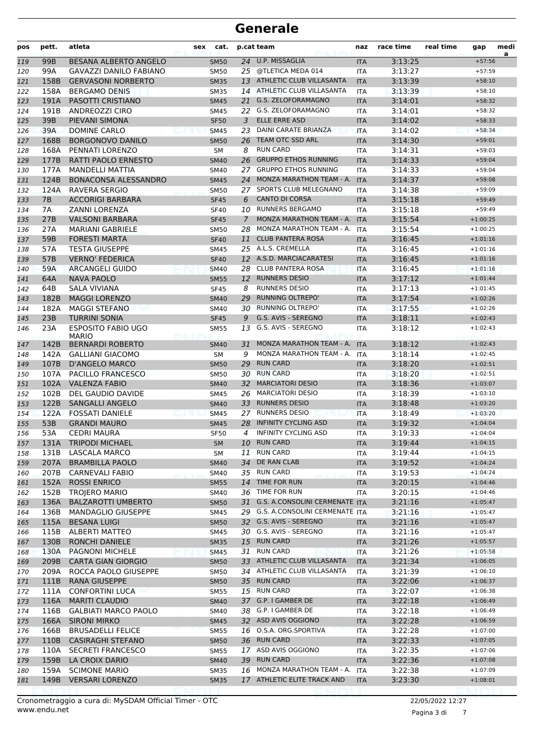| pos        | pett.        | atleta                                               | sex | cat.                |               | p.cat team                                                 | naz                      | race time          | real time | gap                      | medi<br>a |
|------------|--------------|------------------------------------------------------|-----|---------------------|---------------|------------------------------------------------------------|--------------------------|--------------------|-----------|--------------------------|-----------|
| 119        | 99B          | <b>BESANA ALBERTO ANGELO</b>                         |     | <b>SM50</b>         |               | 24 U.P. MISSAGLIA                                          | <b>ITA</b>               | 3:13:25            |           | $+57:56$                 |           |
| 120        | 99A          | <b>GAVAZZI DANILO FABIANO</b>                        |     | <b>SM50</b>         | 25            | @TLETICA MEDA 014                                          | <b>ITA</b>               | 3:13:27            |           | $+57:59$                 |           |
| 121        | 158B         | <b>GERVASONI NORBERTO</b>                            |     | <b>SM35</b>         |               | 13 ATHLETIC CLUB VILLASANTA                                | <b>ITA</b>               | 3:13:39            |           | $+58:10$                 |           |
| 122        | 158A         | <b>BERGAMO DENIS</b>                                 |     | <b>SM35</b>         |               | 14 ATHLETIC CLUB VILLASANTA                                | <b>ITA</b>               | 3:13:39            |           | $+58:10$                 |           |
| 123        | 191A         | PASOTTI CRISTIANO                                    |     | <b>SM45</b>         | 21            | <b>G.S. ZELOFORAMAGNO</b>                                  | <b>ITA</b>               | 3:14:01            |           | $+58:32$                 |           |
| 124        | 191B         | ANDREOZZI CIRO                                       |     | <b>SM45</b>         |               | 22 G.S. ZELOFORAMAGNO                                      | <b>ITA</b>               | 3:14:01            |           | $+58:32$                 |           |
| 125        | 39B          | PIEVANI SIMONA                                       |     | <b>SF50</b>         | 3             | <b>ELLE ERRE ASD</b>                                       | <b>ITA</b>               | 3:14:02            |           | $+58:33$                 |           |
| 126        | 39A          | DOMINE CARLO                                         |     | <b>SM45</b>         | 23            | DAINI CARATE BRIANZA                                       | <b>ITA</b>               | 3:14:02            |           | $+58:34$                 |           |
| 127        | 168B         | <b>BORGONOVO DANILO</b>                              |     | <b>SM50</b>         | 26            | TEAM OTC SSD ARL<br><b>RUN CARD</b>                        | <b>ITA</b>               | 3:14:30            |           | $+59:01$<br>$+59:03$     |           |
| 128        | 168A         | PENNATI LORENZO                                      |     | SΜ                  | 8<br>26       | <b>GRUPPO ETHOS RUNNING</b>                                | ITA                      | 3:14:31            |           |                          |           |
| 129<br>130 | 177B<br>177A | RATTI PAOLO ERNESTO<br><b>MANDELLI MATTIA</b>        |     | <b>SM40</b><br>SM40 | 27            | <b>GRUPPO ETHOS RUNNING</b>                                | <b>ITA</b><br><b>ITA</b> | 3:14:33<br>3:14:33 |           | $+59:04$<br>$+59:04$     |           |
| 131        | 124B         | <b>BONACONSA ALESSANDRO</b>                          |     | <b>SM45</b>         | 24            | MONZA MARATHON TEAM - A.                                   | <b>ITA</b>               | 3:14:37            |           | $+59:08$                 |           |
| 132        | 124A         | RAVERA SERGIO                                        |     | <b>SM50</b>         |               | 27 SPORTS CLUB MELEGNANO                                   | ITA                      | 3:14:38            |           | $+59:09$                 |           |
| 133        | 7B           | <b>ACCORIGI BARBARA</b>                              |     | <b>SF45</b>         | 6             | <b>CANTO DI CORSA</b>                                      | <b>ITA</b>               | 3:15:18            |           | $+59:49$                 |           |
| 134        | 7A           | <b>ZANNI LORENZA</b>                                 |     | <b>SF40</b>         | 10            | <b>RUNNERS BERGAMO</b>                                     | <b>ITA</b>               | 3:15:18            |           | $+59:49$                 |           |
| 135        | 27B          | <b>VALSONI BARBARA</b>                               |     | <b>SF45</b>         | $\mathcal{I}$ | MONZA MARATHON TEAM - A.                                   | <b>ITA</b>               | 3:15:54            |           | $+1:00:25$               |           |
| 136        | 27A          | <b>MARIANI GABRIELE</b>                              |     | <b>SM50</b>         | 28            | MONZA MARATHON TEAM - A.                                   | <b>ITA</b>               | 3:15:54            |           | $+1:00:25$               |           |
| 137        | 59B          | <b>FORESTI MARTA</b>                                 |     | <b>SF40</b>         | 11            | <b>CLUB PANTERA ROSA</b>                                   | <b>ITA</b>               | 3:16:45            |           | $+1:01:16$               |           |
| 138        | 57A          | <b>TESTA GIUSEPPE</b>                                |     | SM45                |               | 25 A.L.S. CREMELLA                                         | <b>ITA</b>               | 3:16:45            |           | $+1:01:16$               |           |
| 139        | 57B          | <b>VERNO' FEDERICA</b>                               |     | <b>SF40</b>         |               | 12 A.S.D. MARCIACARATESI                                   | <b>ITA</b>               | 3:16:45            |           | $+1:01:16$               |           |
| 140        | 59A          | <b>ARCANGELI GUIDO</b>                               |     | <b>SM40</b>         | 28            | <b>CLUB PANTERA ROSA</b>                                   | <b>ITA</b>               | 3:16:45            |           | $+1:01:16$               |           |
| 141        | 64A          | <b>NAVA PAOLO</b>                                    |     | <b>SM55</b>         |               | 12 RUNNERS DESIO                                           | <b>ITA</b>               | 3:17:12            |           | $+1:01:44$               |           |
| 142        | 64B          | <b>SALA VIVIANA</b>                                  |     | <b>SF45</b>         | 8             | <b>RUNNERS DESIO</b>                                       | <b>ITA</b>               | 3:17:13            |           | $+1:01:45$               |           |
| 143        | 182B         | <b>MAGGI LORENZO</b>                                 |     | <b>SM40</b>         | 29            | <b>RUNNING OLTREPO'</b>                                    | <b>ITA</b>               | 3:17:54            |           | $+1:02:26$               |           |
| 144        | 182A         | <b>MAGGI STEFANO</b>                                 |     | SM40                |               | 30 RUNNING OLTREPO'                                        | ITA                      | 3:17:55            |           | $+1:02:26$               |           |
| 145        | 23B          | <b>TURRINI SONIA</b>                                 |     | <b>SF45</b>         | 9             | G.S. AVIS - SEREGNO                                        | <b>ITA</b>               | 3:18:11            |           | $+1:02:43$               |           |
| 146        | 23A          | <b>ESPOSITO FABIO UGO</b><br><b>MARIO</b>            |     | <b>SM55</b>         | 13            | G.S. AVIS - SEREGNO                                        | ITA                      | 3:18:12            |           | $+1:02:43$               |           |
| 147        | 142B         | <b>BERNARDI ROBERTO</b>                              |     | <b>SM40</b>         | 31            | MONZA MARATHON TEAM - A.                                   | <b>ITA</b>               | 3:18:12            |           | $+1:02:43$               |           |
| 148        | 142A         | <b>GALLIANI GIACOMO</b>                              |     | SM                  | 9             | MONZA MARATHON TEAM - A.                                   | <b>ITA</b>               | 3:18:14            |           | $+1:02:45$               |           |
| 149        | 107B         | <b>D'ANGELO MARCO</b>                                |     | <b>SM50</b>         | 29            | <b>RUN CARD</b>                                            | <b>ITA</b>               | 3:18:20            |           | $+1:02:51$               |           |
| 150        | 107A         | PACILLO FRANCESCO                                    |     | SM50                |               | 30 RUN CARD                                                | ITA                      | 3:18:20            |           | $+1:02:51$               |           |
| 151        | 102A         | <b>VALENZA FABIO</b>                                 |     | <b>SM40</b>         |               | 32 MARCIATORI DESIO                                        | <b>ITA</b>               | 3:18:36            |           | $+1:03:07$               |           |
| 152        | 102B         | DEL GAUDIO DAVIDE                                    |     | <b>SM45</b>         |               | 26 MARCIATORI DESIO                                        | ITA                      | 3:18:39            |           | $+1:03:10$               |           |
| 153        | 122B         | <b>SANGALLI ANGELO</b>                               |     | <b>SM40</b>         | 33            | <b>RUNNERS DESIO</b>                                       | <b>ITA</b>               | 3:18:48            |           | $+1:03:20$               |           |
| 154        | 122A         | <b>FOSSATI DANIELE</b>                               |     | <b>SM45</b>         |               | 27 RUNNERS DESIO                                           | <b>ITA</b>               | 3:18:49            |           | $+1:03:20$               |           |
| 155        | 53B          | <b>GRANDI MAURO</b>                                  |     | <b>SM45</b>         | 28            | <b>INFINITY CYCLING ASD</b>                                | <b>ITA</b>               | 3:19:32            |           | $+1:04:04$               |           |
| 156        | 53A          | <b>CEDRI MAURA</b>                                   |     | <b>SF50</b>         | 4             | <b>INFINITY CYCLING ASD</b>                                | <b>ITA</b>               | 3:19:33            |           | $+1:04:04$               |           |
| 157        |              | 131A TRIPODI MICHAEL                                 |     | SM                  |               | 10 RUN CARD                                                | <b>ITA</b>               | 3:19:44            |           | $+1:04:15$               |           |
| 158        | 131B         | LASCALA MARCO                                        |     | SM                  |               | 11 RUN CARD                                                | ITA                      | 3:19:44            |           | $+1:04:15$               |           |
| 159        | 207A         | <b>BRAMBILLA PAOLO</b>                               |     | SM40                | 34            | DE RAN CLAB                                                | <b>ITA</b>               | 3:19:52            |           | $+1:04:24$               |           |
| 160        | 207B         | <b>CARNEVALI FABIO</b>                               |     | SM40                |               | 35 RUN CARD                                                | <b>ITA</b>               | 3:19:53            |           | $+1:04:24$               |           |
| 161        | 152A         | <b>ROSSI ENRICO</b>                                  |     | <b>SM55</b>         |               | 14 TIME FOR RUN                                            | <b>ITA</b>               | 3:20:15            |           | $+1:04:46$               |           |
| 162        | 152B         | <b>TROJERO MARIO</b>                                 |     | SM40                | 36            | TIME FOR RUN                                               | ITA                      | 3:20:15            |           | $+1:04:46$               |           |
| 163        | 136A         | <b>BALZAROTTI UMBERTO</b>                            |     | <b>SM50</b>         |               | 31 G.S. A.CONSOLINI CERMENATE ITA                          |                          | 3:21:16            |           | $+1:05:47$               |           |
| 164        | 136B         | <b>MANDAGLIO GIUSEPPE</b>                            |     | SM45                |               | 29 G.S. A.CONSOLINI CERMENATE ITA                          |                          | 3:21:16            |           | $+1:05:47$               |           |
| 165        | 115A         | <b>BESANA LUIGI</b>                                  |     | <b>SM50</b>         |               | 32 G.S. AVIS - SEREGNO                                     | <b>ITA</b>               | 3:21:16            |           | $+1:05:47$               |           |
| 166        | 115B         | ALBERTI MATTEO                                       |     | SM45                |               | 30 G.S. AVIS - SEREGNO                                     | ITA                      | 3:21:16            |           | $+1:05:47$               |           |
| 167        | 130B         | <b>RONCHI DANIELE</b>                                |     | <b>SM35</b>         |               | 15 RUN CARD                                                | <b>ITA</b>               | 3:21:26            |           | $+1:05:57$               |           |
| 168        | 130A         | PAGNONI MICHELE                                      |     | SM45                |               | 31 RUN CARD                                                | <b>ITA</b>               | 3:21:26            |           | $+1:05:58$               |           |
| 169        | 209B         | <b>CARTA GIAN GIORGIO</b>                            |     | <b>SM50</b>         |               | 33 ATHLETIC CLUB VILLASANTA<br>34 ATHLETIC CLUB VILLASANTA | <b>ITA</b>               | 3:21:34            |           | $+1:06:05$               |           |
| 170        | 209A         | ROCCA PAOLO GIUSEPPE                                 |     | SM50                |               | 35 RUN CARD                                                | ITA                      | 3:21:39            |           | $+1:06:10$               |           |
| 171        | 111B<br>111A | RANA GIUSEPPE<br><b>CONFORTINI LUCA</b>              |     | <b>SM50</b>         |               | 15 RUN CARD                                                | <b>ITA</b>               | 3:22:06            |           | $+1:06:37$<br>$+1:06:38$ |           |
| 172        |              |                                                      |     | <b>SM55</b>         |               | 37 G.P. I GAMBER DE                                        | <b>ITA</b>               | 3:22:07            |           | $+1:06:49$               |           |
| 173<br>174 | 116A<br>116B | <b>MARITI CLAUDIO</b><br><b>GALBIATI MARCO PAOLO</b> |     | <b>SM40</b><br>SM40 |               | 38 G.P. I GAMBER DE                                        | <b>ITA</b><br>ITA        | 3:22:18<br>3:22:18 |           | $+1:06:49$               |           |
| 175        | 166A         | <b>SIRONI MIRKO</b>                                  |     | <b>SM45</b>         |               | 32 ASD AVIS OGGIONO                                        | <b>ITA</b>               | 3:22:28            |           | $+1:06:59$               |           |
| 176        | 166B         | <b>BRUSADELLI FELICE</b>                             |     | <b>SM55</b>         |               | 16 O.S.A. ORG.SPORTIVA                                     | ITA                      | 3:22:28            |           | $+1:07:00$               |           |
| 177        | 110B         | <b>CASIRAGHI STEFANO</b>                             |     | <b>SM50</b>         |               | 36 RUN CARD                                                | <b>ITA</b>               | 3:22:33            |           | $+1:07:05$               |           |
| 178        | 110A         | <b>SECRETI FRANCESCO</b>                             |     | <b>SM55</b>         |               | 17 ASD AVIS OGGIONO                                        | <b>ITA</b>               | 3:22:35            |           | $+1:07:06$               |           |
| 179        | 159B         | LA CROIX DARIO                                       |     | <b>SM40</b>         |               | 39 RUN CARD                                                | <b>ITA</b>               | 3:22:36            |           | $+1:07:08$               |           |
| 180        | 159A         | <b>SCIMONE MARIO</b>                                 |     | SM35                |               | 16 MONZA MARATHON TEAM - A.                                | ITA                      | 3:22:38            |           | $+1:07:09$               |           |
| 181        | 149B         | <b>VERSARI LORENZO</b>                               |     | <b>SM35</b>         |               | 17 ATHLETIC ELITE TRACK AND                                | <b>ITA</b>               | 3:23:30            |           | $+1:08:01$               |           |
|            |              |                                                      |     |                     |               |                                                            |                          |                    |           |                          |           |

Pagina 3 di 7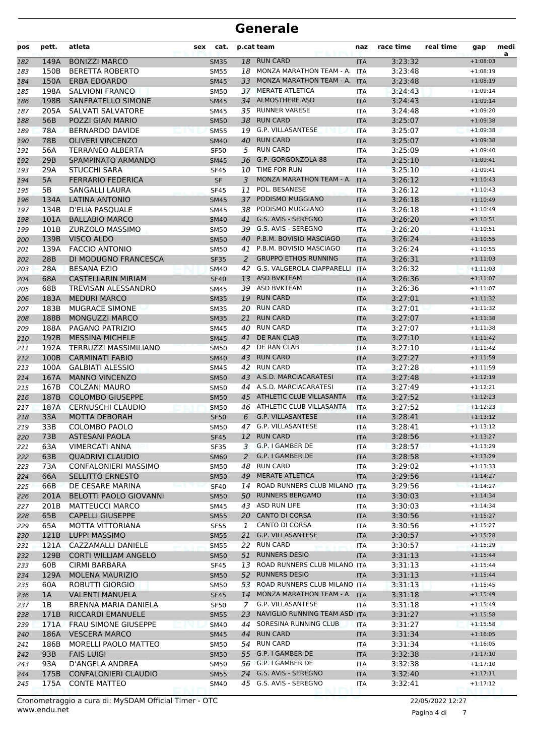| pos        | pett.        | atleta                                         | sex | cat.                       |          | p.cat team                                           | naz                      | race time          | real time | gap                      | medi<br>a |
|------------|--------------|------------------------------------------------|-----|----------------------------|----------|------------------------------------------------------|--------------------------|--------------------|-----------|--------------------------|-----------|
| 182        | 149A         | <b>BONIZZI MARCO</b>                           |     | <b>SM35</b>                | 18       | <b>RUN CARD</b>                                      | <b>ITA</b>               | 3:23:32            |           | $+1:08:03$               |           |
| 183        | 150B         | <b>BERETTA ROBERTO</b>                         |     | <b>SM55</b>                |          | 18 MONZA MARATHON TEAM - A.                          | ITA                      | 3:23:48            |           | $+1:08:19$               |           |
| 184        | 150A         | <b>ERBA EDOARDO</b>                            |     | <b>SM45</b>                | 33       | MONZA MARATHON TEAM - A.                             | <b>ITA</b>               | 3:23:48            |           | $+1:08:19$               |           |
| 185        | 198A         | <b>SALVIONI FRANCO</b>                         |     | <b>SM50</b>                | 37       | <b>MERATE ATLETICA</b>                               | <b>ITA</b>               | 3:24:43            |           | $+1:09:14$               |           |
| 186        | 198B         | SANFRATELLO SIMONE                             |     | <b>SM45</b>                | 34       | <b>ALMOSTHERE ASD</b>                                | <b>ITA</b>               | 3:24:43            |           | $+1:09:14$               |           |
| 187        | 205A         | SALVATI SALVATORE                              |     | <b>SM45</b>                |          | 35 RUNNER VARESE                                     | <b>ITA</b>               | 3:24:48            |           | $+1:09:20$               |           |
| 188        | 56B          | POZZI GIAN MARIO                               |     | <b>SM50</b>                | 38       | <b>RUN CARD</b>                                      | <b>ITA</b>               | 3:25:07            |           | $+1:09:38$               |           |
| 189        | <b>78A</b>   | <b>BERNARDO DAVIDE</b>                         |     | <b>SM55</b>                |          | 19 G.P. VILLASANTESE                                 | <b>ITA</b>               | 3:25:07            |           | $+1:09:38$               |           |
| 190        | 78B          | <b>OLIVERI VINCENZO</b>                        |     | <b>SM40</b>                | 40       | <b>RUN CARD</b><br><b>RUN CARD</b>                   | <b>ITA</b>               | 3:25:07            |           | $+1:09:38$<br>$+1:09:40$ |           |
| 191        | 56A          | <b>TERRANEO ALBERTA</b>                        |     | <b>SF50</b>                | 5        | G.P. GORGONZOLA 88                                   | <b>ITA</b>               | 3:25:09            |           | $+1:09:41$               |           |
| 192<br>193 | 29B<br>29A   | SPAMPINATO ARMANDO<br><b>STUCCHI SARA</b>      |     | <b>SM45</b><br><b>SF45</b> | 36       | 10 TIME FOR RUN                                      | <b>ITA</b><br><b>ITA</b> | 3:25:10<br>3:25:10 |           | $+1:09:41$               |           |
|            | 5A           | <b>FERRARIO FEDERICA</b>                       |     | SF                         | 3        | MONZA MARATHON TEAM - A.                             | <b>ITA</b>               | 3:26:12            |           | $+1:10:43$               |           |
| 194<br>195 | 5B           | SANGALLI LAURA                                 |     | <b>SF45</b>                | 11       | POL. BESANESE                                        | <b>ITA</b>               | 3:26:12            |           | $+1:10:43$               |           |
| 196        | 134A         | LATINA ANTONIO                                 |     | <b>SM45</b>                | 37       | PODISMO MUGGIANO                                     | <b>ITA</b>               | 3:26:18            |           | $+1:10:49$               |           |
| 197        | 134B         | D'ELIA PASQUALE                                |     | <b>SM45</b>                | 38       | PODISMO MUGGIANO                                     | <b>ITA</b>               | 3:26:18            |           | $+1:10:49$               |           |
| 198        | 101A         | <b>BALLABIO MARCO</b>                          |     | <b>SM40</b>                | 41       | G.S. AVIS - SEREGNO                                  | <b>ITA</b>               | 3:26:20            |           | $+1:10:51$               |           |
| 199        | 101B         | ZURZOLO MASSIMO                                |     | <b>SM50</b>                |          | 39 G.S. AVIS - SEREGNO                               | <b>ITA</b>               | 3:26:20            |           | $+1:10:51$               |           |
| 200        | 139B         | VISCO ALDO                                     |     | <b>SM50</b>                |          | 40 P.B.M. BOVISIO MASCIAGO                           | <b>ITA</b>               | 3:26:24            |           | $+1:10:55$               |           |
| 201        | 139A         | <b>FACCIO ANTONIO</b>                          |     | <b>SM50</b>                |          | 41 P.B.M. BOVISIO MASCIAGO                           | <b>ITA</b>               | 3:26:24            |           | $+1:10:55$               |           |
| 202        | 28B          | DI MODUGNO FRANCESCA                           |     | <b>SF35</b>                | 2        | <b>GRUPPO ETHOS RUNNING</b>                          | <b>ITA</b>               | 3:26:31            |           | $+1:11:03$               |           |
| 203        | 28A          | <b>BESANA EZIO</b>                             |     | <b>SM40</b>                | 42       | G.S. VALGEROLA CIAPPARELLI                           | <b>ITA</b>               | 3:26:32            |           | $+1:11:03$               |           |
| 204        | 68A          | <b>CASTELLARIN MIRIAM</b>                      |     | <b>SF40</b>                | 13       | <b>ASD BVKTEAM</b>                                   | <b>ITA</b>               | 3:26:36            |           | $+1:11:07$               |           |
| 205        | 68B          | TREVISAN ALESSANDRO                            |     | <b>SM45</b>                |          | 39 ASD BVKTEAM                                       | <b>ITA</b>               | 3:26:36            |           | $+1:11:07$               |           |
| 206        | 183A         | <b>MEDURI MARCO</b>                            |     | <b>SM35</b>                | 19       | <b>RUN CARD</b>                                      | <b>ITA</b>               | 3:27:01            |           | $+1:11:32$               |           |
| 207        | 183B         | <b>MUGRACE SIMONE</b>                          |     | <b>SM35</b>                |          | 20 RUN CARD                                          | <b>ITA</b>               | 3:27:01            |           | $+1:11:32$               |           |
| 208        | 188B         | <b>MONGUZZI MARCO</b>                          |     | <b>SM35</b>                | 21       | <b>RUN CARD</b>                                      | <b>ITA</b>               | 3:27:07            |           | $+1:11:38$               |           |
| 209        | 188A         | PAGANO PATRIZIO                                |     | <b>SM45</b>                | 40       | <b>RUN CARD</b>                                      | <b>ITA</b>               | 3:27:07            |           | $+1:11:38$               |           |
| 210        | 192B         | <b>MESSINA MICHELE</b>                         |     | <b>SM45</b>                | 41       | DE RAN CLAB                                          | <b>ITA</b>               | 3:27:10            |           | $+1:11:42$               |           |
| 211        | 192A         | TERRUZZI MASSIMILIANO                          |     | <b>SM50</b>                | 42       | DE RAN CLAB                                          | <b>ITA</b>               | 3:27:10            |           | $+1:11:42$               |           |
| 212        | 100B         | <b>CARMINATI FABIO</b>                         |     | <b>SM40</b>                | 43       | <b>RUN CARD</b>                                      | <b>ITA</b>               | 3:27:27            |           | $+1:11:59$               |           |
| 213        | 100A         | <b>GALBIATI ALESSIO</b>                        |     | SM45                       |          | 42 RUN CARD                                          | <b>ITA</b>               | 3:27:28            |           | $+1:11:59$               |           |
| 214        | 167A         | <b>MANNO VINCENZO</b>                          |     | <b>SM50</b>                |          | 43 A.S.D. MARCIACARATESI                             | <b>ITA</b>               | 3:27:48            |           | $+1:12:19$               |           |
| 215        | 167B         | <b>COLZANI MAURO</b>                           |     | <b>SM50</b>                | 44       | A.S.D. MARCIACARATESI                                | <b>ITA</b>               | 3:27:49            |           | $+1:12:21$               |           |
| 216        | 187B         | <b>COLOMBO GIUSEPPE</b>                        |     | <b>SM50</b>                | 45       | ATHLETIC CLUB VILLASANTA                             | <b>ITA</b>               | 3:27:52            |           | $+1:12:23$               |           |
| 217        | 187A         | <b>CERNUSCHI CLAUDIO</b>                       |     | <b>SM50</b>                |          | 46 ATHLETIC CLUB VILLASANTA                          | <b>ITA</b>               | 3:27:52            |           | $+1:12:23$               |           |
| 218        | 33A          | <b>MOTTA DEBORAH</b>                           |     | <b>SF50</b>                | 6        | G.P. VILLASANTESE                                    | <b>ITA</b>               | 3:28:41            |           | $+1:13:12$               |           |
| 219        | 33B          | COLOMBO PAOLO                                  |     | <b>SM50</b>                | 47       | G.P. VILLASANTESE                                    | <b>ITA</b>               | 3:28:41            |           | $+1:13:12$               |           |
| 220        | 73B          | <b>ASTESANI PAOLA</b>                          |     | <b>SF45</b>                |          | 12 RUN CARD                                          | <b>ITA</b>               | 3:28:56            |           | $+1:13:27$               |           |
| 221        | 63A          | <b>VIMERCATI ANNA</b>                          |     | <b>SF35</b>                | 3        | G.P. I GAMBER DE                                     | ITA                      | 3:28:57            |           | $+1:13:29$               |           |
| 222        | 63B          | <b>QUADRIVI CLAUDIO</b>                        |     | <b>SM60</b>                | 2        | G.P. I GAMBER DE                                     | <b>ITA</b>               | 3:28:58            |           | $+1:13:29$               |           |
| 223        | 73A          | CONFALONIERI MASSIMO                           |     | SM50                       | 48       | <b>RUN CARD</b>                                      | ITA                      | 3:29:02            |           | $+1:13:33$               |           |
| 224        | 66A          | SELLITTO ERNESTO                               |     | <b>SM50</b>                | 49       | <b>MERATE ATLETICA</b>                               | <b>ITA</b>               | 3:29:56            |           | $+1:14:27$               |           |
| 225        | 66B          | DE CESARE MARINA                               |     | <b>SF40</b>                |          | 14 ROAD RUNNERS CLUB MILANO ITA                      |                          | 3:29:56            |           | $+1:14:27$               |           |
| 226        | 201A         | <b>BELOTTI PAOLO GIOVANNI</b>                  |     | <b>SM50</b>                | 50       | <b>RUNNERS BERGAMO</b>                               | <b>ITA</b>               | 3:30:03            |           | $+1:14:34$               |           |
| 227        | 201B         | MATTEUCCI MARCO                                |     | SM45                       |          | 43 ASD RUN LIFE                                      | ITA                      | 3:30:03            |           | $+1:14:34$               |           |
| 228        | 65B          | <b>CAPELLI GIUSEPPE</b>                        |     | <b>SM55</b>                |          | 20 CANTO DI CORSA                                    | <b>ITA</b>               | 3:30:56            |           | $+1:15:27$               |           |
| 229        | 65A          | MOTTA VITTORIANA                               |     | <b>SF55</b>                | 1        | CANTO DI CORSA                                       | ITA                      | 3:30:56            |           | $+1:15:27$               |           |
| 230        | 121B         | <b>LUPPI MASSIMO</b>                           |     | <b>SM55</b>                | 21       | G.P. VILLASANTESE                                    | <b>ITA</b>               | 3:30:57            |           | $+1:15:28$               |           |
| 231        | 121A         | CAZZAMALLI DANIELE                             |     | <b>SM55</b>                |          | 22 RUN CARD                                          | ITA                      | 3:30:57            |           | $+1:15:29$               |           |
| 232        | 129B         | <b>CORTI WILLIAM ANGELO</b>                    |     | <b>SM50</b>                | 51       | <b>RUNNERS DESIO</b>                                 | <b>ITA</b>               | 3:31:13            |           | $+1:15:44$               |           |
| 233        | 60B          | CIRMI BARBARA                                  |     | SF45                       | 13       | ROAD RUNNERS CLUB MILANO ITA                         |                          | 3:31:13            |           | $+1:15:44$               |           |
| 234        | 129A         | <b>MOLENA MAURIZIO</b>                         |     | <b>SM50</b>                | 52       | <b>RUNNERS DESIO</b>                                 | <b>ITA</b>               | 3:31:13            |           | $+1:15:44$               |           |
| 235        | 60A          | ROBUTTI GIORGIO                                |     | SM50                       |          | 53 ROAD RUNNERS CLUB MILANO ITA                      |                          | 3:31:13            |           | $+1:15:45$               |           |
| 236        | 1A           | <b>VALENTI MANUELA</b><br>BRENNA MARIA DANIELA |     | <b>SF45</b>                |          | 14 MONZA MARATHON TEAM - A. ITA<br>G.P. VILLASANTESE |                          | 3:31:18            |           | $+1:15:49$               |           |
| 237        | 1B           |                                                |     | SF50                       | 7        | NAVIGLIO RUNNING TEAM ASD ITA                        | ITA                      | 3:31:18            |           | $+1:15:49$               |           |
| 238        | 171B         | RICCARDI EMANUELE                              |     | <b>SM55</b>                | 23       | SORESINA RUNNING CLUB                                |                          | 3:31:27            |           | $+1:15:58$               |           |
| 239        | 171A<br>186A | FRAU SIMONE GIUSEPPE<br><b>VESCERA MARCO</b>   |     | <b>SM40</b><br><b>SM45</b> | 44<br>44 | <b>RUN CARD</b>                                      | <b>ITA</b>               | 3:31:27<br>3:31:34 |           | $+1:15:58$<br>$+1:16:05$ |           |
| 240        | 186B         | <b>MORELLI PAOLO MATTEO</b>                    |     | SM50                       |          | 54 RUN CARD                                          | <b>ITA</b><br>ITA        | 3:31:34            |           | $+1:16:05$               |           |
| 241<br>242 | 93B          | <b>FAIS LUIGI</b>                              |     | <b>SM50</b>                |          | 55 G.P. I GAMBER DE                                  | <b>ITA</b>               | 3:32:38            |           | $+1:17:10$               |           |
| 243        | 93A          | D'ANGELA ANDREA                                |     | <b>SM50</b>                |          | 56 G.P. I GAMBER DE                                  | ITA                      | 3:32:38            |           | $+1:17:10$               |           |
| 244        | 175B         | <b>CONFALONIERI CLAUDIO</b>                    |     | <b>SM55</b>                |          | 24 G.S. AVIS - SEREGNO                               | <b>ITA</b>               | 3:32:40            |           | $+1:17:11$               |           |
| 245        | 175A         | <b>CONTE MATTEO</b>                            |     | SM40                       |          | 45 G.S. AVIS - SEREGNO                               | ITA                      | 3:32:41            |           | $+1:17:12$               |           |
|            |              |                                                |     |                            |          |                                                      |                          |                    |           |                          |           |

Pagina 4 di 7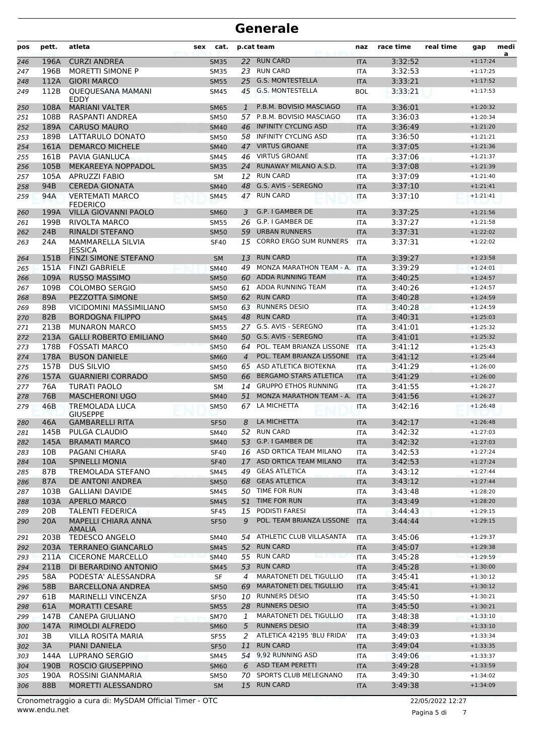| pos        | pett.           | atleta                                      | sex | cat.                       |                | p.cat team                                       | naz                      | race time          | real time | gap                      | medi<br>a |
|------------|-----------------|---------------------------------------------|-----|----------------------------|----------------|--------------------------------------------------|--------------------------|--------------------|-----------|--------------------------|-----------|
| 246        | 196A            | <b>CURZI ANDREA</b>                         |     | <b>SM35</b>                |                | 22 RUN CARD                                      | <b>ITA</b>               | 3:32:52            |           | $+1:17:24$               |           |
| 247        | 196B            | <b>MORETTI SIMONE P</b>                     |     | <b>SM35</b>                |                | 23 RUN CARD                                      | <b>ITA</b>               | 3:32:53            |           | $+1:17:25$               |           |
| 248        | 112A            | <b>GIORI MARCO</b>                          |     | <b>SM55</b>                | 25             | <b>G.S. MONTESTELLA</b>                          | <b>ITA</b>               | 3:33:21            |           | $+1:17:52$               |           |
| 249        | 112B            | <b>QUEQUESANA MAMANI</b><br><b>FDDY</b>     |     | <b>SM45</b>                | 45             | <b>G.S. MONTESTELLA</b>                          | <b>BOL</b>               | 3:33:21            |           | $+1:17:53$               |           |
| 250        | 108A            | <b>MARIANI VALTER</b>                       |     | <b>SM65</b>                | $\mathbf{1}$   | P.B.M. BOVISIO MASCIAGO                          | <b>ITA</b>               | 3:36:01            |           | $+1:20:32$               |           |
| 251        | 108B            | RASPANTI ANDREA                             |     | <b>SM50</b>                | 57.            | P.B.M. BOVISIO MASCIAGO                          | <b>ITA</b>               | 3:36:03            |           | $+1:20:34$               |           |
| 252        | 189A            | <b>CARUSO MAURO</b>                         |     | <b>SM40</b>                | 46             | <b>INFINITY CYCLING ASD</b>                      | <b>ITA</b>               | 3:36:49            |           | $+1:21:20$               |           |
| 253        | 189B            | LATTARULO DONATO                            |     | <b>SM50</b>                | 58.            | <b>INFINITY CYCLING ASD</b>                      | <b>ITA</b>               | 3:36:50            |           | $+1:21:21$               |           |
| 254        | 161A            | <b>DEMARCO MICHELE</b>                      |     | <b>SM40</b>                | 47             | <b>VIRTUS GROANE</b>                             | <b>ITA</b>               | 3:37:05            |           | $+1:21:36$               |           |
| 255        | 161B            | <b>PAVIA GIANLUCA</b>                       |     | <b>SM45</b>                | 46             | <b>VIRTUS GROANE</b>                             | <b>ITA</b>               | 3:37:06            |           | $+1:21:37$               |           |
| 256        | 105B            | MEKAREEYA NOPPADOL                          |     | <b>SM35</b>                | 24             | RUNAWAY MILANO A.S.D.                            | <b>ITA</b>               | 3:37:08            |           | $+1:21:39$               |           |
| 257        | 105A            | <b>APRUZZI FABIO</b>                        |     | SM                         | 12             | <b>RUN CARD</b>                                  | <b>ITA</b>               | 3:37:09            |           | $+1:21:40$               |           |
| 258        | 94B             | <b>CEREDA GIONATA</b>                       |     | <b>SM40</b>                | 48             | G.S. AVIS - SEREGNO                              | <b>ITA</b>               | 3:37:10            |           | $+1:21:41$               |           |
| 259        | 94A             | <b>VERTEMATI MARCO</b><br><b>FEDERICO</b>   |     | <b>SM45</b>                | 47             | RUN CARD                                         | <b>ITA</b>               | 3:37:10            |           | $+1:21:41$               |           |
| 260        | 199A            | <b>VILLA GIOVANNI PAOLO</b>                 |     | <b>SM60</b>                | 3              | G.P. I GAMBER DE                                 | <b>ITA</b>               | 3:37:25            |           | $+1:21:56$               |           |
| 261        | 199B            | <b>RIVOLTA MARCO</b>                        |     | <b>SM55</b>                | 26             | G.P. I GAMBER DE                                 | <b>ITA</b>               | 3:37:27            |           | $+1:21:58$               |           |
| 262        | 24 <sub>B</sub> | <b>RINALDI STEFANO</b>                      |     | <b>SM50</b>                | 59             | <b>URBAN RUNNERS</b>                             | <b>ITA</b>               | 3:37:31            |           | $+1:22:02$               |           |
| 263        | 24A             | MAMMARELLA SILVIA<br><b>IESSICA</b>         |     | <b>SF40</b>                | 15             | <b>CORRO ERGO SUM RUNNERS</b><br><b>RUN CARD</b> | <b>ITA</b>               | 3:37:31            |           | $+1:22:02$               |           |
| 264        | 151B            | <b>FINZI SIMONE STEFANO</b>                 |     | <b>SM</b>                  | 13             |                                                  | <b>ITA</b>               | 3:39:27            |           | $+1:23:58$               |           |
| 265        | 151A            | <b>FINZI GABRIELE</b>                       |     | <b>SM40</b>                | 49             | MONZA MARATHON TEAM - A.                         | <b>ITA</b>               | 3:39:29            |           | $+1:24:01$               |           |
| 266        | 109A            | <b>RUSSO MASSIMO</b>                        |     | <b>SM50</b>                | 60             | ADDA RUNNING TEAM<br>ADDA RUNNING TEAM           | <b>ITA</b>               | 3:40:25            |           | $+1:24:57$<br>$+1:24:57$ |           |
| 267        | 109B            | <b>COLOMBO SERGIO</b>                       |     | <b>SM50</b>                | 61             | 62 RUN CARD                                      | <b>ITA</b>               | 3:40:26            |           |                          |           |
| 268        | 89A<br>89B      | PEZZOTTA SIMONE<br>VICIDOMINI MASSIMILIANO  |     | <b>SM50</b>                |                | 63 RUNNERS DESIO                                 | <b>ITA</b>               | 3:40:28<br>3:40:28 |           | $+1:24:59$<br>$+1:24:59$ |           |
| 269        | 82B             | <b>BORDOGNA FILIPPO</b>                     |     | <b>SM50</b><br><b>SM45</b> | 48             | <b>RUN CARD</b>                                  | <b>ITA</b><br><b>ITA</b> | 3:40:31            |           | $+1:25:03$               |           |
| 270<br>271 | 213B            | <b>MUNARON MARCO</b>                        |     | <b>SM55</b>                |                | 27 G.S. AVIS - SEREGNO                           | <b>ITA</b>               | 3:41:01            |           | $+1:25:32$               |           |
| 272        | 213A            | <b>GALLI ROBERTO EMILIANO</b>               |     | <b>SM40</b>                | 50             | G.S. AVIS - SEREGNO                              | <b>ITA</b>               | 3:41:01            |           | $+1:25:32$               |           |
| 273        | 178B            | <b>FOSSATI MARCO</b>                        |     | <b>SM50</b>                | 64             | POL. TEAM BRIANZA LISSONE                        | <b>ITA</b>               | 3:41:12            |           | $+1:25:43$               |           |
| 274        | 178A            | <b>BUSON DANIELE</b>                        |     | <b>SM60</b>                | 4              | POL. TEAM BRIANZA LISSONE                        | <b>ITA</b>               | 3:41:12            |           | $+1:25:44$               |           |
| 275        | 157B            | DUS SILVIO                                  |     | <b>SM50</b>                |                | 65 ASD ATLETICA BIOTEKNA                         | <b>ITA</b>               | 3:41:29            |           | $+1:26:00$               |           |
| 276        | 157A            | <b>GUARNIERI CORRADO</b>                    |     | <b>SM50</b>                | 66             | <b>BERGAMO STARS ATLETICA</b>                    | <b>ITA</b>               | 3:41:29            |           | $+1:26:00$               |           |
| 277        | 76A             | <b>TURATI PAOLO</b>                         |     | SM                         | 14             | <b>GRUPPO ETHOS RUNNING</b>                      | <b>ITA</b>               | 3:41:55            |           | $+1:26:27$               |           |
| 278        | 76B             | <b>MASCHERONI UGO</b>                       |     | <b>SM40</b>                | 51             | MONZA MARATHON TEAM - A.                         | <b>ITA</b>               | 3:41:56            |           | $+1:26:27$               |           |
| 279        | 46B             | <b>TREMOLADA LUCA</b><br><b>GIUSEPPE</b>    |     | <b>SM50</b>                | 67             | LA MICHETTA                                      | <b>ITA</b>               | 3:42:16            |           | $+1:26:48$               |           |
| 280        | 46A             | <b>GAMBARELLI RITA</b>                      |     | <b>SF50</b>                | 8              | LA MICHETTA                                      | <b>ITA</b>               | 3:42:17            |           | $+1:26:48$               |           |
| 281        | 145B            | PULGA CLAUDIO                               |     | SM40                       |                | 52 RUN CARD                                      | <b>ITA</b>               | 3:42:32            |           | $+1:27:03$               |           |
| 282        | 145A            | <b>BRAMATI MARCO</b>                        |     | SM40                       |                | 53 G.P. I GAMBER DE                              | <b>ITA</b>               | 3:42:32            |           | $+1:27:03$               |           |
| 283        | 10B             | PAGANI CHIARA                               |     | <b>SF40</b>                |                | 16 ASD ORTICA TEAM MILANO                        | ITA.                     | 3:42:53            |           | $+1:27:24$               |           |
| 284        | 10A             | <b>SPINELLI MONIA</b>                       |     | <b>SF40</b>                |                | 17 ASD ORTICA TEAM MILANO                        | <b>ITA</b>               | 3:42:53            |           | $+1:27:24$               |           |
| 285        | 87B             | TREMOLADA STEFANO                           |     | SM45                       | 49             | <b>GEAS ATLETICA</b>                             | ITA.                     | 3:43:12            |           | $+1:27:44$               |           |
| 286        | 87A             | DE ANTONI ANDREA                            |     | <b>SM50</b>                |                | 68 GEAS ATLETICA                                 | <b>ITA</b>               | 3:43:12            |           | $+1:27:44$               |           |
| 287        | 103B            | <b>GALLIANI DAVIDE</b>                      |     | SM45                       |                | 50 TIME FOR RUN                                  | <b>ITA</b>               | 3:43:48            |           | $+1:28:20$               |           |
| 288        | 103A            | APERLO MARCO                                |     | <b>SM45</b>                | 51             | TIME FOR RUN                                     | <b>ITA</b>               | 3:43:49            |           | $+1:28:20$               |           |
| 289        | 20B             | <b>TALENTI FEDERICA</b>                     |     | <b>SF45</b>                | 15             | <b>PODISTI FARESI</b>                            | ITA                      | 3:44:43            |           | $+1:29:15$               |           |
| 290        | 20A             | MAPELLI CHIARA ANNA<br><b>AMALIA</b>        |     | <b>SF50</b>                | 9              | POL. TEAM BRIANZA LISSONE                        | <b>ITA</b>               | 3:44:44            |           | $+1:29:15$               |           |
| 291        | 203B            | <b>TEDESCO ANGELO</b>                       |     | SM40                       |                | 54 ATHLETIC CLUB VILLASANTA                      | <b>ITA</b>               | 3:45:06            |           | $+1:29:37$               |           |
| 292        | 203A            | <b>TERRANEO GIANCARLO</b>                   |     | <b>SM45</b>                | 52             | <b>RUN CARD</b><br>55 RUN CARD                   | <b>ITA</b>               | 3:45:07            |           | $+1:29:38$<br>$+1:29:59$ |           |
| 293        | 211A<br>211B    | <b>CICERONE MARCELLO</b>                    |     | <b>SM40</b>                |                | 53 RUN CARD                                      | <b>ITA</b>               | 3:45:28            |           | $+1:30:00$               |           |
| 294<br>295 | 58A             | DI BERARDINO ANTONIO<br>PODESTA' ALESSANDRA |     | <b>SM45</b><br>SF          | $\overline{4}$ | <b>MARATONETI DEL TIGULLIO</b>                   | <b>ITA</b><br>ITA        | 3:45:28<br>3:45:41 |           | $+1:30:12$               |           |
| 296        | 58B             | <b>BARCELLONA ANDREA</b>                    |     | <b>SM50</b>                |                | 69 MARATONETI DEL TIGULLIO                       | <b>ITA</b>               | 3:45:41            |           | $+1:30:12$               |           |
| 297        | 61B             | MARINELLI VINCENZA                          |     | <b>SF50</b>                |                | 10 RUNNERS DESIO                                 | ITA                      | 3:45:50            |           | $+1:30:21$               |           |
| 298        | 61A             | <b>MORATTI CESARE</b>                       |     | <b>SM55</b>                | 28             | <b>RUNNERS DESIO</b>                             | <b>ITA</b>               | 3:45:50            |           | $+1:30:21$               |           |
| 299        | 147B            | CANEPA GIULIANO                             |     | <b>SM70</b>                | 1              | <b>MARATONETI DEL TIGULLIO</b>                   | ITA                      | 3:48:38            |           | $+1:33:10$               |           |
| 300        | 147A            | RIMOLDI ALFREDO                             |     | <b>SM60</b>                | 5              | <b>RUNNERS DESIO</b>                             | <b>ITA</b>               | 3:48:39            |           | $+1:33:10$               |           |
| 301        | ЗВ              | <b>VILLA ROSITA MARIA</b>                   |     | <b>SF55</b>                | 2              | ATLETICA 42195 'BLU FRIDA'                       | <b>ITA</b>               | 3:49:03            |           | $+1:33:34$               |           |
| 302        | 3A              | PIANI DANIELA                               |     | <b>SF50</b>                | 11             | <b>RUN CARD</b>                                  | <b>ITA</b>               | 3:49:04            |           | $+1:33:35$               |           |
| 303        | 144A            | <b>LUPRANO SERGIO</b>                       |     | SM45                       |                | 54 9,92 RUNNING ASD                              | ITA                      | 3:49:06            |           | $+1:33:37$               |           |
| 304        | 190B            | ROSCIO GIUSEPPINO                           |     | <b>SM60</b>                | 6              | ASD TEAM PERETTI                                 | <b>ITA</b>               | 3:49:28            |           | $+1:33:59$               |           |
| 305        | 190A            | ROSSINI GIANMARIA                           |     | SM50                       |                | 70 SPORTS CLUB MELEGNANO                         | ITA                      | 3:49:30            |           | $+1:34:02$               |           |
| 306        | 88B             | MORETTI ALESSANDRO                          |     | <b>SM</b>                  |                | 15 RUN CARD                                      | <b>ITA</b>               | 3:49:38            |           | $+1:34:09$               |           |
|            |                 |                                             |     |                            |                |                                                  |                          |                    |           |                          |           |

www.endu.net Cronometraggio a cura di: MySDAM Official Timer - OTC 22/05/2022 12:27

Pagina 5 di 7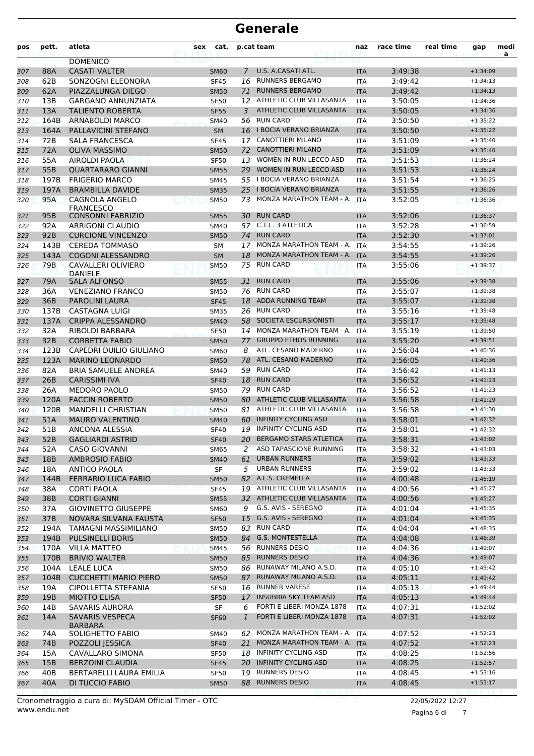| <b>DOMENICO</b><br>U.S. A.CASATI ATL.<br>88A<br><b>CASATI VALTER</b><br>3:49:38<br>307<br><b>SM60</b><br>$\overline{7}$<br><b>ITA</b><br>$+1:34:09$<br>62B<br><b>RUNNERS BERGAMO</b><br>SONZOGNI ELEONORA<br>16<br>3:49:42<br>308<br><b>SF45</b><br><b>ITA</b><br>$+1:34:13$<br><b>RUNNERS BERGAMO</b><br>62A<br>PIAZZALUNGA DIEGO<br>3:49:42<br>$+1:34:13$<br>309<br><b>SM50</b><br>71<br><b>ITA</b><br>ATHLETIC CLUB VILLASANTA<br>13B<br><b>GARGANO ANNUNZIATA</b><br>3:50:05<br>310<br><b>SF50</b><br>12<br><b>ITA</b><br>$+1:34:36$<br>13A<br>ATHLETIC CLUB VILLASANTA<br><b>TALIENTO ROBERTA</b><br><b>SF55</b><br>3:50:05<br>311<br>3<br><b>ITA</b><br>$+1:34:36$<br>56 RUN CARD<br>164B<br>ARNABOLDI MARCO<br>3:50:50<br>$+1:35:22$<br>312<br><b>SM40</b><br><b>ITA</b><br>16 I BOCIA VERANO BRIANZA<br>164A<br>PALLAVICINI STEFANO<br><b>SM</b><br>3:50:50<br>313<br><b>ITA</b><br>$+1:35:22$<br>72B<br>17 CANOTTIERI MILANO<br>314<br><b>SALA FRANCESCA</b><br>3:51:09<br><b>SF45</b><br><b>ITA</b><br>$+1:35:40$<br><b>CANOTTIERI MILANO</b><br>72A<br><b>OLIVA MASSIMO</b><br>72<br>3:51:09<br>$+1:35:40$<br>315<br><b>SM50</b><br><b>ITA</b><br>WOMEN IN RUN LECCO ASD<br>316<br>55A<br>AIROLDI PAOLA<br><b>SF50</b><br>13<br>3:51:53<br><b>ITA</b><br>$+1:36:24$<br>55B<br>WOMEN IN RUN LECCO ASD<br>317<br><b>QUARTARARO GIANNI</b><br><b>SM55</b><br>29<br><b>ITA</b><br>3:51:53<br>$+1:36:24$<br>55 I BOCIA VERANO BRIANZA<br>197B<br><b>FRIGERIO MARCO</b><br>3:51:54<br>$+1:36:25$<br>318<br><b>SM45</b><br><b>ITA</b><br>197A<br><b>BRAMBILLA DAVIDE</b><br>25 I BOCIA VERANO BRIANZA<br><b>ITA</b><br>3:51:55<br>319<br><b>SM35</b><br>$+1:36:26$<br>95A<br>CAGNOLA ANGELO<br>MONZA MARATHON TEAM - A.<br>3:52:05<br>73<br>$+1:36:36$<br>320<br><b>SM50</b><br><b>ITA</b><br><b>FRANCESCO</b><br>95B<br><b>CONSONNI FABRIZIO</b><br><b>RUN CARD</b><br>3:52:06<br>30<br><b>SM55</b><br>$+1:36:37$<br>321<br><b>ITA</b><br>C.T.L. 3 ATLETICA<br>92A<br>ARRIGONI CLAUDIO<br>57<br>3:52:28<br>$+1:36:59$<br>322<br>SM40<br><b>ITA</b><br><b>RUN CARD</b><br>323<br>92B<br><b>CURCIONE VINCENZO</b><br>3:52:30<br><b>SM50</b><br>74<br><b>ITA</b><br>$+1:37:01$<br>MONZA MARATHON TEAM - A.<br>143B<br><b>CEREDA TOMMASO</b><br>3:54:55<br>17<br>$+1:39:26$<br>324<br><b>SM</b><br><b>ITA</b><br>MONZA MARATHON TEAM - A.<br>3:54:55<br>143A<br><b>COGONI ALESSANDRO</b><br>18<br><b>ITA</b><br>325<br><b>SM</b><br>$+1:39:26$<br><b>RUN CARD</b><br>79B<br>CAVALLERI OLIVIERO<br>75<br>3:55:06<br>326<br><b>SM50</b><br><b>ITA</b><br>$+1:39:37$<br><b>DANIFIF</b><br>79A<br><b>SALA ALFONSO</b><br><b>RUN CARD</b><br>3:55:06<br>327<br><b>SM55</b><br>31<br><b>ITA</b><br>$+1:39:38$<br>3:55:07<br>36A<br><b>VENEZIANO FRANCO</b><br>76<br><b>RUN CARD</b><br><b>SM50</b><br><b>ITA</b><br>$+1:39:38$<br>328<br>ADDA RUNNING TEAM<br>3:55:07<br>36B<br><b>PAROLINI LAURA</b><br>18<br>$+1:39:38$<br>329<br><b>SF45</b><br><b>ITA</b><br><b>RUN CARD</b><br>330<br>137B<br><b>CASTAGNA LUIGI</b><br>26<br>3:55:16<br><b>SM35</b><br><b>ITA</b><br>$+1:39:48$<br>137A<br><b>CRIPPA ALESSANDRO</b><br>58<br>SOCIETA ESCURSIONISTI<br>3:55:17<br><b>SM40</b><br><b>ITA</b><br>331<br>$+1:39:48$<br>MONZA MARATHON TEAM - A.<br>32A<br>RIBOLDI BARBARA<br><b>ITA</b><br>3:55:19<br>$+1:39:50$<br>332<br><b>SF50</b><br>14<br>32B<br><b>CORBETTA FABIO</b><br><b>GRUPPO ETHOS RUNNING</b><br>3:55:20<br>333<br><b>SM50</b><br>77<br><b>ITA</b><br>$+1:39:51$<br>123B<br>CAPEDRI DUILIO GIULIANO<br>ATL. CESANO MADERNO<br>3:56:04<br>8<br>$+1:40:36$<br>334<br><b>SM60</b><br><b>ITA</b><br>ATL. CESANO MADERNO<br>123A<br><b>MARINO LEONARDO</b><br>78<br>3:56:05<br>335<br><b>SM50</b><br><b>ITA</b><br>$+1:40:36$<br><b>RUN CARD</b><br>336<br>82A<br><b>BRIA SAMUELE ANDREA</b><br>59<br>3:56:42<br><b>SM40</b><br><b>ITA</b><br>$+1:41:13$<br><b>RUN CARD</b><br>26B<br><b>CARISSIMI IVA</b><br>3:56:52<br>337<br><b>SF40</b><br>18<br><b>ITA</b><br>$+1:41:23$<br><b>RUN CARD</b><br>26A<br><b>MEDORO PAOLO</b><br>79<br>338<br><b>SM50</b><br><b>ITA</b><br>3:56:52<br>$+1:41:23$<br>120A<br><b>FACCIN ROBERTO</b><br>80<br>ATHLETIC CLUB VILLASANTA<br>3:56:58<br>339<br><b>SM50</b><br><b>ITA</b><br>$+1:41:29$<br>ATHLETIC CLUB VILLASANTA<br>120B<br><b>MANDELLI CHRISTIAN</b><br>81<br>3:56:58<br>$+1:41:30$<br>340<br><b>SM50</b><br><b>ITA</b><br><b>INFINITY CYCLING ASD</b><br>51A<br><b>MAURO VALENTINO</b><br>60<br>3:58:01<br>341<br><b>SM40</b><br><b>ITA</b><br>$+1:42:32$<br><b>INFINITY CYCLING ASD</b><br>342<br>51B<br>ANCONA ALESSIA<br>19<br>3:58:01<br><b>SF40</b><br><b>ITA</b><br>$+1:42:32$<br><b>BERGAMO STARS ATLETICA</b><br>52B<br>20<br>3:58:31<br>343<br><b>GAGLIARDI ASTRID</b><br><b>SF40</b><br><b>ITA</b><br>$+1:43:02$<br>2 ASD TAPASCIONE RUNNING<br><b>CASO GIOVANNI</b><br>52A<br>3:58:32<br>$+1:43:03$<br><b>SM65</b><br><b>ITA</b><br>344<br>18B<br><b>AMBROSIO FABIO</b><br>61<br><b>URBAN RUNNERS</b><br>3:59:02<br>345<br><b>SM40</b><br><b>ITA</b><br>$+1:43:33$<br>URBAN RUNNERS<br>3:59:02<br>$+1:43:33$<br>18A<br><b>ANTICO PAOLA</b><br>SF<br>5<br><b>ITA</b><br>346<br>82 A.L.S. CREMELLA<br>144B<br><b>FERRARIO LUCA FABIO</b><br><b>ITA</b><br>4:00:48<br>347<br><b>SM50</b><br>$+1:45:19$<br>19 ATHLETIC CLUB VILLASANTA<br>38A<br><b>CORTI PAOLA</b><br>4:00:56<br>348<br><b>SF45</b><br><b>ITA</b><br>$+1:45:27$<br>32 ATHLETIC CLUB VILLASANTA<br>38B<br><b>CORTI GIANNI</b><br><b>SM55</b><br><b>ITA</b><br>4:00:56<br>$+1:45:27$<br>349<br>G.S. AVIS - SEREGNO<br>37A<br><b>GIOVINETTO GIUSEPPE</b><br>9<br>350<br><b>SM60</b><br>ITA<br>4:01:04<br>$+1:45:35$<br>37B<br>15 G.S. AVIS - SEREGNO<br>NOVARA SILVANA FAUSTA<br><b>SF50</b><br>4:01:04<br>351<br><b>ITA</b><br>$+1:45:35$<br><b>RUN CARD</b><br>194A<br>TAMAGNI MASSIMILIANO<br>83<br>4:04:04<br>$+1:48:35$<br>352<br><b>SM50</b><br>ITA<br>G.S. MONTESTELLA<br>194B<br><b>PULSINELLI BORIS</b><br>84<br>4:04:08<br>353<br><b>SM50</b><br><b>ITA</b><br>$+1:48:39$<br><b>RUNNERS DESIO</b><br>170A<br><b>VILLA MATTEO</b><br>4:04:36<br>354<br><b>SM45</b><br>56<br>ITA<br>$+1:49:07$<br><b>RUNNERS DESIO</b><br>170B<br><b>BRIVIO WALTER</b><br><b>SM50</b><br>85<br><b>ITA</b><br>4:04:36<br>$+1:49:07$<br>355<br>86 RUNAWAY MILANO A.S.D.<br>104A<br>LEALE LUCA<br>4:05:10<br><b>SM50</b><br>ITA<br>$+1:49:42$<br>356<br>104B<br><b>CUCCHETTI MARIO PIERO</b><br>87 RUNAWAY MILANO A.S.D.<br>4:05:11<br><b>SM50</b><br><b>ITA</b><br>$+1:49:42$<br>357<br>19A<br>16 RUNNER VARESE<br>CIPOLLETTA STEFANIA<br>4:05:13<br>$+1:49:44$<br>SF50<br>ITA<br>358<br>17 INSUBRIA SKY TEAM ASD<br>19B<br><b>MIOTTO ELISA</b><br>4:05:13<br>$+1:49:44$<br>359<br><b>SF50</b><br><b>ITA</b><br>14B<br><b>SAVARIS AURORA</b><br>FORTI E LIBERI MONZA 1878<br>4:07:31<br>SF<br>6<br>$+1:52:02$<br>360<br>ITA<br>FORTI E LIBERI MONZA 1878<br>14A<br>SAVARIS VESPECA<br>$\mathbf{1}$<br>4:07:31<br>$+1:52:02$<br>361<br><b>SF60</b><br><b>ITA</b><br><b>BARBARA</b><br>MONZA MARATHON TEAM - A. ITA<br>$+1:52:23$<br>SOLIGHETTO FABIO<br>4:07:52<br>74A<br>SM40<br>62<br>362<br>74B<br>POZZOLI JESSICA<br>21<br>MONZA MARATHON TEAM - A. ITA<br>4:07:52<br>363<br><b>SF40</b><br>$+1:52:23$<br>15A<br>CAVALLARO SIMONA<br>18 INFINITY CYCLING ASD<br>4:08:25<br>$+1:52:56$<br><b>SF50</b><br>ITA<br>364<br>15B<br>20 INFINITY CYCLING ASD<br><b>BERZOINI CLAUDIA</b><br><b>SF45</b><br>4:08:25<br>$+1:52:57$<br>365<br><b>ITA</b><br>40B<br>BERTARELLI LAURA EMILIA<br><b>RUNNERS DESIO</b><br>SF50<br>19<br>ITA<br>4:08:45<br>$+1:53:16$<br>366<br>40A<br>DI TUCCIO FABIO<br><b>RUNNERS DESIO</b><br>367<br>88<br>4:08:45<br>$+1:53:17$<br><b>SM50</b><br><b>ITA</b> | pos | pett. | atleta | sex | cat. | p.cat team | naz | race time | real time | gap | medi<br>a |
|----------------------------------------------------------------------------------------------------------------------------------------------------------------------------------------------------------------------------------------------------------------------------------------------------------------------------------------------------------------------------------------------------------------------------------------------------------------------------------------------------------------------------------------------------------------------------------------------------------------------------------------------------------------------------------------------------------------------------------------------------------------------------------------------------------------------------------------------------------------------------------------------------------------------------------------------------------------------------------------------------------------------------------------------------------------------------------------------------------------------------------------------------------------------------------------------------------------------------------------------------------------------------------------------------------------------------------------------------------------------------------------------------------------------------------------------------------------------------------------------------------------------------------------------------------------------------------------------------------------------------------------------------------------------------------------------------------------------------------------------------------------------------------------------------------------------------------------------------------------------------------------------------------------------------------------------------------------------------------------------------------------------------------------------------------------------------------------------------------------------------------------------------------------------------------------------------------------------------------------------------------------------------------------------------------------------------------------------------------------------------------------------------------------------------------------------------------------------------------------------------------------------------------------------------------------------------------------------------------------------------------------------------------------------------------------------------------------------------------------------------------------------------------------------------------------------------------------------------------------------------------------------------------------------------------------------------------------------------------------------------------------------------------------------------------------------------------------------------------------------------------------------------------------------------------------------------------------------------------------------------------------------------------------------------------------------------------------------------------------------------------------------------------------------------------------------------------------------------------------------------------------------------------------------------------------------------------------------------------------------------------------------------------------------------------------------------------------------------------------------------------------------------------------------------------------------------------------------------------------------------------------------------------------------------------------------------------------------------------------------------------------------------------------------------------------------------------------------------------------------------------------------------------------------------------------------------------------------------------------------------------------------------------------------------------------------------------------------------------------------------------------------------------------------------------------------------------------------------------------------------------------------------------------------------------------------------------------------------------------------------------------------------------------------------------------------------------------------------------------------------------------------------------------------------------------------------------------------------------------------------------------------------------------------------------------------------------------------------------------------------------------------------------------------------------------------------------------------------------------------------------------------------------------------------------------------------------------------------------------------------------------------------------------------------------------------------------------------------------------------------------------------------------------------------------------------------------------------------------------------------------------------------------------------------------------------------------------------------------------------------------------------------------------------------------------------------------------------------------------------------------------------------------------------------------------------------------------------------------------------------------------------------------------------------------------------------------------------------------------------------------------------------------------------------------------------------------------------------------------------------------------------------------------------------------------------------------------------------------------------------------------------------------------------------------------------------------------------------------------------------------------------------------------------------------------------------------------------------------------------------------------------------------------------------------------------------------------------------------------------------------------------------------------------------------------------------------------------------------------------------------------------------------------------------------------------------------------------------------------------------------------------------------------------------------------------------------------------------------------------------------------------------------------------------------------------------------------------------------------------------------------------------------------------------------------------------------------------------------------------------------------------------------------------------------------------------------------------------------------------------------------------------------------------------------------------------------------------------------------------------------------------------------------------------------------------------------------------------------------------------------------------------------------------------------------------------|-----|-------|--------|-----|------|------------|-----|-----------|-----------|-----|-----------|
|                                                                                                                                                                                                                                                                                                                                                                                                                                                                                                                                                                                                                                                                                                                                                                                                                                                                                                                                                                                                                                                                                                                                                                                                                                                                                                                                                                                                                                                                                                                                                                                                                                                                                                                                                                                                                                                                                                                                                                                                                                                                                                                                                                                                                                                                                                                                                                                                                                                                                                                                                                                                                                                                                                                                                                                                                                                                                                                                                                                                                                                                                                                                                                                                                                                                                                                                                                                                                                                                                                                                                                                                                                                                                                                                                                                                                                                                                                                                                                                                                                                                                                                                                                                                                                                                                                                                                                                                                                                                                                                                                                                                                                                                                                                                                                                                                                                                                                                                                                                                                                                                                                                                                                                                                                                                                                                                                                                                                                                                                                                                                                                                                                                                                                                                                                                                                                                                                                                                                                                                                                                                                                                                                                                                                                                                                                                                                                                                                                                                                                                                                                                                                                                                                                                                                                                                                                                                                                                                                                                                                                                                                                                                                                                                                                                                                                                                                                                                                                                                                                                                                                                                                                                                                                    |     |       |        |     |      |            |     |           |           |     |           |
|                                                                                                                                                                                                                                                                                                                                                                                                                                                                                                                                                                                                                                                                                                                                                                                                                                                                                                                                                                                                                                                                                                                                                                                                                                                                                                                                                                                                                                                                                                                                                                                                                                                                                                                                                                                                                                                                                                                                                                                                                                                                                                                                                                                                                                                                                                                                                                                                                                                                                                                                                                                                                                                                                                                                                                                                                                                                                                                                                                                                                                                                                                                                                                                                                                                                                                                                                                                                                                                                                                                                                                                                                                                                                                                                                                                                                                                                                                                                                                                                                                                                                                                                                                                                                                                                                                                                                                                                                                                                                                                                                                                                                                                                                                                                                                                                                                                                                                                                                                                                                                                                                                                                                                                                                                                                                                                                                                                                                                                                                                                                                                                                                                                                                                                                                                                                                                                                                                                                                                                                                                                                                                                                                                                                                                                                                                                                                                                                                                                                                                                                                                                                                                                                                                                                                                                                                                                                                                                                                                                                                                                                                                                                                                                                                                                                                                                                                                                                                                                                                                                                                                                                                                                                                                    |     |       |        |     |      |            |     |           |           |     |           |
|                                                                                                                                                                                                                                                                                                                                                                                                                                                                                                                                                                                                                                                                                                                                                                                                                                                                                                                                                                                                                                                                                                                                                                                                                                                                                                                                                                                                                                                                                                                                                                                                                                                                                                                                                                                                                                                                                                                                                                                                                                                                                                                                                                                                                                                                                                                                                                                                                                                                                                                                                                                                                                                                                                                                                                                                                                                                                                                                                                                                                                                                                                                                                                                                                                                                                                                                                                                                                                                                                                                                                                                                                                                                                                                                                                                                                                                                                                                                                                                                                                                                                                                                                                                                                                                                                                                                                                                                                                                                                                                                                                                                                                                                                                                                                                                                                                                                                                                                                                                                                                                                                                                                                                                                                                                                                                                                                                                                                                                                                                                                                                                                                                                                                                                                                                                                                                                                                                                                                                                                                                                                                                                                                                                                                                                                                                                                                                                                                                                                                                                                                                                                                                                                                                                                                                                                                                                                                                                                                                                                                                                                                                                                                                                                                                                                                                                                                                                                                                                                                                                                                                                                                                                                                                    |     |       |        |     |      |            |     |           |           |     |           |
|                                                                                                                                                                                                                                                                                                                                                                                                                                                                                                                                                                                                                                                                                                                                                                                                                                                                                                                                                                                                                                                                                                                                                                                                                                                                                                                                                                                                                                                                                                                                                                                                                                                                                                                                                                                                                                                                                                                                                                                                                                                                                                                                                                                                                                                                                                                                                                                                                                                                                                                                                                                                                                                                                                                                                                                                                                                                                                                                                                                                                                                                                                                                                                                                                                                                                                                                                                                                                                                                                                                                                                                                                                                                                                                                                                                                                                                                                                                                                                                                                                                                                                                                                                                                                                                                                                                                                                                                                                                                                                                                                                                                                                                                                                                                                                                                                                                                                                                                                                                                                                                                                                                                                                                                                                                                                                                                                                                                                                                                                                                                                                                                                                                                                                                                                                                                                                                                                                                                                                                                                                                                                                                                                                                                                                                                                                                                                                                                                                                                                                                                                                                                                                                                                                                                                                                                                                                                                                                                                                                                                                                                                                                                                                                                                                                                                                                                                                                                                                                                                                                                                                                                                                                                                                    |     |       |        |     |      |            |     |           |           |     |           |
|                                                                                                                                                                                                                                                                                                                                                                                                                                                                                                                                                                                                                                                                                                                                                                                                                                                                                                                                                                                                                                                                                                                                                                                                                                                                                                                                                                                                                                                                                                                                                                                                                                                                                                                                                                                                                                                                                                                                                                                                                                                                                                                                                                                                                                                                                                                                                                                                                                                                                                                                                                                                                                                                                                                                                                                                                                                                                                                                                                                                                                                                                                                                                                                                                                                                                                                                                                                                                                                                                                                                                                                                                                                                                                                                                                                                                                                                                                                                                                                                                                                                                                                                                                                                                                                                                                                                                                                                                                                                                                                                                                                                                                                                                                                                                                                                                                                                                                                                                                                                                                                                                                                                                                                                                                                                                                                                                                                                                                                                                                                                                                                                                                                                                                                                                                                                                                                                                                                                                                                                                                                                                                                                                                                                                                                                                                                                                                                                                                                                                                                                                                                                                                                                                                                                                                                                                                                                                                                                                                                                                                                                                                                                                                                                                                                                                                                                                                                                                                                                                                                                                                                                                                                                                                    |     |       |        |     |      |            |     |           |           |     |           |
|                                                                                                                                                                                                                                                                                                                                                                                                                                                                                                                                                                                                                                                                                                                                                                                                                                                                                                                                                                                                                                                                                                                                                                                                                                                                                                                                                                                                                                                                                                                                                                                                                                                                                                                                                                                                                                                                                                                                                                                                                                                                                                                                                                                                                                                                                                                                                                                                                                                                                                                                                                                                                                                                                                                                                                                                                                                                                                                                                                                                                                                                                                                                                                                                                                                                                                                                                                                                                                                                                                                                                                                                                                                                                                                                                                                                                                                                                                                                                                                                                                                                                                                                                                                                                                                                                                                                                                                                                                                                                                                                                                                                                                                                                                                                                                                                                                                                                                                                                                                                                                                                                                                                                                                                                                                                                                                                                                                                                                                                                                                                                                                                                                                                                                                                                                                                                                                                                                                                                                                                                                                                                                                                                                                                                                                                                                                                                                                                                                                                                                                                                                                                                                                                                                                                                                                                                                                                                                                                                                                                                                                                                                                                                                                                                                                                                                                                                                                                                                                                                                                                                                                                                                                                                                    |     |       |        |     |      |            |     |           |           |     |           |
|                                                                                                                                                                                                                                                                                                                                                                                                                                                                                                                                                                                                                                                                                                                                                                                                                                                                                                                                                                                                                                                                                                                                                                                                                                                                                                                                                                                                                                                                                                                                                                                                                                                                                                                                                                                                                                                                                                                                                                                                                                                                                                                                                                                                                                                                                                                                                                                                                                                                                                                                                                                                                                                                                                                                                                                                                                                                                                                                                                                                                                                                                                                                                                                                                                                                                                                                                                                                                                                                                                                                                                                                                                                                                                                                                                                                                                                                                                                                                                                                                                                                                                                                                                                                                                                                                                                                                                                                                                                                                                                                                                                                                                                                                                                                                                                                                                                                                                                                                                                                                                                                                                                                                                                                                                                                                                                                                                                                                                                                                                                                                                                                                                                                                                                                                                                                                                                                                                                                                                                                                                                                                                                                                                                                                                                                                                                                                                                                                                                                                                                                                                                                                                                                                                                                                                                                                                                                                                                                                                                                                                                                                                                                                                                                                                                                                                                                                                                                                                                                                                                                                                                                                                                                                                    |     |       |        |     |      |            |     |           |           |     |           |
|                                                                                                                                                                                                                                                                                                                                                                                                                                                                                                                                                                                                                                                                                                                                                                                                                                                                                                                                                                                                                                                                                                                                                                                                                                                                                                                                                                                                                                                                                                                                                                                                                                                                                                                                                                                                                                                                                                                                                                                                                                                                                                                                                                                                                                                                                                                                                                                                                                                                                                                                                                                                                                                                                                                                                                                                                                                                                                                                                                                                                                                                                                                                                                                                                                                                                                                                                                                                                                                                                                                                                                                                                                                                                                                                                                                                                                                                                                                                                                                                                                                                                                                                                                                                                                                                                                                                                                                                                                                                                                                                                                                                                                                                                                                                                                                                                                                                                                                                                                                                                                                                                                                                                                                                                                                                                                                                                                                                                                                                                                                                                                                                                                                                                                                                                                                                                                                                                                                                                                                                                                                                                                                                                                                                                                                                                                                                                                                                                                                                                                                                                                                                                                                                                                                                                                                                                                                                                                                                                                                                                                                                                                                                                                                                                                                                                                                                                                                                                                                                                                                                                                                                                                                                                                    |     |       |        |     |      |            |     |           |           |     |           |
|                                                                                                                                                                                                                                                                                                                                                                                                                                                                                                                                                                                                                                                                                                                                                                                                                                                                                                                                                                                                                                                                                                                                                                                                                                                                                                                                                                                                                                                                                                                                                                                                                                                                                                                                                                                                                                                                                                                                                                                                                                                                                                                                                                                                                                                                                                                                                                                                                                                                                                                                                                                                                                                                                                                                                                                                                                                                                                                                                                                                                                                                                                                                                                                                                                                                                                                                                                                                                                                                                                                                                                                                                                                                                                                                                                                                                                                                                                                                                                                                                                                                                                                                                                                                                                                                                                                                                                                                                                                                                                                                                                                                                                                                                                                                                                                                                                                                                                                                                                                                                                                                                                                                                                                                                                                                                                                                                                                                                                                                                                                                                                                                                                                                                                                                                                                                                                                                                                                                                                                                                                                                                                                                                                                                                                                                                                                                                                                                                                                                                                                                                                                                                                                                                                                                                                                                                                                                                                                                                                                                                                                                                                                                                                                                                                                                                                                                                                                                                                                                                                                                                                                                                                                                                                    |     |       |        |     |      |            |     |           |           |     |           |
|                                                                                                                                                                                                                                                                                                                                                                                                                                                                                                                                                                                                                                                                                                                                                                                                                                                                                                                                                                                                                                                                                                                                                                                                                                                                                                                                                                                                                                                                                                                                                                                                                                                                                                                                                                                                                                                                                                                                                                                                                                                                                                                                                                                                                                                                                                                                                                                                                                                                                                                                                                                                                                                                                                                                                                                                                                                                                                                                                                                                                                                                                                                                                                                                                                                                                                                                                                                                                                                                                                                                                                                                                                                                                                                                                                                                                                                                                                                                                                                                                                                                                                                                                                                                                                                                                                                                                                                                                                                                                                                                                                                                                                                                                                                                                                                                                                                                                                                                                                                                                                                                                                                                                                                                                                                                                                                                                                                                                                                                                                                                                                                                                                                                                                                                                                                                                                                                                                                                                                                                                                                                                                                                                                                                                                                                                                                                                                                                                                                                                                                                                                                                                                                                                                                                                                                                                                                                                                                                                                                                                                                                                                                                                                                                                                                                                                                                                                                                                                                                                                                                                                                                                                                                                                    |     |       |        |     |      |            |     |           |           |     |           |
|                                                                                                                                                                                                                                                                                                                                                                                                                                                                                                                                                                                                                                                                                                                                                                                                                                                                                                                                                                                                                                                                                                                                                                                                                                                                                                                                                                                                                                                                                                                                                                                                                                                                                                                                                                                                                                                                                                                                                                                                                                                                                                                                                                                                                                                                                                                                                                                                                                                                                                                                                                                                                                                                                                                                                                                                                                                                                                                                                                                                                                                                                                                                                                                                                                                                                                                                                                                                                                                                                                                                                                                                                                                                                                                                                                                                                                                                                                                                                                                                                                                                                                                                                                                                                                                                                                                                                                                                                                                                                                                                                                                                                                                                                                                                                                                                                                                                                                                                                                                                                                                                                                                                                                                                                                                                                                                                                                                                                                                                                                                                                                                                                                                                                                                                                                                                                                                                                                                                                                                                                                                                                                                                                                                                                                                                                                                                                                                                                                                                                                                                                                                                                                                                                                                                                                                                                                                                                                                                                                                                                                                                                                                                                                                                                                                                                                                                                                                                                                                                                                                                                                                                                                                                                                    |     |       |        |     |      |            |     |           |           |     |           |
|                                                                                                                                                                                                                                                                                                                                                                                                                                                                                                                                                                                                                                                                                                                                                                                                                                                                                                                                                                                                                                                                                                                                                                                                                                                                                                                                                                                                                                                                                                                                                                                                                                                                                                                                                                                                                                                                                                                                                                                                                                                                                                                                                                                                                                                                                                                                                                                                                                                                                                                                                                                                                                                                                                                                                                                                                                                                                                                                                                                                                                                                                                                                                                                                                                                                                                                                                                                                                                                                                                                                                                                                                                                                                                                                                                                                                                                                                                                                                                                                                                                                                                                                                                                                                                                                                                                                                                                                                                                                                                                                                                                                                                                                                                                                                                                                                                                                                                                                                                                                                                                                                                                                                                                                                                                                                                                                                                                                                                                                                                                                                                                                                                                                                                                                                                                                                                                                                                                                                                                                                                                                                                                                                                                                                                                                                                                                                                                                                                                                                                                                                                                                                                                                                                                                                                                                                                                                                                                                                                                                                                                                                                                                                                                                                                                                                                                                                                                                                                                                                                                                                                                                                                                                                                    |     |       |        |     |      |            |     |           |           |     |           |
|                                                                                                                                                                                                                                                                                                                                                                                                                                                                                                                                                                                                                                                                                                                                                                                                                                                                                                                                                                                                                                                                                                                                                                                                                                                                                                                                                                                                                                                                                                                                                                                                                                                                                                                                                                                                                                                                                                                                                                                                                                                                                                                                                                                                                                                                                                                                                                                                                                                                                                                                                                                                                                                                                                                                                                                                                                                                                                                                                                                                                                                                                                                                                                                                                                                                                                                                                                                                                                                                                                                                                                                                                                                                                                                                                                                                                                                                                                                                                                                                                                                                                                                                                                                                                                                                                                                                                                                                                                                                                                                                                                                                                                                                                                                                                                                                                                                                                                                                                                                                                                                                                                                                                                                                                                                                                                                                                                                                                                                                                                                                                                                                                                                                                                                                                                                                                                                                                                                                                                                                                                                                                                                                                                                                                                                                                                                                                                                                                                                                                                                                                                                                                                                                                                                                                                                                                                                                                                                                                                                                                                                                                                                                                                                                                                                                                                                                                                                                                                                                                                                                                                                                                                                                                                    |     |       |        |     |      |            |     |           |           |     |           |
|                                                                                                                                                                                                                                                                                                                                                                                                                                                                                                                                                                                                                                                                                                                                                                                                                                                                                                                                                                                                                                                                                                                                                                                                                                                                                                                                                                                                                                                                                                                                                                                                                                                                                                                                                                                                                                                                                                                                                                                                                                                                                                                                                                                                                                                                                                                                                                                                                                                                                                                                                                                                                                                                                                                                                                                                                                                                                                                                                                                                                                                                                                                                                                                                                                                                                                                                                                                                                                                                                                                                                                                                                                                                                                                                                                                                                                                                                                                                                                                                                                                                                                                                                                                                                                                                                                                                                                                                                                                                                                                                                                                                                                                                                                                                                                                                                                                                                                                                                                                                                                                                                                                                                                                                                                                                                                                                                                                                                                                                                                                                                                                                                                                                                                                                                                                                                                                                                                                                                                                                                                                                                                                                                                                                                                                                                                                                                                                                                                                                                                                                                                                                                                                                                                                                                                                                                                                                                                                                                                                                                                                                                                                                                                                                                                                                                                                                                                                                                                                                                                                                                                                                                                                                                                    |     |       |        |     |      |            |     |           |           |     |           |
|                                                                                                                                                                                                                                                                                                                                                                                                                                                                                                                                                                                                                                                                                                                                                                                                                                                                                                                                                                                                                                                                                                                                                                                                                                                                                                                                                                                                                                                                                                                                                                                                                                                                                                                                                                                                                                                                                                                                                                                                                                                                                                                                                                                                                                                                                                                                                                                                                                                                                                                                                                                                                                                                                                                                                                                                                                                                                                                                                                                                                                                                                                                                                                                                                                                                                                                                                                                                                                                                                                                                                                                                                                                                                                                                                                                                                                                                                                                                                                                                                                                                                                                                                                                                                                                                                                                                                                                                                                                                                                                                                                                                                                                                                                                                                                                                                                                                                                                                                                                                                                                                                                                                                                                                                                                                                                                                                                                                                                                                                                                                                                                                                                                                                                                                                                                                                                                                                                                                                                                                                                                                                                                                                                                                                                                                                                                                                                                                                                                                                                                                                                                                                                                                                                                                                                                                                                                                                                                                                                                                                                                                                                                                                                                                                                                                                                                                                                                                                                                                                                                                                                                                                                                                                                    |     |       |        |     |      |            |     |           |           |     |           |
|                                                                                                                                                                                                                                                                                                                                                                                                                                                                                                                                                                                                                                                                                                                                                                                                                                                                                                                                                                                                                                                                                                                                                                                                                                                                                                                                                                                                                                                                                                                                                                                                                                                                                                                                                                                                                                                                                                                                                                                                                                                                                                                                                                                                                                                                                                                                                                                                                                                                                                                                                                                                                                                                                                                                                                                                                                                                                                                                                                                                                                                                                                                                                                                                                                                                                                                                                                                                                                                                                                                                                                                                                                                                                                                                                                                                                                                                                                                                                                                                                                                                                                                                                                                                                                                                                                                                                                                                                                                                                                                                                                                                                                                                                                                                                                                                                                                                                                                                                                                                                                                                                                                                                                                                                                                                                                                                                                                                                                                                                                                                                                                                                                                                                                                                                                                                                                                                                                                                                                                                                                                                                                                                                                                                                                                                                                                                                                                                                                                                                                                                                                                                                                                                                                                                                                                                                                                                                                                                                                                                                                                                                                                                                                                                                                                                                                                                                                                                                                                                                                                                                                                                                                                                                                    |     |       |        |     |      |            |     |           |           |     |           |
|                                                                                                                                                                                                                                                                                                                                                                                                                                                                                                                                                                                                                                                                                                                                                                                                                                                                                                                                                                                                                                                                                                                                                                                                                                                                                                                                                                                                                                                                                                                                                                                                                                                                                                                                                                                                                                                                                                                                                                                                                                                                                                                                                                                                                                                                                                                                                                                                                                                                                                                                                                                                                                                                                                                                                                                                                                                                                                                                                                                                                                                                                                                                                                                                                                                                                                                                                                                                                                                                                                                                                                                                                                                                                                                                                                                                                                                                                                                                                                                                                                                                                                                                                                                                                                                                                                                                                                                                                                                                                                                                                                                                                                                                                                                                                                                                                                                                                                                                                                                                                                                                                                                                                                                                                                                                                                                                                                                                                                                                                                                                                                                                                                                                                                                                                                                                                                                                                                                                                                                                                                                                                                                                                                                                                                                                                                                                                                                                                                                                                                                                                                                                                                                                                                                                                                                                                                                                                                                                                                                                                                                                                                                                                                                                                                                                                                                                                                                                                                                                                                                                                                                                                                                                                                    |     |       |        |     |      |            |     |           |           |     |           |
|                                                                                                                                                                                                                                                                                                                                                                                                                                                                                                                                                                                                                                                                                                                                                                                                                                                                                                                                                                                                                                                                                                                                                                                                                                                                                                                                                                                                                                                                                                                                                                                                                                                                                                                                                                                                                                                                                                                                                                                                                                                                                                                                                                                                                                                                                                                                                                                                                                                                                                                                                                                                                                                                                                                                                                                                                                                                                                                                                                                                                                                                                                                                                                                                                                                                                                                                                                                                                                                                                                                                                                                                                                                                                                                                                                                                                                                                                                                                                                                                                                                                                                                                                                                                                                                                                                                                                                                                                                                                                                                                                                                                                                                                                                                                                                                                                                                                                                                                                                                                                                                                                                                                                                                                                                                                                                                                                                                                                                                                                                                                                                                                                                                                                                                                                                                                                                                                                                                                                                                                                                                                                                                                                                                                                                                                                                                                                                                                                                                                                                                                                                                                                                                                                                                                                                                                                                                                                                                                                                                                                                                                                                                                                                                                                                                                                                                                                                                                                                                                                                                                                                                                                                                                                                    |     |       |        |     |      |            |     |           |           |     |           |
|                                                                                                                                                                                                                                                                                                                                                                                                                                                                                                                                                                                                                                                                                                                                                                                                                                                                                                                                                                                                                                                                                                                                                                                                                                                                                                                                                                                                                                                                                                                                                                                                                                                                                                                                                                                                                                                                                                                                                                                                                                                                                                                                                                                                                                                                                                                                                                                                                                                                                                                                                                                                                                                                                                                                                                                                                                                                                                                                                                                                                                                                                                                                                                                                                                                                                                                                                                                                                                                                                                                                                                                                                                                                                                                                                                                                                                                                                                                                                                                                                                                                                                                                                                                                                                                                                                                                                                                                                                                                                                                                                                                                                                                                                                                                                                                                                                                                                                                                                                                                                                                                                                                                                                                                                                                                                                                                                                                                                                                                                                                                                                                                                                                                                                                                                                                                                                                                                                                                                                                                                                                                                                                                                                                                                                                                                                                                                                                                                                                                                                                                                                                                                                                                                                                                                                                                                                                                                                                                                                                                                                                                                                                                                                                                                                                                                                                                                                                                                                                                                                                                                                                                                                                                                                    |     |       |        |     |      |            |     |           |           |     |           |
|                                                                                                                                                                                                                                                                                                                                                                                                                                                                                                                                                                                                                                                                                                                                                                                                                                                                                                                                                                                                                                                                                                                                                                                                                                                                                                                                                                                                                                                                                                                                                                                                                                                                                                                                                                                                                                                                                                                                                                                                                                                                                                                                                                                                                                                                                                                                                                                                                                                                                                                                                                                                                                                                                                                                                                                                                                                                                                                                                                                                                                                                                                                                                                                                                                                                                                                                                                                                                                                                                                                                                                                                                                                                                                                                                                                                                                                                                                                                                                                                                                                                                                                                                                                                                                                                                                                                                                                                                                                                                                                                                                                                                                                                                                                                                                                                                                                                                                                                                                                                                                                                                                                                                                                                                                                                                                                                                                                                                                                                                                                                                                                                                                                                                                                                                                                                                                                                                                                                                                                                                                                                                                                                                                                                                                                                                                                                                                                                                                                                                                                                                                                                                                                                                                                                                                                                                                                                                                                                                                                                                                                                                                                                                                                                                                                                                                                                                                                                                                                                                                                                                                                                                                                                                                    |     |       |        |     |      |            |     |           |           |     |           |
|                                                                                                                                                                                                                                                                                                                                                                                                                                                                                                                                                                                                                                                                                                                                                                                                                                                                                                                                                                                                                                                                                                                                                                                                                                                                                                                                                                                                                                                                                                                                                                                                                                                                                                                                                                                                                                                                                                                                                                                                                                                                                                                                                                                                                                                                                                                                                                                                                                                                                                                                                                                                                                                                                                                                                                                                                                                                                                                                                                                                                                                                                                                                                                                                                                                                                                                                                                                                                                                                                                                                                                                                                                                                                                                                                                                                                                                                                                                                                                                                                                                                                                                                                                                                                                                                                                                                                                                                                                                                                                                                                                                                                                                                                                                                                                                                                                                                                                                                                                                                                                                                                                                                                                                                                                                                                                                                                                                                                                                                                                                                                                                                                                                                                                                                                                                                                                                                                                                                                                                                                                                                                                                                                                                                                                                                                                                                                                                                                                                                                                                                                                                                                                                                                                                                                                                                                                                                                                                                                                                                                                                                                                                                                                                                                                                                                                                                                                                                                                                                                                                                                                                                                                                                                                    |     |       |        |     |      |            |     |           |           |     |           |
|                                                                                                                                                                                                                                                                                                                                                                                                                                                                                                                                                                                                                                                                                                                                                                                                                                                                                                                                                                                                                                                                                                                                                                                                                                                                                                                                                                                                                                                                                                                                                                                                                                                                                                                                                                                                                                                                                                                                                                                                                                                                                                                                                                                                                                                                                                                                                                                                                                                                                                                                                                                                                                                                                                                                                                                                                                                                                                                                                                                                                                                                                                                                                                                                                                                                                                                                                                                                                                                                                                                                                                                                                                                                                                                                                                                                                                                                                                                                                                                                                                                                                                                                                                                                                                                                                                                                                                                                                                                                                                                                                                                                                                                                                                                                                                                                                                                                                                                                                                                                                                                                                                                                                                                                                                                                                                                                                                                                                                                                                                                                                                                                                                                                                                                                                                                                                                                                                                                                                                                                                                                                                                                                                                                                                                                                                                                                                                                                                                                                                                                                                                                                                                                                                                                                                                                                                                                                                                                                                                                                                                                                                                                                                                                                                                                                                                                                                                                                                                                                                                                                                                                                                                                                                                    |     |       |        |     |      |            |     |           |           |     |           |
|                                                                                                                                                                                                                                                                                                                                                                                                                                                                                                                                                                                                                                                                                                                                                                                                                                                                                                                                                                                                                                                                                                                                                                                                                                                                                                                                                                                                                                                                                                                                                                                                                                                                                                                                                                                                                                                                                                                                                                                                                                                                                                                                                                                                                                                                                                                                                                                                                                                                                                                                                                                                                                                                                                                                                                                                                                                                                                                                                                                                                                                                                                                                                                                                                                                                                                                                                                                                                                                                                                                                                                                                                                                                                                                                                                                                                                                                                                                                                                                                                                                                                                                                                                                                                                                                                                                                                                                                                                                                                                                                                                                                                                                                                                                                                                                                                                                                                                                                                                                                                                                                                                                                                                                                                                                                                                                                                                                                                                                                                                                                                                                                                                                                                                                                                                                                                                                                                                                                                                                                                                                                                                                                                                                                                                                                                                                                                                                                                                                                                                                                                                                                                                                                                                                                                                                                                                                                                                                                                                                                                                                                                                                                                                                                                                                                                                                                                                                                                                                                                                                                                                                                                                                                                                    |     |       |        |     |      |            |     |           |           |     |           |
|                                                                                                                                                                                                                                                                                                                                                                                                                                                                                                                                                                                                                                                                                                                                                                                                                                                                                                                                                                                                                                                                                                                                                                                                                                                                                                                                                                                                                                                                                                                                                                                                                                                                                                                                                                                                                                                                                                                                                                                                                                                                                                                                                                                                                                                                                                                                                                                                                                                                                                                                                                                                                                                                                                                                                                                                                                                                                                                                                                                                                                                                                                                                                                                                                                                                                                                                                                                                                                                                                                                                                                                                                                                                                                                                                                                                                                                                                                                                                                                                                                                                                                                                                                                                                                                                                                                                                                                                                                                                                                                                                                                                                                                                                                                                                                                                                                                                                                                                                                                                                                                                                                                                                                                                                                                                                                                                                                                                                                                                                                                                                                                                                                                                                                                                                                                                                                                                                                                                                                                                                                                                                                                                                                                                                                                                                                                                                                                                                                                                                                                                                                                                                                                                                                                                                                                                                                                                                                                                                                                                                                                                                                                                                                                                                                                                                                                                                                                                                                                                                                                                                                                                                                                                                                    |     |       |        |     |      |            |     |           |           |     |           |
|                                                                                                                                                                                                                                                                                                                                                                                                                                                                                                                                                                                                                                                                                                                                                                                                                                                                                                                                                                                                                                                                                                                                                                                                                                                                                                                                                                                                                                                                                                                                                                                                                                                                                                                                                                                                                                                                                                                                                                                                                                                                                                                                                                                                                                                                                                                                                                                                                                                                                                                                                                                                                                                                                                                                                                                                                                                                                                                                                                                                                                                                                                                                                                                                                                                                                                                                                                                                                                                                                                                                                                                                                                                                                                                                                                                                                                                                                                                                                                                                                                                                                                                                                                                                                                                                                                                                                                                                                                                                                                                                                                                                                                                                                                                                                                                                                                                                                                                                                                                                                                                                                                                                                                                                                                                                                                                                                                                                                                                                                                                                                                                                                                                                                                                                                                                                                                                                                                                                                                                                                                                                                                                                                                                                                                                                                                                                                                                                                                                                                                                                                                                                                                                                                                                                                                                                                                                                                                                                                                                                                                                                                                                                                                                                                                                                                                                                                                                                                                                                                                                                                                                                                                                                                                    |     |       |        |     |      |            |     |           |           |     |           |
|                                                                                                                                                                                                                                                                                                                                                                                                                                                                                                                                                                                                                                                                                                                                                                                                                                                                                                                                                                                                                                                                                                                                                                                                                                                                                                                                                                                                                                                                                                                                                                                                                                                                                                                                                                                                                                                                                                                                                                                                                                                                                                                                                                                                                                                                                                                                                                                                                                                                                                                                                                                                                                                                                                                                                                                                                                                                                                                                                                                                                                                                                                                                                                                                                                                                                                                                                                                                                                                                                                                                                                                                                                                                                                                                                                                                                                                                                                                                                                                                                                                                                                                                                                                                                                                                                                                                                                                                                                                                                                                                                                                                                                                                                                                                                                                                                                                                                                                                                                                                                                                                                                                                                                                                                                                                                                                                                                                                                                                                                                                                                                                                                                                                                                                                                                                                                                                                                                                                                                                                                                                                                                                                                                                                                                                                                                                                                                                                                                                                                                                                                                                                                                                                                                                                                                                                                                                                                                                                                                                                                                                                                                                                                                                                                                                                                                                                                                                                                                                                                                                                                                                                                                                                                                    |     |       |        |     |      |            |     |           |           |     |           |
|                                                                                                                                                                                                                                                                                                                                                                                                                                                                                                                                                                                                                                                                                                                                                                                                                                                                                                                                                                                                                                                                                                                                                                                                                                                                                                                                                                                                                                                                                                                                                                                                                                                                                                                                                                                                                                                                                                                                                                                                                                                                                                                                                                                                                                                                                                                                                                                                                                                                                                                                                                                                                                                                                                                                                                                                                                                                                                                                                                                                                                                                                                                                                                                                                                                                                                                                                                                                                                                                                                                                                                                                                                                                                                                                                                                                                                                                                                                                                                                                                                                                                                                                                                                                                                                                                                                                                                                                                                                                                                                                                                                                                                                                                                                                                                                                                                                                                                                                                                                                                                                                                                                                                                                                                                                                                                                                                                                                                                                                                                                                                                                                                                                                                                                                                                                                                                                                                                                                                                                                                                                                                                                                                                                                                                                                                                                                                                                                                                                                                                                                                                                                                                                                                                                                                                                                                                                                                                                                                                                                                                                                                                                                                                                                                                                                                                                                                                                                                                                                                                                                                                                                                                                                                                    |     |       |        |     |      |            |     |           |           |     |           |
|                                                                                                                                                                                                                                                                                                                                                                                                                                                                                                                                                                                                                                                                                                                                                                                                                                                                                                                                                                                                                                                                                                                                                                                                                                                                                                                                                                                                                                                                                                                                                                                                                                                                                                                                                                                                                                                                                                                                                                                                                                                                                                                                                                                                                                                                                                                                                                                                                                                                                                                                                                                                                                                                                                                                                                                                                                                                                                                                                                                                                                                                                                                                                                                                                                                                                                                                                                                                                                                                                                                                                                                                                                                                                                                                                                                                                                                                                                                                                                                                                                                                                                                                                                                                                                                                                                                                                                                                                                                                                                                                                                                                                                                                                                                                                                                                                                                                                                                                                                                                                                                                                                                                                                                                                                                                                                                                                                                                                                                                                                                                                                                                                                                                                                                                                                                                                                                                                                                                                                                                                                                                                                                                                                                                                                                                                                                                                                                                                                                                                                                                                                                                                                                                                                                                                                                                                                                                                                                                                                                                                                                                                                                                                                                                                                                                                                                                                                                                                                                                                                                                                                                                                                                                                                    |     |       |        |     |      |            |     |           |           |     |           |
|                                                                                                                                                                                                                                                                                                                                                                                                                                                                                                                                                                                                                                                                                                                                                                                                                                                                                                                                                                                                                                                                                                                                                                                                                                                                                                                                                                                                                                                                                                                                                                                                                                                                                                                                                                                                                                                                                                                                                                                                                                                                                                                                                                                                                                                                                                                                                                                                                                                                                                                                                                                                                                                                                                                                                                                                                                                                                                                                                                                                                                                                                                                                                                                                                                                                                                                                                                                                                                                                                                                                                                                                                                                                                                                                                                                                                                                                                                                                                                                                                                                                                                                                                                                                                                                                                                                                                                                                                                                                                                                                                                                                                                                                                                                                                                                                                                                                                                                                                                                                                                                                                                                                                                                                                                                                                                                                                                                                                                                                                                                                                                                                                                                                                                                                                                                                                                                                                                                                                                                                                                                                                                                                                                                                                                                                                                                                                                                                                                                                                                                                                                                                                                                                                                                                                                                                                                                                                                                                                                                                                                                                                                                                                                                                                                                                                                                                                                                                                                                                                                                                                                                                                                                                                                    |     |       |        |     |      |            |     |           |           |     |           |
|                                                                                                                                                                                                                                                                                                                                                                                                                                                                                                                                                                                                                                                                                                                                                                                                                                                                                                                                                                                                                                                                                                                                                                                                                                                                                                                                                                                                                                                                                                                                                                                                                                                                                                                                                                                                                                                                                                                                                                                                                                                                                                                                                                                                                                                                                                                                                                                                                                                                                                                                                                                                                                                                                                                                                                                                                                                                                                                                                                                                                                                                                                                                                                                                                                                                                                                                                                                                                                                                                                                                                                                                                                                                                                                                                                                                                                                                                                                                                                                                                                                                                                                                                                                                                                                                                                                                                                                                                                                                                                                                                                                                                                                                                                                                                                                                                                                                                                                                                                                                                                                                                                                                                                                                                                                                                                                                                                                                                                                                                                                                                                                                                                                                                                                                                                                                                                                                                                                                                                                                                                                                                                                                                                                                                                                                                                                                                                                                                                                                                                                                                                                                                                                                                                                                                                                                                                                                                                                                                                                                                                                                                                                                                                                                                                                                                                                                                                                                                                                                                                                                                                                                                                                                                                    |     |       |        |     |      |            |     |           |           |     |           |
|                                                                                                                                                                                                                                                                                                                                                                                                                                                                                                                                                                                                                                                                                                                                                                                                                                                                                                                                                                                                                                                                                                                                                                                                                                                                                                                                                                                                                                                                                                                                                                                                                                                                                                                                                                                                                                                                                                                                                                                                                                                                                                                                                                                                                                                                                                                                                                                                                                                                                                                                                                                                                                                                                                                                                                                                                                                                                                                                                                                                                                                                                                                                                                                                                                                                                                                                                                                                                                                                                                                                                                                                                                                                                                                                                                                                                                                                                                                                                                                                                                                                                                                                                                                                                                                                                                                                                                                                                                                                                                                                                                                                                                                                                                                                                                                                                                                                                                                                                                                                                                                                                                                                                                                                                                                                                                                                                                                                                                                                                                                                                                                                                                                                                                                                                                                                                                                                                                                                                                                                                                                                                                                                                                                                                                                                                                                                                                                                                                                                                                                                                                                                                                                                                                                                                                                                                                                                                                                                                                                                                                                                                                                                                                                                                                                                                                                                                                                                                                                                                                                                                                                                                                                                                                    |     |       |        |     |      |            |     |           |           |     |           |
|                                                                                                                                                                                                                                                                                                                                                                                                                                                                                                                                                                                                                                                                                                                                                                                                                                                                                                                                                                                                                                                                                                                                                                                                                                                                                                                                                                                                                                                                                                                                                                                                                                                                                                                                                                                                                                                                                                                                                                                                                                                                                                                                                                                                                                                                                                                                                                                                                                                                                                                                                                                                                                                                                                                                                                                                                                                                                                                                                                                                                                                                                                                                                                                                                                                                                                                                                                                                                                                                                                                                                                                                                                                                                                                                                                                                                                                                                                                                                                                                                                                                                                                                                                                                                                                                                                                                                                                                                                                                                                                                                                                                                                                                                                                                                                                                                                                                                                                                                                                                                                                                                                                                                                                                                                                                                                                                                                                                                                                                                                                                                                                                                                                                                                                                                                                                                                                                                                                                                                                                                                                                                                                                                                                                                                                                                                                                                                                                                                                                                                                                                                                                                                                                                                                                                                                                                                                                                                                                                                                                                                                                                                                                                                                                                                                                                                                                                                                                                                                                                                                                                                                                                                                                                                    |     |       |        |     |      |            |     |           |           |     |           |
|                                                                                                                                                                                                                                                                                                                                                                                                                                                                                                                                                                                                                                                                                                                                                                                                                                                                                                                                                                                                                                                                                                                                                                                                                                                                                                                                                                                                                                                                                                                                                                                                                                                                                                                                                                                                                                                                                                                                                                                                                                                                                                                                                                                                                                                                                                                                                                                                                                                                                                                                                                                                                                                                                                                                                                                                                                                                                                                                                                                                                                                                                                                                                                                                                                                                                                                                                                                                                                                                                                                                                                                                                                                                                                                                                                                                                                                                                                                                                                                                                                                                                                                                                                                                                                                                                                                                                                                                                                                                                                                                                                                                                                                                                                                                                                                                                                                                                                                                                                                                                                                                                                                                                                                                                                                                                                                                                                                                                                                                                                                                                                                                                                                                                                                                                                                                                                                                                                                                                                                                                                                                                                                                                                                                                                                                                                                                                                                                                                                                                                                                                                                                                                                                                                                                                                                                                                                                                                                                                                                                                                                                                                                                                                                                                                                                                                                                                                                                                                                                                                                                                                                                                                                                                                    |     |       |        |     |      |            |     |           |           |     |           |
|                                                                                                                                                                                                                                                                                                                                                                                                                                                                                                                                                                                                                                                                                                                                                                                                                                                                                                                                                                                                                                                                                                                                                                                                                                                                                                                                                                                                                                                                                                                                                                                                                                                                                                                                                                                                                                                                                                                                                                                                                                                                                                                                                                                                                                                                                                                                                                                                                                                                                                                                                                                                                                                                                                                                                                                                                                                                                                                                                                                                                                                                                                                                                                                                                                                                                                                                                                                                                                                                                                                                                                                                                                                                                                                                                                                                                                                                                                                                                                                                                                                                                                                                                                                                                                                                                                                                                                                                                                                                                                                                                                                                                                                                                                                                                                                                                                                                                                                                                                                                                                                                                                                                                                                                                                                                                                                                                                                                                                                                                                                                                                                                                                                                                                                                                                                                                                                                                                                                                                                                                                                                                                                                                                                                                                                                                                                                                                                                                                                                                                                                                                                                                                                                                                                                                                                                                                                                                                                                                                                                                                                                                                                                                                                                                                                                                                                                                                                                                                                                                                                                                                                                                                                                                                    |     |       |        |     |      |            |     |           |           |     |           |
|                                                                                                                                                                                                                                                                                                                                                                                                                                                                                                                                                                                                                                                                                                                                                                                                                                                                                                                                                                                                                                                                                                                                                                                                                                                                                                                                                                                                                                                                                                                                                                                                                                                                                                                                                                                                                                                                                                                                                                                                                                                                                                                                                                                                                                                                                                                                                                                                                                                                                                                                                                                                                                                                                                                                                                                                                                                                                                                                                                                                                                                                                                                                                                                                                                                                                                                                                                                                                                                                                                                                                                                                                                                                                                                                                                                                                                                                                                                                                                                                                                                                                                                                                                                                                                                                                                                                                                                                                                                                                                                                                                                                                                                                                                                                                                                                                                                                                                                                                                                                                                                                                                                                                                                                                                                                                                                                                                                                                                                                                                                                                                                                                                                                                                                                                                                                                                                                                                                                                                                                                                                                                                                                                                                                                                                                                                                                                                                                                                                                                                                                                                                                                                                                                                                                                                                                                                                                                                                                                                                                                                                                                                                                                                                                                                                                                                                                                                                                                                                                                                                                                                                                                                                                                                    |     |       |        |     |      |            |     |           |           |     |           |
|                                                                                                                                                                                                                                                                                                                                                                                                                                                                                                                                                                                                                                                                                                                                                                                                                                                                                                                                                                                                                                                                                                                                                                                                                                                                                                                                                                                                                                                                                                                                                                                                                                                                                                                                                                                                                                                                                                                                                                                                                                                                                                                                                                                                                                                                                                                                                                                                                                                                                                                                                                                                                                                                                                                                                                                                                                                                                                                                                                                                                                                                                                                                                                                                                                                                                                                                                                                                                                                                                                                                                                                                                                                                                                                                                                                                                                                                                                                                                                                                                                                                                                                                                                                                                                                                                                                                                                                                                                                                                                                                                                                                                                                                                                                                                                                                                                                                                                                                                                                                                                                                                                                                                                                                                                                                                                                                                                                                                                                                                                                                                                                                                                                                                                                                                                                                                                                                                                                                                                                                                                                                                                                                                                                                                                                                                                                                                                                                                                                                                                                                                                                                                                                                                                                                                                                                                                                                                                                                                                                                                                                                                                                                                                                                                                                                                                                                                                                                                                                                                                                                                                                                                                                                                                    |     |       |        |     |      |            |     |           |           |     |           |
|                                                                                                                                                                                                                                                                                                                                                                                                                                                                                                                                                                                                                                                                                                                                                                                                                                                                                                                                                                                                                                                                                                                                                                                                                                                                                                                                                                                                                                                                                                                                                                                                                                                                                                                                                                                                                                                                                                                                                                                                                                                                                                                                                                                                                                                                                                                                                                                                                                                                                                                                                                                                                                                                                                                                                                                                                                                                                                                                                                                                                                                                                                                                                                                                                                                                                                                                                                                                                                                                                                                                                                                                                                                                                                                                                                                                                                                                                                                                                                                                                                                                                                                                                                                                                                                                                                                                                                                                                                                                                                                                                                                                                                                                                                                                                                                                                                                                                                                                                                                                                                                                                                                                                                                                                                                                                                                                                                                                                                                                                                                                                                                                                                                                                                                                                                                                                                                                                                                                                                                                                                                                                                                                                                                                                                                                                                                                                                                                                                                                                                                                                                                                                                                                                                                                                                                                                                                                                                                                                                                                                                                                                                                                                                                                                                                                                                                                                                                                                                                                                                                                                                                                                                                                                                    |     |       |        |     |      |            |     |           |           |     |           |
|                                                                                                                                                                                                                                                                                                                                                                                                                                                                                                                                                                                                                                                                                                                                                                                                                                                                                                                                                                                                                                                                                                                                                                                                                                                                                                                                                                                                                                                                                                                                                                                                                                                                                                                                                                                                                                                                                                                                                                                                                                                                                                                                                                                                                                                                                                                                                                                                                                                                                                                                                                                                                                                                                                                                                                                                                                                                                                                                                                                                                                                                                                                                                                                                                                                                                                                                                                                                                                                                                                                                                                                                                                                                                                                                                                                                                                                                                                                                                                                                                                                                                                                                                                                                                                                                                                                                                                                                                                                                                                                                                                                                                                                                                                                                                                                                                                                                                                                                                                                                                                                                                                                                                                                                                                                                                                                                                                                                                                                                                                                                                                                                                                                                                                                                                                                                                                                                                                                                                                                                                                                                                                                                                                                                                                                                                                                                                                                                                                                                                                                                                                                                                                                                                                                                                                                                                                                                                                                                                                                                                                                                                                                                                                                                                                                                                                                                                                                                                                                                                                                                                                                                                                                                                                    |     |       |        |     |      |            |     |           |           |     |           |
|                                                                                                                                                                                                                                                                                                                                                                                                                                                                                                                                                                                                                                                                                                                                                                                                                                                                                                                                                                                                                                                                                                                                                                                                                                                                                                                                                                                                                                                                                                                                                                                                                                                                                                                                                                                                                                                                                                                                                                                                                                                                                                                                                                                                                                                                                                                                                                                                                                                                                                                                                                                                                                                                                                                                                                                                                                                                                                                                                                                                                                                                                                                                                                                                                                                                                                                                                                                                                                                                                                                                                                                                                                                                                                                                                                                                                                                                                                                                                                                                                                                                                                                                                                                                                                                                                                                                                                                                                                                                                                                                                                                                                                                                                                                                                                                                                                                                                                                                                                                                                                                                                                                                                                                                                                                                                                                                                                                                                                                                                                                                                                                                                                                                                                                                                                                                                                                                                                                                                                                                                                                                                                                                                                                                                                                                                                                                                                                                                                                                                                                                                                                                                                                                                                                                                                                                                                                                                                                                                                                                                                                                                                                                                                                                                                                                                                                                                                                                                                                                                                                                                                                                                                                                                                    |     |       |        |     |      |            |     |           |           |     |           |
|                                                                                                                                                                                                                                                                                                                                                                                                                                                                                                                                                                                                                                                                                                                                                                                                                                                                                                                                                                                                                                                                                                                                                                                                                                                                                                                                                                                                                                                                                                                                                                                                                                                                                                                                                                                                                                                                                                                                                                                                                                                                                                                                                                                                                                                                                                                                                                                                                                                                                                                                                                                                                                                                                                                                                                                                                                                                                                                                                                                                                                                                                                                                                                                                                                                                                                                                                                                                                                                                                                                                                                                                                                                                                                                                                                                                                                                                                                                                                                                                                                                                                                                                                                                                                                                                                                                                                                                                                                                                                                                                                                                                                                                                                                                                                                                                                                                                                                                                                                                                                                                                                                                                                                                                                                                                                                                                                                                                                                                                                                                                                                                                                                                                                                                                                                                                                                                                                                                                                                                                                                                                                                                                                                                                                                                                                                                                                                                                                                                                                                                                                                                                                                                                                                                                                                                                                                                                                                                                                                                                                                                                                                                                                                                                                                                                                                                                                                                                                                                                                                                                                                                                                                                                                                    |     |       |        |     |      |            |     |           |           |     |           |
|                                                                                                                                                                                                                                                                                                                                                                                                                                                                                                                                                                                                                                                                                                                                                                                                                                                                                                                                                                                                                                                                                                                                                                                                                                                                                                                                                                                                                                                                                                                                                                                                                                                                                                                                                                                                                                                                                                                                                                                                                                                                                                                                                                                                                                                                                                                                                                                                                                                                                                                                                                                                                                                                                                                                                                                                                                                                                                                                                                                                                                                                                                                                                                                                                                                                                                                                                                                                                                                                                                                                                                                                                                                                                                                                                                                                                                                                                                                                                                                                                                                                                                                                                                                                                                                                                                                                                                                                                                                                                                                                                                                                                                                                                                                                                                                                                                                                                                                                                                                                                                                                                                                                                                                                                                                                                                                                                                                                                                                                                                                                                                                                                                                                                                                                                                                                                                                                                                                                                                                                                                                                                                                                                                                                                                                                                                                                                                                                                                                                                                                                                                                                                                                                                                                                                                                                                                                                                                                                                                                                                                                                                                                                                                                                                                                                                                                                                                                                                                                                                                                                                                                                                                                                                                    |     |       |        |     |      |            |     |           |           |     |           |
|                                                                                                                                                                                                                                                                                                                                                                                                                                                                                                                                                                                                                                                                                                                                                                                                                                                                                                                                                                                                                                                                                                                                                                                                                                                                                                                                                                                                                                                                                                                                                                                                                                                                                                                                                                                                                                                                                                                                                                                                                                                                                                                                                                                                                                                                                                                                                                                                                                                                                                                                                                                                                                                                                                                                                                                                                                                                                                                                                                                                                                                                                                                                                                                                                                                                                                                                                                                                                                                                                                                                                                                                                                                                                                                                                                                                                                                                                                                                                                                                                                                                                                                                                                                                                                                                                                                                                                                                                                                                                                                                                                                                                                                                                                                                                                                                                                                                                                                                                                                                                                                                                                                                                                                                                                                                                                                                                                                                                                                                                                                                                                                                                                                                                                                                                                                                                                                                                                                                                                                                                                                                                                                                                                                                                                                                                                                                                                                                                                                                                                                                                                                                                                                                                                                                                                                                                                                                                                                                                                                                                                                                                                                                                                                                                                                                                                                                                                                                                                                                                                                                                                                                                                                                                                    |     |       |        |     |      |            |     |           |           |     |           |
|                                                                                                                                                                                                                                                                                                                                                                                                                                                                                                                                                                                                                                                                                                                                                                                                                                                                                                                                                                                                                                                                                                                                                                                                                                                                                                                                                                                                                                                                                                                                                                                                                                                                                                                                                                                                                                                                                                                                                                                                                                                                                                                                                                                                                                                                                                                                                                                                                                                                                                                                                                                                                                                                                                                                                                                                                                                                                                                                                                                                                                                                                                                                                                                                                                                                                                                                                                                                                                                                                                                                                                                                                                                                                                                                                                                                                                                                                                                                                                                                                                                                                                                                                                                                                                                                                                                                                                                                                                                                                                                                                                                                                                                                                                                                                                                                                                                                                                                                                                                                                                                                                                                                                                                                                                                                                                                                                                                                                                                                                                                                                                                                                                                                                                                                                                                                                                                                                                                                                                                                                                                                                                                                                                                                                                                                                                                                                                                                                                                                                                                                                                                                                                                                                                                                                                                                                                                                                                                                                                                                                                                                                                                                                                                                                                                                                                                                                                                                                                                                                                                                                                                                                                                                                                    |     |       |        |     |      |            |     |           |           |     |           |
|                                                                                                                                                                                                                                                                                                                                                                                                                                                                                                                                                                                                                                                                                                                                                                                                                                                                                                                                                                                                                                                                                                                                                                                                                                                                                                                                                                                                                                                                                                                                                                                                                                                                                                                                                                                                                                                                                                                                                                                                                                                                                                                                                                                                                                                                                                                                                                                                                                                                                                                                                                                                                                                                                                                                                                                                                                                                                                                                                                                                                                                                                                                                                                                                                                                                                                                                                                                                                                                                                                                                                                                                                                                                                                                                                                                                                                                                                                                                                                                                                                                                                                                                                                                                                                                                                                                                                                                                                                                                                                                                                                                                                                                                                                                                                                                                                                                                                                                                                                                                                                                                                                                                                                                                                                                                                                                                                                                                                                                                                                                                                                                                                                                                                                                                                                                                                                                                                                                                                                                                                                                                                                                                                                                                                                                                                                                                                                                                                                                                                                                                                                                                                                                                                                                                                                                                                                                                                                                                                                                                                                                                                                                                                                                                                                                                                                                                                                                                                                                                                                                                                                                                                                                                                                    |     |       |        |     |      |            |     |           |           |     |           |
|                                                                                                                                                                                                                                                                                                                                                                                                                                                                                                                                                                                                                                                                                                                                                                                                                                                                                                                                                                                                                                                                                                                                                                                                                                                                                                                                                                                                                                                                                                                                                                                                                                                                                                                                                                                                                                                                                                                                                                                                                                                                                                                                                                                                                                                                                                                                                                                                                                                                                                                                                                                                                                                                                                                                                                                                                                                                                                                                                                                                                                                                                                                                                                                                                                                                                                                                                                                                                                                                                                                                                                                                                                                                                                                                                                                                                                                                                                                                                                                                                                                                                                                                                                                                                                                                                                                                                                                                                                                                                                                                                                                                                                                                                                                                                                                                                                                                                                                                                                                                                                                                                                                                                                                                                                                                                                                                                                                                                                                                                                                                                                                                                                                                                                                                                                                                                                                                                                                                                                                                                                                                                                                                                                                                                                                                                                                                                                                                                                                                                                                                                                                                                                                                                                                                                                                                                                                                                                                                                                                                                                                                                                                                                                                                                                                                                                                                                                                                                                                                                                                                                                                                                                                                                                    |     |       |        |     |      |            |     |           |           |     |           |
|                                                                                                                                                                                                                                                                                                                                                                                                                                                                                                                                                                                                                                                                                                                                                                                                                                                                                                                                                                                                                                                                                                                                                                                                                                                                                                                                                                                                                                                                                                                                                                                                                                                                                                                                                                                                                                                                                                                                                                                                                                                                                                                                                                                                                                                                                                                                                                                                                                                                                                                                                                                                                                                                                                                                                                                                                                                                                                                                                                                                                                                                                                                                                                                                                                                                                                                                                                                                                                                                                                                                                                                                                                                                                                                                                                                                                                                                                                                                                                                                                                                                                                                                                                                                                                                                                                                                                                                                                                                                                                                                                                                                                                                                                                                                                                                                                                                                                                                                                                                                                                                                                                                                                                                                                                                                                                                                                                                                                                                                                                                                                                                                                                                                                                                                                                                                                                                                                                                                                                                                                                                                                                                                                                                                                                                                                                                                                                                                                                                                                                                                                                                                                                                                                                                                                                                                                                                                                                                                                                                                                                                                                                                                                                                                                                                                                                                                                                                                                                                                                                                                                                                                                                                                                                    |     |       |        |     |      |            |     |           |           |     |           |
|                                                                                                                                                                                                                                                                                                                                                                                                                                                                                                                                                                                                                                                                                                                                                                                                                                                                                                                                                                                                                                                                                                                                                                                                                                                                                                                                                                                                                                                                                                                                                                                                                                                                                                                                                                                                                                                                                                                                                                                                                                                                                                                                                                                                                                                                                                                                                                                                                                                                                                                                                                                                                                                                                                                                                                                                                                                                                                                                                                                                                                                                                                                                                                                                                                                                                                                                                                                                                                                                                                                                                                                                                                                                                                                                                                                                                                                                                                                                                                                                                                                                                                                                                                                                                                                                                                                                                                                                                                                                                                                                                                                                                                                                                                                                                                                                                                                                                                                                                                                                                                                                                                                                                                                                                                                                                                                                                                                                                                                                                                                                                                                                                                                                                                                                                                                                                                                                                                                                                                                                                                                                                                                                                                                                                                                                                                                                                                                                                                                                                                                                                                                                                                                                                                                                                                                                                                                                                                                                                                                                                                                                                                                                                                                                                                                                                                                                                                                                                                                                                                                                                                                                                                                                                                    |     |       |        |     |      |            |     |           |           |     |           |
|                                                                                                                                                                                                                                                                                                                                                                                                                                                                                                                                                                                                                                                                                                                                                                                                                                                                                                                                                                                                                                                                                                                                                                                                                                                                                                                                                                                                                                                                                                                                                                                                                                                                                                                                                                                                                                                                                                                                                                                                                                                                                                                                                                                                                                                                                                                                                                                                                                                                                                                                                                                                                                                                                                                                                                                                                                                                                                                                                                                                                                                                                                                                                                                                                                                                                                                                                                                                                                                                                                                                                                                                                                                                                                                                                                                                                                                                                                                                                                                                                                                                                                                                                                                                                                                                                                                                                                                                                                                                                                                                                                                                                                                                                                                                                                                                                                                                                                                                                                                                                                                                                                                                                                                                                                                                                                                                                                                                                                                                                                                                                                                                                                                                                                                                                                                                                                                                                                                                                                                                                                                                                                                                                                                                                                                                                                                                                                                                                                                                                                                                                                                                                                                                                                                                                                                                                                                                                                                                                                                                                                                                                                                                                                                                                                                                                                                                                                                                                                                                                                                                                                                                                                                                                                    |     |       |        |     |      |            |     |           |           |     |           |
|                                                                                                                                                                                                                                                                                                                                                                                                                                                                                                                                                                                                                                                                                                                                                                                                                                                                                                                                                                                                                                                                                                                                                                                                                                                                                                                                                                                                                                                                                                                                                                                                                                                                                                                                                                                                                                                                                                                                                                                                                                                                                                                                                                                                                                                                                                                                                                                                                                                                                                                                                                                                                                                                                                                                                                                                                                                                                                                                                                                                                                                                                                                                                                                                                                                                                                                                                                                                                                                                                                                                                                                                                                                                                                                                                                                                                                                                                                                                                                                                                                                                                                                                                                                                                                                                                                                                                                                                                                                                                                                                                                                                                                                                                                                                                                                                                                                                                                                                                                                                                                                                                                                                                                                                                                                                                                                                                                                                                                                                                                                                                                                                                                                                                                                                                                                                                                                                                                                                                                                                                                                                                                                                                                                                                                                                                                                                                                                                                                                                                                                                                                                                                                                                                                                                                                                                                                                                                                                                                                                                                                                                                                                                                                                                                                                                                                                                                                                                                                                                                                                                                                                                                                                                                                    |     |       |        |     |      |            |     |           |           |     |           |
|                                                                                                                                                                                                                                                                                                                                                                                                                                                                                                                                                                                                                                                                                                                                                                                                                                                                                                                                                                                                                                                                                                                                                                                                                                                                                                                                                                                                                                                                                                                                                                                                                                                                                                                                                                                                                                                                                                                                                                                                                                                                                                                                                                                                                                                                                                                                                                                                                                                                                                                                                                                                                                                                                                                                                                                                                                                                                                                                                                                                                                                                                                                                                                                                                                                                                                                                                                                                                                                                                                                                                                                                                                                                                                                                                                                                                                                                                                                                                                                                                                                                                                                                                                                                                                                                                                                                                                                                                                                                                                                                                                                                                                                                                                                                                                                                                                                                                                                                                                                                                                                                                                                                                                                                                                                                                                                                                                                                                                                                                                                                                                                                                                                                                                                                                                                                                                                                                                                                                                                                                                                                                                                                                                                                                                                                                                                                                                                                                                                                                                                                                                                                                                                                                                                                                                                                                                                                                                                                                                                                                                                                                                                                                                                                                                                                                                                                                                                                                                                                                                                                                                                                                                                                                                    |     |       |        |     |      |            |     |           |           |     |           |
|                                                                                                                                                                                                                                                                                                                                                                                                                                                                                                                                                                                                                                                                                                                                                                                                                                                                                                                                                                                                                                                                                                                                                                                                                                                                                                                                                                                                                                                                                                                                                                                                                                                                                                                                                                                                                                                                                                                                                                                                                                                                                                                                                                                                                                                                                                                                                                                                                                                                                                                                                                                                                                                                                                                                                                                                                                                                                                                                                                                                                                                                                                                                                                                                                                                                                                                                                                                                                                                                                                                                                                                                                                                                                                                                                                                                                                                                                                                                                                                                                                                                                                                                                                                                                                                                                                                                                                                                                                                                                                                                                                                                                                                                                                                                                                                                                                                                                                                                                                                                                                                                                                                                                                                                                                                                                                                                                                                                                                                                                                                                                                                                                                                                                                                                                                                                                                                                                                                                                                                                                                                                                                                                                                                                                                                                                                                                                                                                                                                                                                                                                                                                                                                                                                                                                                                                                                                                                                                                                                                                                                                                                                                                                                                                                                                                                                                                                                                                                                                                                                                                                                                                                                                                                                    |     |       |        |     |      |            |     |           |           |     |           |
|                                                                                                                                                                                                                                                                                                                                                                                                                                                                                                                                                                                                                                                                                                                                                                                                                                                                                                                                                                                                                                                                                                                                                                                                                                                                                                                                                                                                                                                                                                                                                                                                                                                                                                                                                                                                                                                                                                                                                                                                                                                                                                                                                                                                                                                                                                                                                                                                                                                                                                                                                                                                                                                                                                                                                                                                                                                                                                                                                                                                                                                                                                                                                                                                                                                                                                                                                                                                                                                                                                                                                                                                                                                                                                                                                                                                                                                                                                                                                                                                                                                                                                                                                                                                                                                                                                                                                                                                                                                                                                                                                                                                                                                                                                                                                                                                                                                                                                                                                                                                                                                                                                                                                                                                                                                                                                                                                                                                                                                                                                                                                                                                                                                                                                                                                                                                                                                                                                                                                                                                                                                                                                                                                                                                                                                                                                                                                                                                                                                                                                                                                                                                                                                                                                                                                                                                                                                                                                                                                                                                                                                                                                                                                                                                                                                                                                                                                                                                                                                                                                                                                                                                                                                                                                    |     |       |        |     |      |            |     |           |           |     |           |
|                                                                                                                                                                                                                                                                                                                                                                                                                                                                                                                                                                                                                                                                                                                                                                                                                                                                                                                                                                                                                                                                                                                                                                                                                                                                                                                                                                                                                                                                                                                                                                                                                                                                                                                                                                                                                                                                                                                                                                                                                                                                                                                                                                                                                                                                                                                                                                                                                                                                                                                                                                                                                                                                                                                                                                                                                                                                                                                                                                                                                                                                                                                                                                                                                                                                                                                                                                                                                                                                                                                                                                                                                                                                                                                                                                                                                                                                                                                                                                                                                                                                                                                                                                                                                                                                                                                                                                                                                                                                                                                                                                                                                                                                                                                                                                                                                                                                                                                                                                                                                                                                                                                                                                                                                                                                                                                                                                                                                                                                                                                                                                                                                                                                                                                                                                                                                                                                                                                                                                                                                                                                                                                                                                                                                                                                                                                                                                                                                                                                                                                                                                                                                                                                                                                                                                                                                                                                                                                                                                                                                                                                                                                                                                                                                                                                                                                                                                                                                                                                                                                                                                                                                                                                                                    |     |       |        |     |      |            |     |           |           |     |           |
|                                                                                                                                                                                                                                                                                                                                                                                                                                                                                                                                                                                                                                                                                                                                                                                                                                                                                                                                                                                                                                                                                                                                                                                                                                                                                                                                                                                                                                                                                                                                                                                                                                                                                                                                                                                                                                                                                                                                                                                                                                                                                                                                                                                                                                                                                                                                                                                                                                                                                                                                                                                                                                                                                                                                                                                                                                                                                                                                                                                                                                                                                                                                                                                                                                                                                                                                                                                                                                                                                                                                                                                                                                                                                                                                                                                                                                                                                                                                                                                                                                                                                                                                                                                                                                                                                                                                                                                                                                                                                                                                                                                                                                                                                                                                                                                                                                                                                                                                                                                                                                                                                                                                                                                                                                                                                                                                                                                                                                                                                                                                                                                                                                                                                                                                                                                                                                                                                                                                                                                                                                                                                                                                                                                                                                                                                                                                                                                                                                                                                                                                                                                                                                                                                                                                                                                                                                                                                                                                                                                                                                                                                                                                                                                                                                                                                                                                                                                                                                                                                                                                                                                                                                                                                                    |     |       |        |     |      |            |     |           |           |     |           |
|                                                                                                                                                                                                                                                                                                                                                                                                                                                                                                                                                                                                                                                                                                                                                                                                                                                                                                                                                                                                                                                                                                                                                                                                                                                                                                                                                                                                                                                                                                                                                                                                                                                                                                                                                                                                                                                                                                                                                                                                                                                                                                                                                                                                                                                                                                                                                                                                                                                                                                                                                                                                                                                                                                                                                                                                                                                                                                                                                                                                                                                                                                                                                                                                                                                                                                                                                                                                                                                                                                                                                                                                                                                                                                                                                                                                                                                                                                                                                                                                                                                                                                                                                                                                                                                                                                                                                                                                                                                                                                                                                                                                                                                                                                                                                                                                                                                                                                                                                                                                                                                                                                                                                                                                                                                                                                                                                                                                                                                                                                                                                                                                                                                                                                                                                                                                                                                                                                                                                                                                                                                                                                                                                                                                                                                                                                                                                                                                                                                                                                                                                                                                                                                                                                                                                                                                                                                                                                                                                                                                                                                                                                                                                                                                                                                                                                                                                                                                                                                                                                                                                                                                                                                                                                    |     |       |        |     |      |            |     |           |           |     |           |
|                                                                                                                                                                                                                                                                                                                                                                                                                                                                                                                                                                                                                                                                                                                                                                                                                                                                                                                                                                                                                                                                                                                                                                                                                                                                                                                                                                                                                                                                                                                                                                                                                                                                                                                                                                                                                                                                                                                                                                                                                                                                                                                                                                                                                                                                                                                                                                                                                                                                                                                                                                                                                                                                                                                                                                                                                                                                                                                                                                                                                                                                                                                                                                                                                                                                                                                                                                                                                                                                                                                                                                                                                                                                                                                                                                                                                                                                                                                                                                                                                                                                                                                                                                                                                                                                                                                                                                                                                                                                                                                                                                                                                                                                                                                                                                                                                                                                                                                                                                                                                                                                                                                                                                                                                                                                                                                                                                                                                                                                                                                                                                                                                                                                                                                                                                                                                                                                                                                                                                                                                                                                                                                                                                                                                                                                                                                                                                                                                                                                                                                                                                                                                                                                                                                                                                                                                                                                                                                                                                                                                                                                                                                                                                                                                                                                                                                                                                                                                                                                                                                                                                                                                                                                                                    |     |       |        |     |      |            |     |           |           |     |           |
|                                                                                                                                                                                                                                                                                                                                                                                                                                                                                                                                                                                                                                                                                                                                                                                                                                                                                                                                                                                                                                                                                                                                                                                                                                                                                                                                                                                                                                                                                                                                                                                                                                                                                                                                                                                                                                                                                                                                                                                                                                                                                                                                                                                                                                                                                                                                                                                                                                                                                                                                                                                                                                                                                                                                                                                                                                                                                                                                                                                                                                                                                                                                                                                                                                                                                                                                                                                                                                                                                                                                                                                                                                                                                                                                                                                                                                                                                                                                                                                                                                                                                                                                                                                                                                                                                                                                                                                                                                                                                                                                                                                                                                                                                                                                                                                                                                                                                                                                                                                                                                                                                                                                                                                                                                                                                                                                                                                                                                                                                                                                                                                                                                                                                                                                                                                                                                                                                                                                                                                                                                                                                                                                                                                                                                                                                                                                                                                                                                                                                                                                                                                                                                                                                                                                                                                                                                                                                                                                                                                                                                                                                                                                                                                                                                                                                                                                                                                                                                                                                                                                                                                                                                                                                                    |     |       |        |     |      |            |     |           |           |     |           |
|                                                                                                                                                                                                                                                                                                                                                                                                                                                                                                                                                                                                                                                                                                                                                                                                                                                                                                                                                                                                                                                                                                                                                                                                                                                                                                                                                                                                                                                                                                                                                                                                                                                                                                                                                                                                                                                                                                                                                                                                                                                                                                                                                                                                                                                                                                                                                                                                                                                                                                                                                                                                                                                                                                                                                                                                                                                                                                                                                                                                                                                                                                                                                                                                                                                                                                                                                                                                                                                                                                                                                                                                                                                                                                                                                                                                                                                                                                                                                                                                                                                                                                                                                                                                                                                                                                                                                                                                                                                                                                                                                                                                                                                                                                                                                                                                                                                                                                                                                                                                                                                                                                                                                                                                                                                                                                                                                                                                                                                                                                                                                                                                                                                                                                                                                                                                                                                                                                                                                                                                                                                                                                                                                                                                                                                                                                                                                                                                                                                                                                                                                                                                                                                                                                                                                                                                                                                                                                                                                                                                                                                                                                                                                                                                                                                                                                                                                                                                                                                                                                                                                                                                                                                                                                    |     |       |        |     |      |            |     |           |           |     |           |
|                                                                                                                                                                                                                                                                                                                                                                                                                                                                                                                                                                                                                                                                                                                                                                                                                                                                                                                                                                                                                                                                                                                                                                                                                                                                                                                                                                                                                                                                                                                                                                                                                                                                                                                                                                                                                                                                                                                                                                                                                                                                                                                                                                                                                                                                                                                                                                                                                                                                                                                                                                                                                                                                                                                                                                                                                                                                                                                                                                                                                                                                                                                                                                                                                                                                                                                                                                                                                                                                                                                                                                                                                                                                                                                                                                                                                                                                                                                                                                                                                                                                                                                                                                                                                                                                                                                                                                                                                                                                                                                                                                                                                                                                                                                                                                                                                                                                                                                                                                                                                                                                                                                                                                                                                                                                                                                                                                                                                                                                                                                                                                                                                                                                                                                                                                                                                                                                                                                                                                                                                                                                                                                                                                                                                                                                                                                                                                                                                                                                                                                                                                                                                                                                                                                                                                                                                                                                                                                                                                                                                                                                                                                                                                                                                                                                                                                                                                                                                                                                                                                                                                                                                                                                                                    |     |       |        |     |      |            |     |           |           |     |           |
|                                                                                                                                                                                                                                                                                                                                                                                                                                                                                                                                                                                                                                                                                                                                                                                                                                                                                                                                                                                                                                                                                                                                                                                                                                                                                                                                                                                                                                                                                                                                                                                                                                                                                                                                                                                                                                                                                                                                                                                                                                                                                                                                                                                                                                                                                                                                                                                                                                                                                                                                                                                                                                                                                                                                                                                                                                                                                                                                                                                                                                                                                                                                                                                                                                                                                                                                                                                                                                                                                                                                                                                                                                                                                                                                                                                                                                                                                                                                                                                                                                                                                                                                                                                                                                                                                                                                                                                                                                                                                                                                                                                                                                                                                                                                                                                                                                                                                                                                                                                                                                                                                                                                                                                                                                                                                                                                                                                                                                                                                                                                                                                                                                                                                                                                                                                                                                                                                                                                                                                                                                                                                                                                                                                                                                                                                                                                                                                                                                                                                                                                                                                                                                                                                                                                                                                                                                                                                                                                                                                                                                                                                                                                                                                                                                                                                                                                                                                                                                                                                                                                                                                                                                                                                                    |     |       |        |     |      |            |     |           |           |     |           |
|                                                                                                                                                                                                                                                                                                                                                                                                                                                                                                                                                                                                                                                                                                                                                                                                                                                                                                                                                                                                                                                                                                                                                                                                                                                                                                                                                                                                                                                                                                                                                                                                                                                                                                                                                                                                                                                                                                                                                                                                                                                                                                                                                                                                                                                                                                                                                                                                                                                                                                                                                                                                                                                                                                                                                                                                                                                                                                                                                                                                                                                                                                                                                                                                                                                                                                                                                                                                                                                                                                                                                                                                                                                                                                                                                                                                                                                                                                                                                                                                                                                                                                                                                                                                                                                                                                                                                                                                                                                                                                                                                                                                                                                                                                                                                                                                                                                                                                                                                                                                                                                                                                                                                                                                                                                                                                                                                                                                                                                                                                                                                                                                                                                                                                                                                                                                                                                                                                                                                                                                                                                                                                                                                                                                                                                                                                                                                                                                                                                                                                                                                                                                                                                                                                                                                                                                                                                                                                                                                                                                                                                                                                                                                                                                                                                                                                                                                                                                                                                                                                                                                                                                                                                                                                    |     |       |        |     |      |            |     |           |           |     |           |
|                                                                                                                                                                                                                                                                                                                                                                                                                                                                                                                                                                                                                                                                                                                                                                                                                                                                                                                                                                                                                                                                                                                                                                                                                                                                                                                                                                                                                                                                                                                                                                                                                                                                                                                                                                                                                                                                                                                                                                                                                                                                                                                                                                                                                                                                                                                                                                                                                                                                                                                                                                                                                                                                                                                                                                                                                                                                                                                                                                                                                                                                                                                                                                                                                                                                                                                                                                                                                                                                                                                                                                                                                                                                                                                                                                                                                                                                                                                                                                                                                                                                                                                                                                                                                                                                                                                                                                                                                                                                                                                                                                                                                                                                                                                                                                                                                                                                                                                                                                                                                                                                                                                                                                                                                                                                                                                                                                                                                                                                                                                                                                                                                                                                                                                                                                                                                                                                                                                                                                                                                                                                                                                                                                                                                                                                                                                                                                                                                                                                                                                                                                                                                                                                                                                                                                                                                                                                                                                                                                                                                                                                                                                                                                                                                                                                                                                                                                                                                                                                                                                                                                                                                                                                                                    |     |       |        |     |      |            |     |           |           |     |           |
|                                                                                                                                                                                                                                                                                                                                                                                                                                                                                                                                                                                                                                                                                                                                                                                                                                                                                                                                                                                                                                                                                                                                                                                                                                                                                                                                                                                                                                                                                                                                                                                                                                                                                                                                                                                                                                                                                                                                                                                                                                                                                                                                                                                                                                                                                                                                                                                                                                                                                                                                                                                                                                                                                                                                                                                                                                                                                                                                                                                                                                                                                                                                                                                                                                                                                                                                                                                                                                                                                                                                                                                                                                                                                                                                                                                                                                                                                                                                                                                                                                                                                                                                                                                                                                                                                                                                                                                                                                                                                                                                                                                                                                                                                                                                                                                                                                                                                                                                                                                                                                                                                                                                                                                                                                                                                                                                                                                                                                                                                                                                                                                                                                                                                                                                                                                                                                                                                                                                                                                                                                                                                                                                                                                                                                                                                                                                                                                                                                                                                                                                                                                                                                                                                                                                                                                                                                                                                                                                                                                                                                                                                                                                                                                                                                                                                                                                                                                                                                                                                                                                                                                                                                                                                                    |     |       |        |     |      |            |     |           |           |     |           |

Pagina 6 di 7